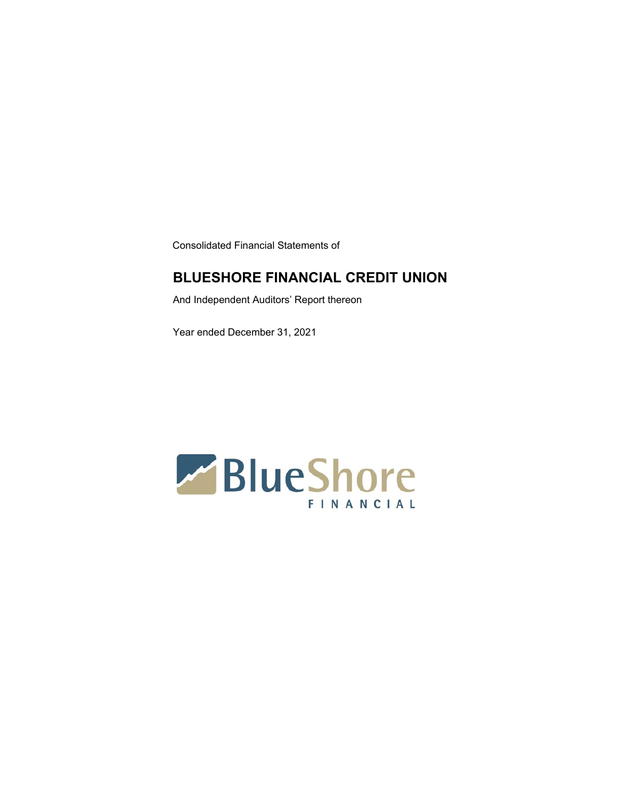Consolidated Financial Statements of

### **BLUESHORE FINANCIAL CREDIT UNION**

And Independent Auditors' Report thereon

Year ended December 31, 2021

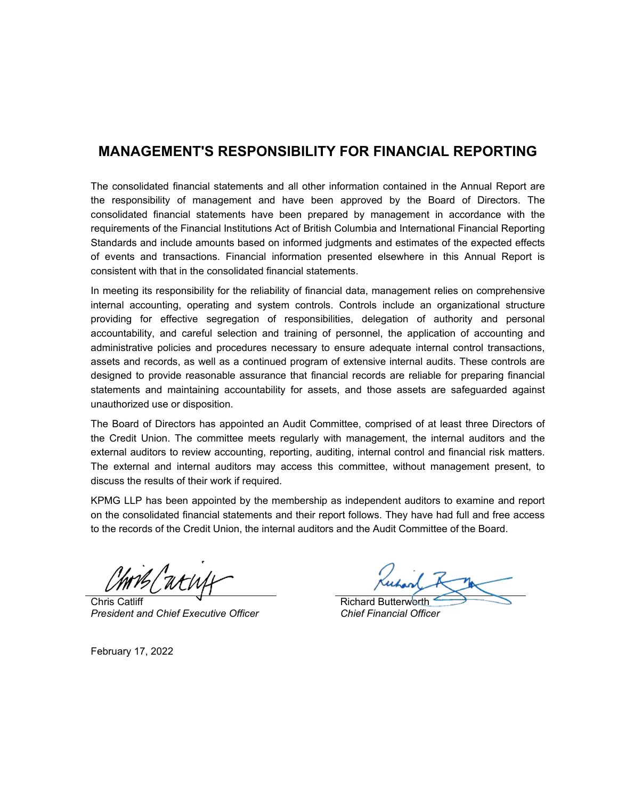### **MANAGEMENT'S RESPONSIBILITY FOR FINANCIAL REPORTING**

The consolidated financial statements and all other information contained in the Annual Report are the responsibility of management and have been approved by the Board of Directors. The consolidated financial statements have been prepared by management in accordance with the requirements of the Financial Institutions Act of British Columbia and International Financial Reporting Standards and include amounts based on informed judgments and estimates of the expected effects of events and transactions. Financial information presented elsewhere in this Annual Report is consistent with that in the consolidated financial statements.

In meeting its responsibility for the reliability of financial data, management relies on comprehensive internal accounting, operating and system controls. Controls include an organizational structure providing for effective segregation of responsibilities, delegation of authority and personal accountability, and careful selection and training of personnel, the application of accounting and administrative policies and procedures necessary to ensure adequate internal control transactions, assets and records, as well as a continued program of extensive internal audits. These controls are designed to provide reasonable assurance that financial records are reliable for preparing financial statements and maintaining accountability for assets, and those assets are safeguarded against unauthorized use or disposition.

The Board of Directors has appointed an Audit Committee, comprised of at least three Directors of the Credit Union. The committee meets regularly with management, the internal auditors and the external auditors to review accounting, reporting, auditing, internal control and financial risk matters. The external and internal auditors may access this committee, without management present, to discuss the results of their work if required.

KPMG LLP has been appointed by the membership as independent auditors to examine and report on the consolidated financial statements and their report follows. They have had full and free access to the records of the Credit Union, the internal auditors and the Audit Committee of the Board.

Chris Catliff *President and Chief Executive Officer*

Richard Butterworth *Chief Financial Officer*

February 17, 2022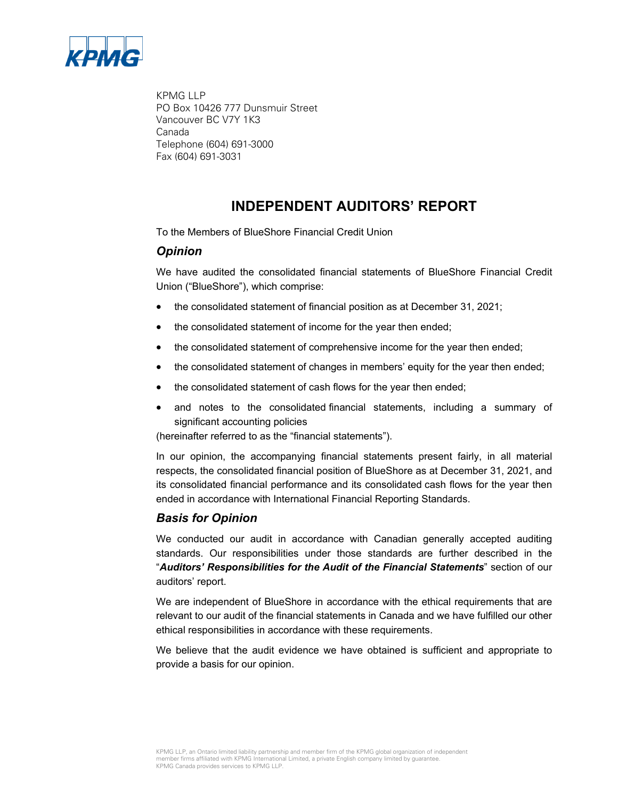

KPMG LLP PO Box 10426 777 Dunsmuir Street Vancouver BC V7Y 1K3 Canada Telephone (604) 691-3000 Fax (604) 691-3031

### **INDEPENDENT AUDITORS' REPORT**

To the Members of BlueShore Financial Credit Union

#### *Opinion*

We have audited the consolidated financial statements of BlueShore Financial Credit Union ("BlueShore"), which comprise:

- the consolidated statement of financial position as at December 31, 2021;
- the consolidated statement of income for the year then ended;
- the consolidated statement of comprehensive income for the year then ended;
- the consolidated statement of changes in members' equity for the year then ended;
- the consolidated statement of cash flows for the year then ended;
- and notes to the consolidated financial statements, including a summary of significant accounting policies

(hereinafter referred to as the "financial statements").

In our opinion, the accompanying financial statements present fairly, in all material respects, the consolidated financial position of BlueShore as at December 31, 2021, and its consolidated financial performance and its consolidated cash flows for the year then ended in accordance with International Financial Reporting Standards.

### *Basis for Opinion*

We conducted our audit in accordance with Canadian generally accepted auditing standards. Our responsibilities under those standards are further described in the "*Auditors' Responsibilities for the Audit of the Financial Statements*" section of our auditors' report.

We are independent of BlueShore in accordance with the ethical requirements that are relevant to our audit of the financial statements in Canada and we have fulfilled our other ethical responsibilities in accordance with these requirements.

We believe that the audit evidence we have obtained is sufficient and appropriate to provide a basis for our opinion.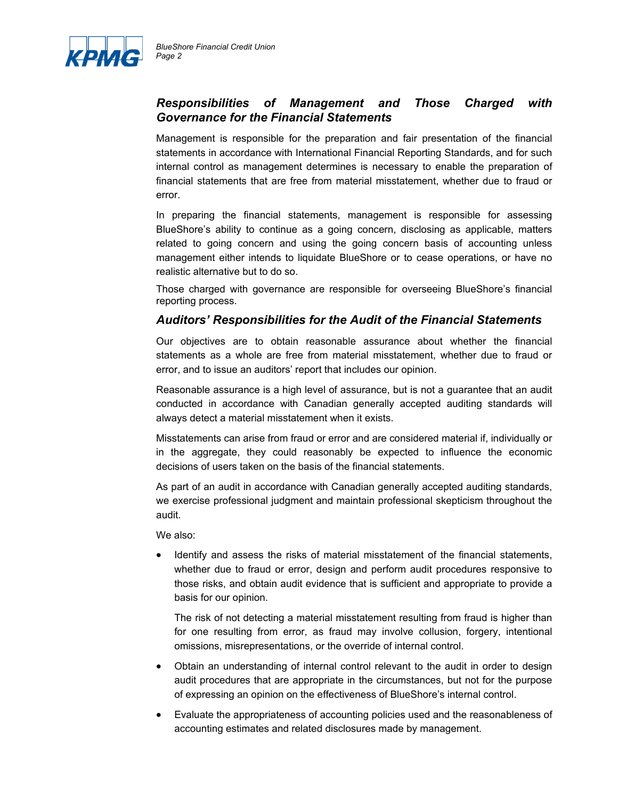

### *Responsibilities of Management and Those Charged with Governance for the Financial Statements*

Management is responsible for the preparation and fair presentation of the financial statements in accordance with International Financial Reporting Standards, and for such internal control as management determines is necessary to enable the preparation of financial statements that are free from material misstatement, whether due to fraud or error.

In preparing the financial statements, management is responsible for assessing BlueShore's ability to continue as a going concern, disclosing as applicable, matters related to going concern and using the going concern basis of accounting unless management either intends to liquidate BlueShore or to cease operations, or have no realistic alternative but to do so.

Those charged with governance are responsible for overseeing BlueShore's financial reporting process.

### *Auditors' Responsibilities for the Audit of the Financial Statements*

Our objectives are to obtain reasonable assurance about whether the financial statements as a whole are free from material misstatement, whether due to fraud or error, and to issue an auditors' report that includes our opinion.

Reasonable assurance is a high level of assurance, but is not a guarantee that an audit conducted in accordance with Canadian generally accepted auditing standards will always detect a material misstatement when it exists.

Misstatements can arise from fraud or error and are considered material if, individually or in the aggregate, they could reasonably be expected to influence the economic decisions of users taken on the basis of the financial statements.

As part of an audit in accordance with Canadian generally accepted auditing standards, we exercise professional judgment and maintain professional skepticism throughout the audit.

We also:

• Identify and assess the risks of material misstatement of the financial statements, whether due to fraud or error, design and perform audit procedures responsive to those risks, and obtain audit evidence that is sufficient and appropriate to provide a basis for our opinion.

The risk of not detecting a material misstatement resulting from fraud is higher than for one resulting from error, as fraud may involve collusion, forgery, intentional omissions, misrepresentations, or the override of internal control.

- Obtain an understanding of internal control relevant to the audit in order to design audit procedures that are appropriate in the circumstances, but not for the purpose of expressing an opinion on the effectiveness of BlueShore's internal control.
- Evaluate the appropriateness of accounting policies used and the reasonableness of accounting estimates and related disclosures made by management.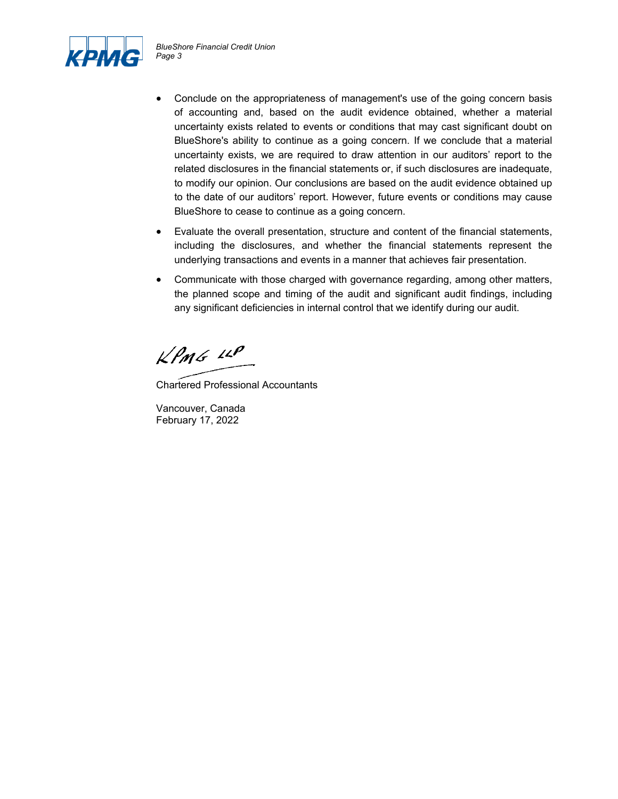

- Conclude on the appropriateness of management's use of the going concern basis of accounting and, based on the audit evidence obtained, whether a material uncertainty exists related to events or conditions that may cast significant doubt on BlueShore's ability to continue as a going concern. If we conclude that a material uncertainty exists, we are required to draw attention in our auditors' report to the related disclosures in the financial statements or, if such disclosures are inadequate, to modify our opinion. Our conclusions are based on the audit evidence obtained up to the date of our auditors' report. However, future events or conditions may cause BlueShore to cease to continue as a going concern.
- Evaluate the overall presentation, structure and content of the financial statements, including the disclosures, and whether the financial statements represent the underlying transactions and events in a manner that achieves fair presentation.
- Communicate with those charged with governance regarding, among other matters, the planned scope and timing of the audit and significant audit findings, including any significant deficiencies in internal control that we identify during our audit.

 $k$ *PMG*  $44$ 

Chartered Professional Accountants

Vancouver, Canada February 17, 2022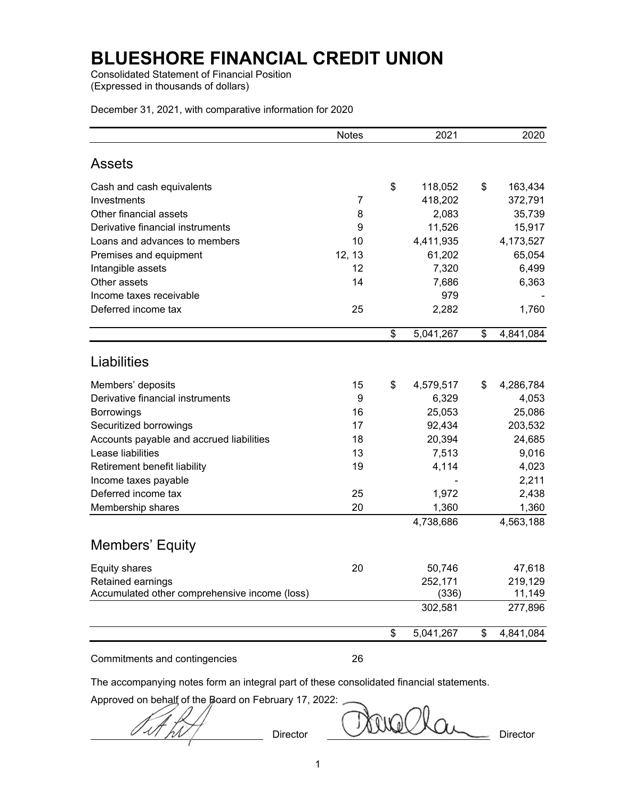Consolidated Statement of Financial Position (Expressed in thousands of dollars)

December 31, 2021, with comparative information for 2020

|                                               | <b>Notes</b>   | 2021            | 2020            |
|-----------------------------------------------|----------------|-----------------|-----------------|
| <b>Assets</b>                                 |                |                 |                 |
| Cash and cash equivalents                     |                | \$<br>118,052   | \$<br>163,434   |
| Investments                                   | $\overline{7}$ | 418,202         | 372,791         |
| Other financial assets                        | 8              | 2,083           | 35,739          |
| Derivative financial instruments              | 9              | 11,526          | 15,917          |
| Loans and advances to members                 | 10             | 4,411,935       | 4,173,527       |
| Premises and equipment                        | 12, 13         | 61,202          | 65,054          |
| Intangible assets                             | 12             | 7,320           | 6,499           |
| Other assets                                  | 14             | 7,686           | 6,363           |
| Income taxes receivable                       |                | 979             |                 |
| Deferred income tax                           | 25             | 2,282           | 1,760           |
|                                               |                | \$<br>5,041,267 | \$<br>4,841,084 |
| Liabilities                                   |                |                 |                 |
| Members' deposits                             | 15             | \$<br>4,579,517 | \$<br>4,286,784 |
| Derivative financial instruments              | 9              | 6,329           | 4,053           |
| Borrowings                                    | 16             | 25,053          | 25,086          |
| Securitized borrowings                        | 17             | 92,434          | 203,532         |
| Accounts payable and accrued liabilities      | 18             | 20,394          | 24,685          |
| Lease liabilities                             | 13             | 7,513           | 9,016           |
| Retirement benefit liability                  | 19             | 4,114           | 4,023           |
| Income taxes payable                          |                |                 | 2,211           |
| Deferred income tax                           | 25             | 1,972           | 2,438           |
| Membership shares                             | 20             | 1,360           | 1,360           |
|                                               |                | 4,738,686       | 4,563,188       |
| <b>Members' Equity</b>                        |                |                 |                 |
| <b>Equity shares</b>                          | 20             | 50,746          | 47,618          |
| Retained earnings                             |                | 252,171         | 219,129         |
| Accumulated other comprehensive income (loss) |                | (336)           | 11,149          |
|                                               |                | 302,581         | 277,896         |
|                                               |                | \$<br>5,041,267 | \$<br>4,841,084 |

Commitments and contingencies 26

The accompanying notes form an integral part of these consolidated financial statements.

Approved on behalf of the Board on February 17, 2022:

 $\cal{A}$ 

Director Director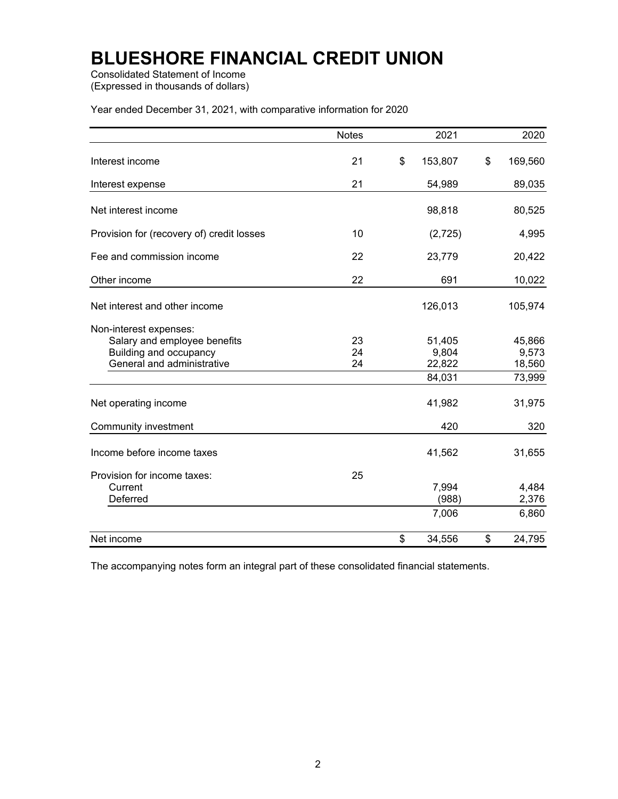Consolidated Statement of Income (Expressed in thousands of dollars)

Year ended December 31, 2021, with comparative information for 2020

|                                                                                                                | <b>Notes</b>   | 2021                      | 2020                      |
|----------------------------------------------------------------------------------------------------------------|----------------|---------------------------|---------------------------|
| Interest income                                                                                                | 21             | \$<br>153,807             | \$<br>169,560             |
| Interest expense                                                                                               | 21             | 54,989                    | 89,035                    |
| Net interest income                                                                                            |                | 98,818                    | 80,525                    |
| Provision for (recovery of) credit losses                                                                      | 10             | (2, 725)                  | 4,995                     |
| Fee and commission income                                                                                      | 22             | 23,779                    | 20,422                    |
| Other income                                                                                                   | 22             | 691                       | 10,022                    |
| Net interest and other income                                                                                  |                | 126,013                   | 105,974                   |
| Non-interest expenses:<br>Salary and employee benefits<br>Building and occupancy<br>General and administrative | 23<br>24<br>24 | 51,405<br>9,804<br>22,822 | 45,866<br>9,573<br>18,560 |
|                                                                                                                |                | 84,031                    | 73,999                    |
| Net operating income                                                                                           |                | 41,982                    | 31,975                    |
| <b>Community investment</b>                                                                                    |                | 420                       | 320                       |
| Income before income taxes                                                                                     |                | 41,562                    | 31,655                    |
| Provision for income taxes:<br>Current<br>Deferred                                                             | 25             | 7,994<br>(988)<br>7,006   | 4,484<br>2,376<br>6,860   |
| Net income                                                                                                     |                | \$<br>34,556              | \$<br>24,795              |

The accompanying notes form an integral part of these consolidated financial statements.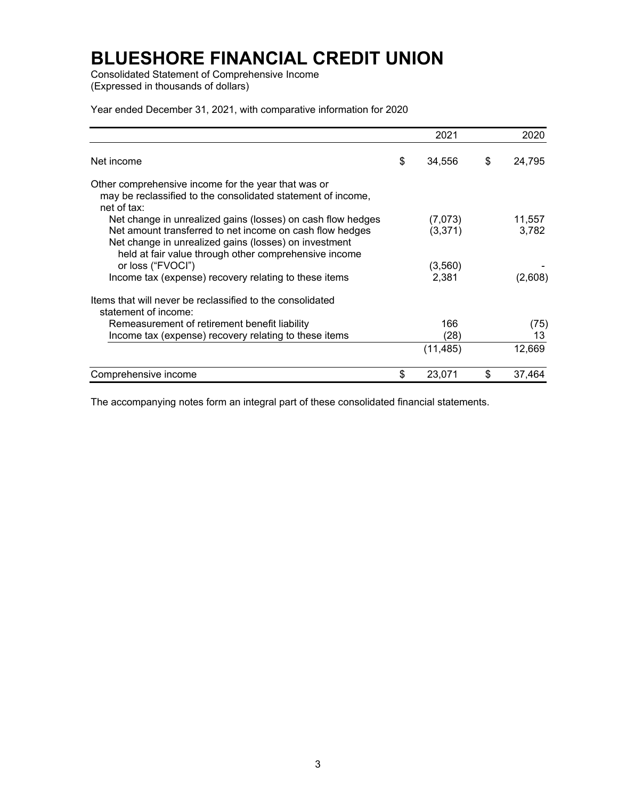Consolidated Statement of Comprehensive Income (Expressed in thousands of dollars)

Year ended December 31, 2021, with comparative information for 2020

|                                                                                                                                                                                                                                           |    | 2021               | 2020            |
|-------------------------------------------------------------------------------------------------------------------------------------------------------------------------------------------------------------------------------------------|----|--------------------|-----------------|
| Net income                                                                                                                                                                                                                                | S  | 34,556             | \$<br>24,795    |
| Other comprehensive income for the year that was or<br>may be reclassified to the consolidated statement of income,<br>net of tax:                                                                                                        |    |                    |                 |
| Net change in unrealized gains (losses) on cash flow hedges<br>Net amount transferred to net income on cash flow hedges<br>Net change in unrealized gains (losses) on investment<br>held at fair value through other comprehensive income |    | (7,073)<br>(3,371) | 11,557<br>3,782 |
| or loss ("FVOCI")<br>Income tax (expense) recovery relating to these items                                                                                                                                                                |    | (3, 560)<br>2,381  | (2,608)         |
| Items that will never be reclassified to the consolidated<br>statement of income:                                                                                                                                                         |    |                    |                 |
| Remeasurement of retirement benefit liability<br>Income tax (expense) recovery relating to these items                                                                                                                                    |    | 166<br>(28)        | (75)<br>13      |
|                                                                                                                                                                                                                                           |    | (11, 485)          | 12,669          |
| Comprehensive income                                                                                                                                                                                                                      | \$ | 23,071             | \$<br>37,464    |

The accompanying notes form an integral part of these consolidated financial statements.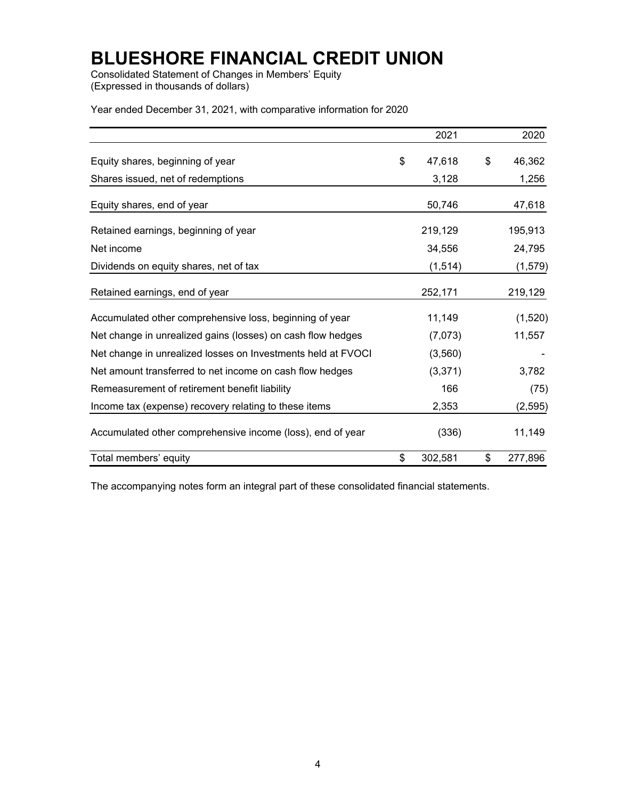Consolidated Statement of Changes in Members' Equity (Expressed in thousands of dollars)

Year ended December 31, 2021, with comparative information for 2020

|                                                              | 2021          | 2020          |
|--------------------------------------------------------------|---------------|---------------|
| Equity shares, beginning of year                             | \$<br>47,618  | \$<br>46,362  |
| Shares issued, net of redemptions                            | 3,128         | 1,256         |
| Equity shares, end of year                                   | 50,746        | 47,618        |
| Retained earnings, beginning of year                         | 219,129       | 195,913       |
| Net income                                                   | 34,556        | 24,795        |
| Dividends on equity shares, net of tax                       | (1, 514)      | (1, 579)      |
| Retained earnings, end of year                               | 252,171       | 219,129       |
| Accumulated other comprehensive loss, beginning of year      | 11,149        | (1,520)       |
| Net change in unrealized gains (losses) on cash flow hedges  | (7,073)       | 11,557        |
| Net change in unrealized losses on Investments held at FVOCI | (3,560)       |               |
| Net amount transferred to net income on cash flow hedges     | (3, 371)      | 3,782         |
| Remeasurement of retirement benefit liability                | 166           | (75)          |
| Income tax (expense) recovery relating to these items        | 2,353         | (2, 595)      |
| Accumulated other comprehensive income (loss), end of year   | (336)         | 11,149        |
| Total members' equity                                        | \$<br>302,581 | \$<br>277,896 |

The accompanying notes form an integral part of these consolidated financial statements.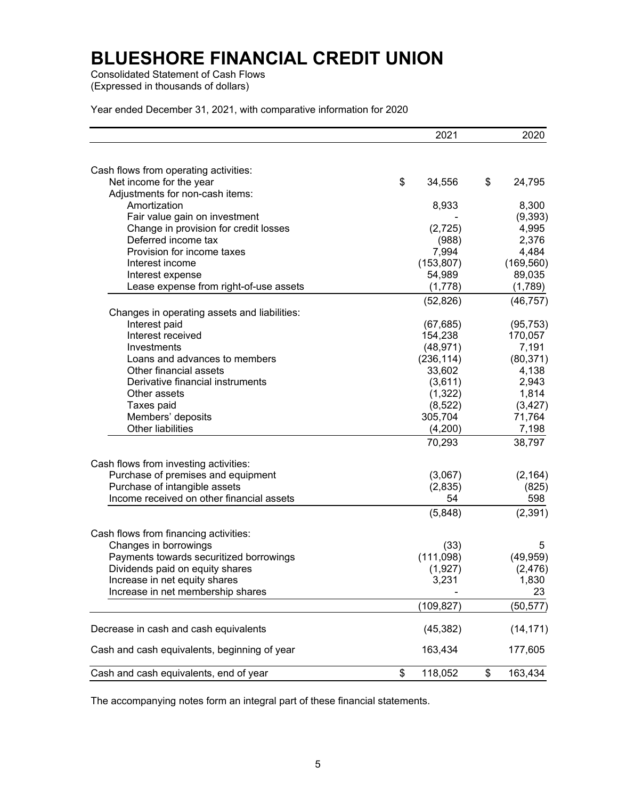Consolidated Statement of Cash Flows (Expressed in thousands of dollars)

Year ended December 31, 2021, with comparative information for 2020

|                                              | 2021          | 2020          |
|----------------------------------------------|---------------|---------------|
|                                              |               |               |
| Cash flows from operating activities:        |               |               |
| Net income for the year                      | \$<br>34,556  | \$<br>24,795  |
| Adjustments for non-cash items:              |               |               |
| Amortization                                 | 8,933         | 8,300         |
| Fair value gain on investment                |               | (9, 393)      |
| Change in provision for credit losses        | (2,725)       | 4,995         |
| Deferred income tax                          | (988)         | 2,376         |
| Provision for income taxes                   | 7,994         | 4,484         |
| Interest income                              | (153, 807)    | (169, 560)    |
| Interest expense                             | 54,989        | 89,035        |
| Lease expense from right-of-use assets       | (1,778)       | (1,789)       |
|                                              | (52, 826)     | (46, 757)     |
| Changes in operating assets and liabilities: |               |               |
| Interest paid                                | (67, 685)     | (95, 753)     |
| Interest received                            | 154,238       | 170,057       |
| Investments                                  | (48, 971)     | 7,191         |
| Loans and advances to members                | (236, 114)    | (80, 371)     |
| Other financial assets                       | 33,602        | 4,138         |
| Derivative financial instruments             | (3,611)       | 2,943         |
| Other assets                                 | (1, 322)      | 1,814         |
| Taxes paid                                   | (8, 522)      | (3, 427)      |
| Members' deposits                            | 305,704       | 71,764        |
| <b>Other liabilities</b>                     | (4,200)       | 7,198         |
|                                              | 70,293        | 38,797        |
| Cash flows from investing activities:        |               |               |
| Purchase of premises and equipment           | (3,067)       | (2, 164)      |
| Purchase of intangible assets                | (2,835)       | (825)         |
| Income received on other financial assets    | 54            | 598           |
|                                              | (5,848)       | (2, 391)      |
| Cash flows from financing activities:        |               |               |
| Changes in borrowings                        | (33)          | 5             |
| Payments towards securitized borrowings      | (111,098)     | (49, 959)     |
| Dividends paid on equity shares              | (1,927)       | (2, 476)      |
| Increase in net equity shares                | 3,231         | 1,830         |
| Increase in net membership shares            |               | 23            |
|                                              |               |               |
|                                              | (109,827)     | (50, 577)     |
| Decrease in cash and cash equivalents        | (45, 382)     | (14, 171)     |
| Cash and cash equivalents, beginning of year | 163,434       | 177,605       |
| Cash and cash equivalents, end of year       | \$<br>118,052 | \$<br>163,434 |

The accompanying notes form an integral part of these financial statements.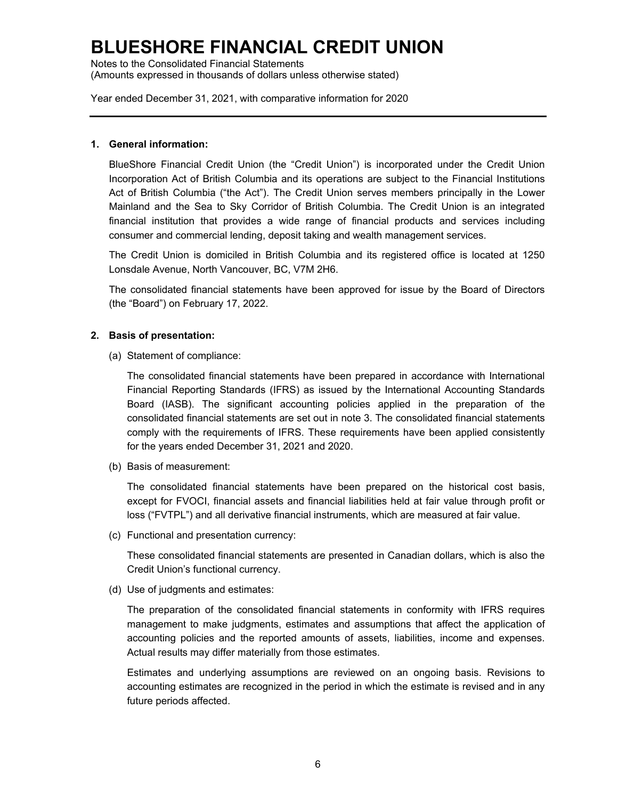Notes to the Consolidated Financial Statements (Amounts expressed in thousands of dollars unless otherwise stated)

Year ended December 31, 2021, with comparative information for 2020

#### **1. General information:**

BlueShore Financial Credit Union (the "Credit Union") is incorporated under the Credit Union Incorporation Act of British Columbia and its operations are subject to the Financial Institutions Act of British Columbia ("the Act"). The Credit Union serves members principally in the Lower Mainland and the Sea to Sky Corridor of British Columbia. The Credit Union is an integrated financial institution that provides a wide range of financial products and services including consumer and commercial lending, deposit taking and wealth management services.

The Credit Union is domiciled in British Columbia and its registered office is located at 1250 Lonsdale Avenue, North Vancouver, BC, V7M 2H6.

The consolidated financial statements have been approved for issue by the Board of Directors (the "Board") on February 17, 2022.

#### **2. Basis of presentation:**

(a) Statement of compliance:

The consolidated financial statements have been prepared in accordance with International Financial Reporting Standards (IFRS) as issued by the International Accounting Standards Board (IASB). The significant accounting policies applied in the preparation of the consolidated financial statements are set out in note 3. The consolidated financial statements comply with the requirements of IFRS. These requirements have been applied consistently for the years ended December 31, 2021 and 2020.

(b) Basis of measurement:

The consolidated financial statements have been prepared on the historical cost basis, except for FVOCI, financial assets and financial liabilities held at fair value through profit or loss ("FVTPL") and all derivative financial instruments, which are measured at fair value.

(c) Functional and presentation currency:

These consolidated financial statements are presented in Canadian dollars, which is also the Credit Union's functional currency.

(d) Use of judgments and estimates:

The preparation of the consolidated financial statements in conformity with IFRS requires management to make judgments, estimates and assumptions that affect the application of accounting policies and the reported amounts of assets, liabilities, income and expenses. Actual results may differ materially from those estimates.

Estimates and underlying assumptions are reviewed on an ongoing basis. Revisions to accounting estimates are recognized in the period in which the estimate is revised and in any future periods affected.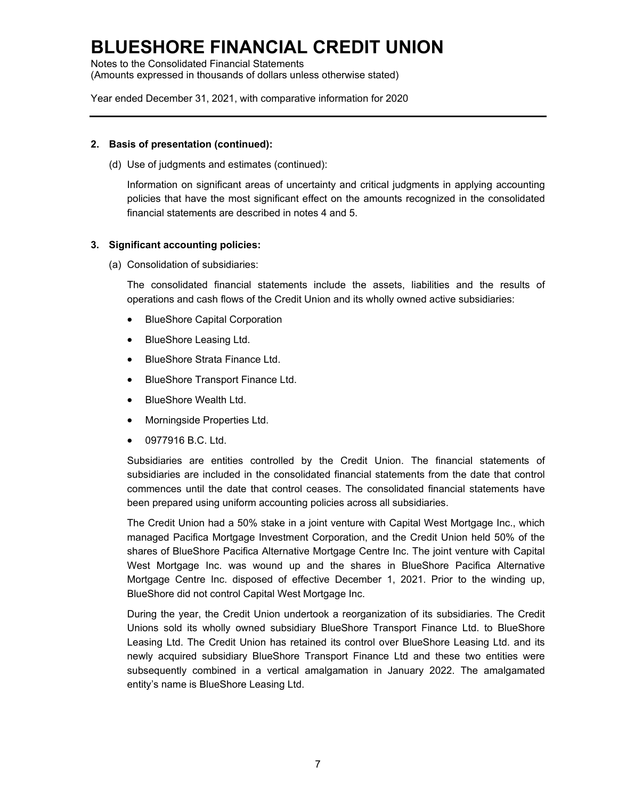Notes to the Consolidated Financial Statements (Amounts expressed in thousands of dollars unless otherwise stated)

Year ended December 31, 2021, with comparative information for 2020

#### **2. Basis of presentation (continued):**

(d) Use of judgments and estimates (continued):

Information on significant areas of uncertainty and critical judgments in applying accounting policies that have the most significant effect on the amounts recognized in the consolidated financial statements are described in notes 4 and 5.

#### **3. Significant accounting policies:**

(a) Consolidation of subsidiaries:

The consolidated financial statements include the assets, liabilities and the results of operations and cash flows of the Credit Union and its wholly owned active subsidiaries:

- BlueShore Capital Corporation
- BlueShore Leasing Ltd.
- BlueShore Strata Finance Ltd.
- BlueShore Transport Finance Ltd.
- BlueShore Wealth Ltd.
- Morningside Properties Ltd.
- 0977916 B.C. Ltd.

Subsidiaries are entities controlled by the Credit Union. The financial statements of subsidiaries are included in the consolidated financial statements from the date that control commences until the date that control ceases. The consolidated financial statements have been prepared using uniform accounting policies across all subsidiaries.

The Credit Union had a 50% stake in a joint venture with Capital West Mortgage Inc., which managed Pacifica Mortgage Investment Corporation, and the Credit Union held 50% of the shares of BlueShore Pacifica Alternative Mortgage Centre Inc. The joint venture with Capital West Mortgage Inc. was wound up and the shares in BlueShore Pacifica Alternative Mortgage Centre Inc. disposed of effective December 1, 2021. Prior to the winding up, BlueShore did not control Capital West Mortgage Inc.

During the year, the Credit Union undertook a reorganization of its subsidiaries. The Credit Unions sold its wholly owned subsidiary BlueShore Transport Finance Ltd. to BlueShore Leasing Ltd. The Credit Union has retained its control over BlueShore Leasing Ltd. and its newly acquired subsidiary BlueShore Transport Finance Ltd and these two entities were subsequently combined in a vertical amalgamation in January 2022. The amalgamated entity's name is BlueShore Leasing Ltd.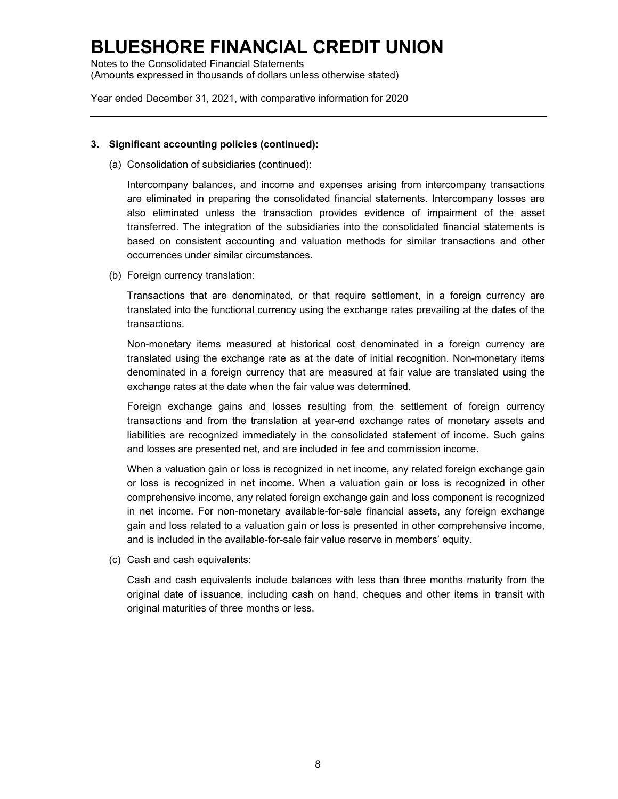Notes to the Consolidated Financial Statements (Amounts expressed in thousands of dollars unless otherwise stated)

Year ended December 31, 2021, with comparative information for 2020

#### **3. Significant accounting policies (continued):**

(a) Consolidation of subsidiaries (continued):

Intercompany balances, and income and expenses arising from intercompany transactions are eliminated in preparing the consolidated financial statements. Intercompany losses are also eliminated unless the transaction provides evidence of impairment of the asset transferred. The integration of the subsidiaries into the consolidated financial statements is based on consistent accounting and valuation methods for similar transactions and other occurrences under similar circumstances.

(b) Foreign currency translation:

Transactions that are denominated, or that require settlement, in a foreign currency are translated into the functional currency using the exchange rates prevailing at the dates of the transactions.

Non-monetary items measured at historical cost denominated in a foreign currency are translated using the exchange rate as at the date of initial recognition. Non-monetary items denominated in a foreign currency that are measured at fair value are translated using the exchange rates at the date when the fair value was determined.

Foreign exchange gains and losses resulting from the settlement of foreign currency transactions and from the translation at year-end exchange rates of monetary assets and liabilities are recognized immediately in the consolidated statement of income. Such gains and losses are presented net, and are included in fee and commission income.

When a valuation gain or loss is recognized in net income, any related foreign exchange gain or loss is recognized in net income. When a valuation gain or loss is recognized in other comprehensive income, any related foreign exchange gain and loss component is recognized in net income. For non-monetary available-for-sale financial assets, any foreign exchange gain and loss related to a valuation gain or loss is presented in other comprehensive income, and is included in the available-for-sale fair value reserve in members' equity.

(c) Cash and cash equivalents:

Cash and cash equivalents include balances with less than three months maturity from the original date of issuance, including cash on hand, cheques and other items in transit with original maturities of three months or less.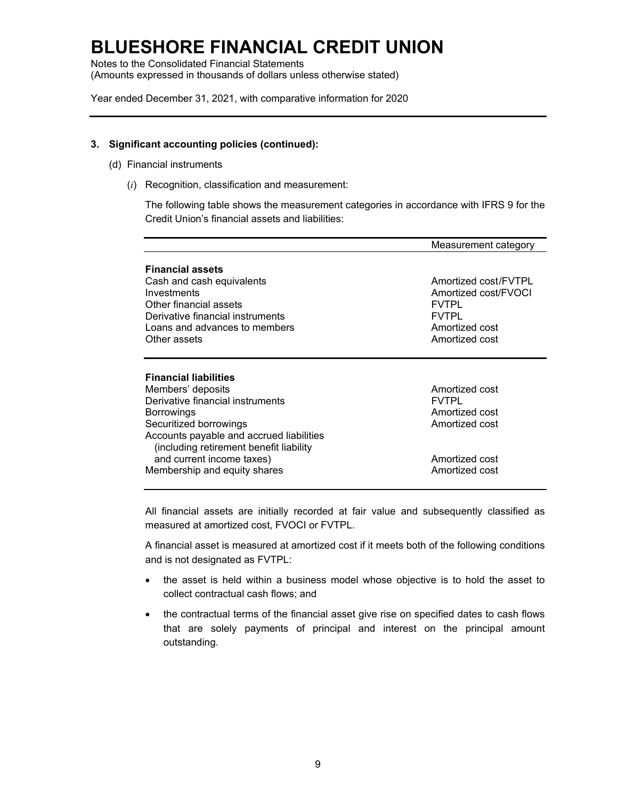Notes to the Consolidated Financial Statements (Amounts expressed in thousands of dollars unless otherwise stated)

Year ended December 31, 2021, with comparative information for 2020

#### **3. Significant accounting policies (continued):**

- (d) Financial instruments
	- (*i*) Recognition, classification and measurement:

The following table shows the measurement categories in accordance with IFRS 9 for the Credit Union's financial assets and liabilities:

|                                                                                                                                                                                                                                                                                   | Measurement category                                                                                             |
|-----------------------------------------------------------------------------------------------------------------------------------------------------------------------------------------------------------------------------------------------------------------------------------|------------------------------------------------------------------------------------------------------------------|
| <b>Financial assets</b><br>Cash and cash equivalents<br>Investments<br>Other financial assets<br>Derivative financial instruments<br>Loans and advances to members<br>Other assets                                                                                                | Amortized cost/FVTPL<br>Amortized cost/FVOCI<br><b>FVTPL</b><br><b>FVTPL</b><br>Amortized cost<br>Amortized cost |
| <b>Financial liabilities</b><br>Members' deposits<br>Derivative financial instruments<br>Borrowings<br>Securitized borrowings<br>Accounts payable and accrued liabilities<br>(including retirement benefit liability<br>and current income taxes)<br>Membership and equity shares | Amortized cost<br><b>FVTPL</b><br>Amortized cost<br>Amortized cost<br>Amortized cost<br>Amortized cost           |

All financial assets are initially recorded at fair value and subsequently classified as measured at amortized cost, FVOCI or FVTPL.

A financial asset is measured at amortized cost if it meets both of the following conditions and is not designated as FVTPL:

- the asset is held within a business model whose objective is to hold the asset to collect contractual cash flows; and
- the contractual terms of the financial asset give rise on specified dates to cash flows that are solely payments of principal and interest on the principal amount outstanding.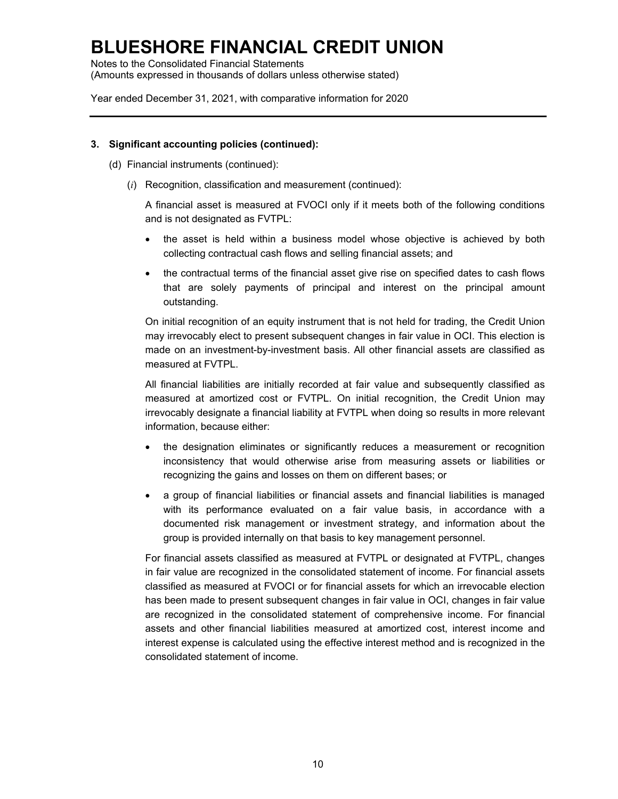Notes to the Consolidated Financial Statements (Amounts expressed in thousands of dollars unless otherwise stated)

Year ended December 31, 2021, with comparative information for 2020

#### **3. Significant accounting policies (continued):**

- (d) Financial instruments (continued):
	- (*i*) Recognition, classification and measurement (continued):

A financial asset is measured at FVOCI only if it meets both of the following conditions and is not designated as FVTPL:

- the asset is held within a business model whose objective is achieved by both collecting contractual cash flows and selling financial assets; and
- the contractual terms of the financial asset give rise on specified dates to cash flows that are solely payments of principal and interest on the principal amount outstanding.

On initial recognition of an equity instrument that is not held for trading, the Credit Union may irrevocably elect to present subsequent changes in fair value in OCI. This election is made on an investment-by-investment basis. All other financial assets are classified as measured at FVTPL.

All financial liabilities are initially recorded at fair value and subsequently classified as measured at amortized cost or FVTPL. On initial recognition, the Credit Union may irrevocably designate a financial liability at FVTPL when doing so results in more relevant information, because either:

- the designation eliminates or significantly reduces a measurement or recognition inconsistency that would otherwise arise from measuring assets or liabilities or recognizing the gains and losses on them on different bases; or
- a group of financial liabilities or financial assets and financial liabilities is managed with its performance evaluated on a fair value basis, in accordance with a documented risk management or investment strategy, and information about the group is provided internally on that basis to key management personnel.

For financial assets classified as measured at FVTPL or designated at FVTPL, changes in fair value are recognized in the consolidated statement of income. For financial assets classified as measured at FVOCI or for financial assets for which an irrevocable election has been made to present subsequent changes in fair value in OCI, changes in fair value are recognized in the consolidated statement of comprehensive income. For financial assets and other financial liabilities measured at amortized cost, interest income and interest expense is calculated using the effective interest method and is recognized in the consolidated statement of income.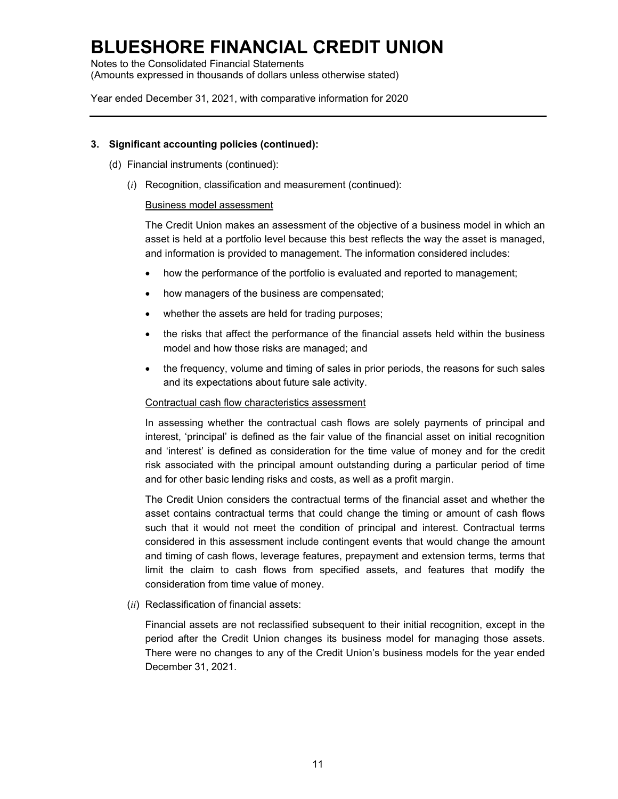Notes to the Consolidated Financial Statements (Amounts expressed in thousands of dollars unless otherwise stated)

Year ended December 31, 2021, with comparative information for 2020

#### **3. Significant accounting policies (continued):**

- (d) Financial instruments (continued):
	- (*i*) Recognition, classification and measurement (continued):

#### Business model assessment

The Credit Union makes an assessment of the objective of a business model in which an asset is held at a portfolio level because this best reflects the way the asset is managed, and information is provided to management. The information considered includes:

- how the performance of the portfolio is evaluated and reported to management;
- how managers of the business are compensated;
- whether the assets are held for trading purposes;
- the risks that affect the performance of the financial assets held within the business model and how those risks are managed; and
- the frequency, volume and timing of sales in prior periods, the reasons for such sales and its expectations about future sale activity.

#### Contractual cash flow characteristics assessment

In assessing whether the contractual cash flows are solely payments of principal and interest, 'principal' is defined as the fair value of the financial asset on initial recognition and 'interest' is defined as consideration for the time value of money and for the credit risk associated with the principal amount outstanding during a particular period of time and for other basic lending risks and costs, as well as a profit margin.

The Credit Union considers the contractual terms of the financial asset and whether the asset contains contractual terms that could change the timing or amount of cash flows such that it would not meet the condition of principal and interest. Contractual terms considered in this assessment include contingent events that would change the amount and timing of cash flows, leverage features, prepayment and extension terms, terms that limit the claim to cash flows from specified assets, and features that modify the consideration from time value of money.

(*ii*) Reclassification of financial assets:

Financial assets are not reclassified subsequent to their initial recognition, except in the period after the Credit Union changes its business model for managing those assets. There were no changes to any of the Credit Union's business models for the year ended December 31, 2021.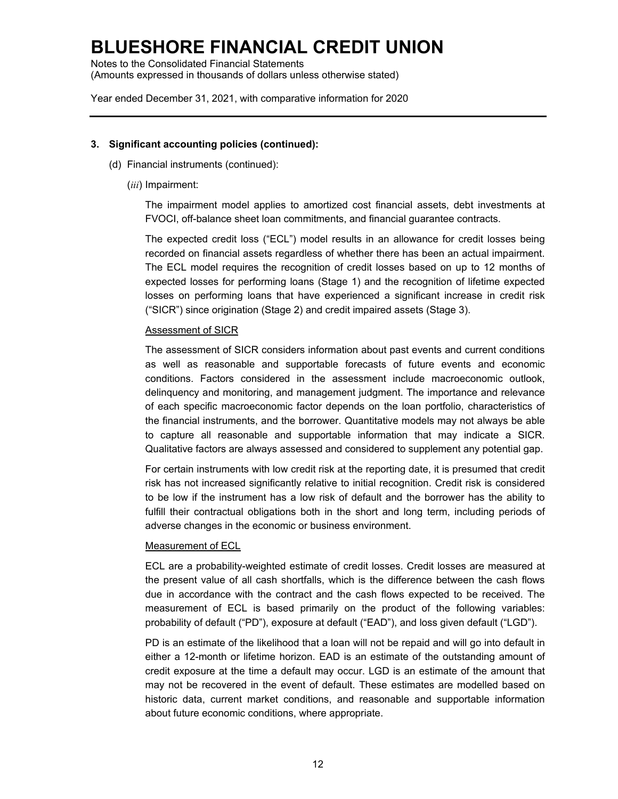Notes to the Consolidated Financial Statements (Amounts expressed in thousands of dollars unless otherwise stated)

Year ended December 31, 2021, with comparative information for 2020

#### **3. Significant accounting policies (continued):**

- (d) Financial instruments (continued):
	- (*iii*) Impairment:

The impairment model applies to amortized cost financial assets, debt investments at FVOCI, off-balance sheet loan commitments, and financial guarantee contracts.

The expected credit loss ("ECL") model results in an allowance for credit losses being recorded on financial assets regardless of whether there has been an actual impairment. The ECL model requires the recognition of credit losses based on up to 12 months of expected losses for performing loans (Stage 1) and the recognition of lifetime expected losses on performing loans that have experienced a significant increase in credit risk ("SICR") since origination (Stage 2) and credit impaired assets (Stage 3).

#### Assessment of SICR

The assessment of SICR considers information about past events and current conditions as well as reasonable and supportable forecasts of future events and economic conditions. Factors considered in the assessment include macroeconomic outlook, delinquency and monitoring, and management judgment. The importance and relevance of each specific macroeconomic factor depends on the loan portfolio, characteristics of the financial instruments, and the borrower. Quantitative models may not always be able to capture all reasonable and supportable information that may indicate a SICR. Qualitative factors are always assessed and considered to supplement any potential gap.

For certain instruments with low credit risk at the reporting date, it is presumed that credit risk has not increased significantly relative to initial recognition. Credit risk is considered to be low if the instrument has a low risk of default and the borrower has the ability to fulfill their contractual obligations both in the short and long term, including periods of adverse changes in the economic or business environment.

#### Measurement of ECL

ECL are a probability-weighted estimate of credit losses. Credit losses are measured at the present value of all cash shortfalls, which is the difference between the cash flows due in accordance with the contract and the cash flows expected to be received. The measurement of ECL is based primarily on the product of the following variables: probability of default ("PD"), exposure at default ("EAD"), and loss given default ("LGD").

PD is an estimate of the likelihood that a loan will not be repaid and will go into default in either a 12-month or lifetime horizon. EAD is an estimate of the outstanding amount of credit exposure at the time a default may occur. LGD is an estimate of the amount that may not be recovered in the event of default. These estimates are modelled based on historic data, current market conditions, and reasonable and supportable information about future economic conditions, where appropriate.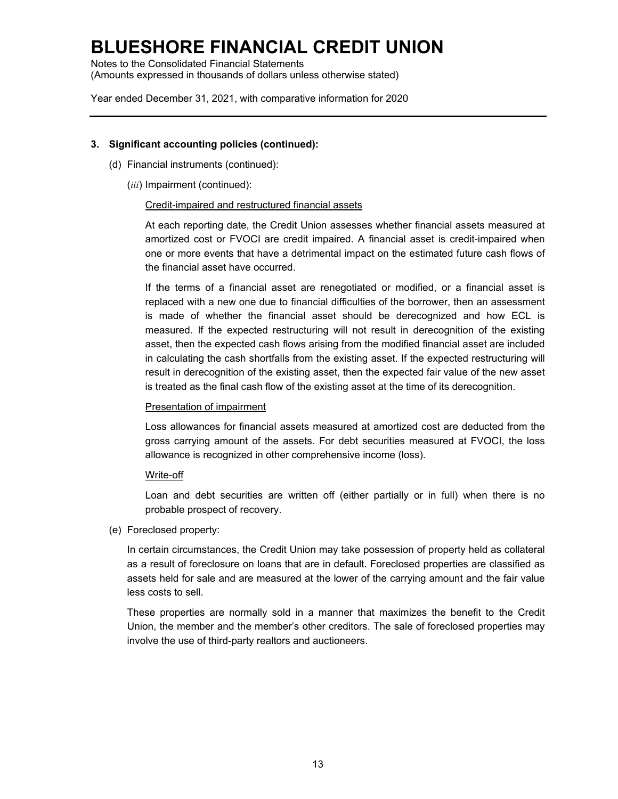Notes to the Consolidated Financial Statements (Amounts expressed in thousands of dollars unless otherwise stated)

Year ended December 31, 2021, with comparative information for 2020

#### **3. Significant accounting policies (continued):**

- (d) Financial instruments (continued):
	- (*iii*) Impairment (continued):

#### Credit-impaired and restructured financial assets

At each reporting date, the Credit Union assesses whether financial assets measured at amortized cost or FVOCI are credit impaired. A financial asset is credit-impaired when one or more events that have a detrimental impact on the estimated future cash flows of the financial asset have occurred.

If the terms of a financial asset are renegotiated or modified, or a financial asset is replaced with a new one due to financial difficulties of the borrower, then an assessment is made of whether the financial asset should be derecognized and how ECL is measured. If the expected restructuring will not result in derecognition of the existing asset, then the expected cash flows arising from the modified financial asset are included in calculating the cash shortfalls from the existing asset. If the expected restructuring will result in derecognition of the existing asset, then the expected fair value of the new asset is treated as the final cash flow of the existing asset at the time of its derecognition.

#### Presentation of impairment

Loss allowances for financial assets measured at amortized cost are deducted from the gross carrying amount of the assets. For debt securities measured at FVOCI, the loss allowance is recognized in other comprehensive income (loss).

#### Write-off

Loan and debt securities are written off (either partially or in full) when there is no probable prospect of recovery.

#### (e) Foreclosed property:

In certain circumstances, the Credit Union may take possession of property held as collateral as a result of foreclosure on loans that are in default. Foreclosed properties are classified as assets held for sale and are measured at the lower of the carrying amount and the fair value less costs to sell.

These properties are normally sold in a manner that maximizes the benefit to the Credit Union, the member and the member's other creditors. The sale of foreclosed properties may involve the use of third-party realtors and auctioneers.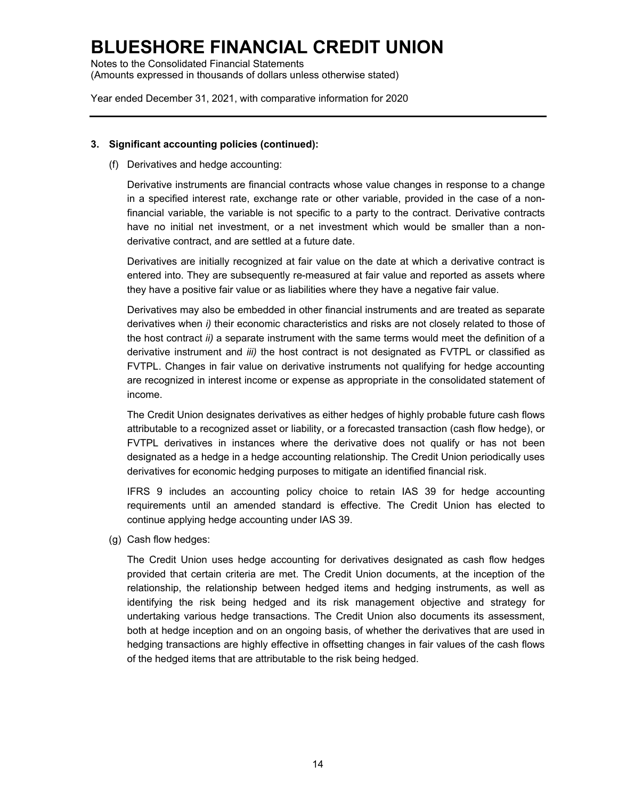Notes to the Consolidated Financial Statements (Amounts expressed in thousands of dollars unless otherwise stated)

Year ended December 31, 2021, with comparative information for 2020

#### **3. Significant accounting policies (continued):**

(f) Derivatives and hedge accounting:

Derivative instruments are financial contracts whose value changes in response to a change in a specified interest rate, exchange rate or other variable, provided in the case of a nonfinancial variable, the variable is not specific to a party to the contract. Derivative contracts have no initial net investment, or a net investment which would be smaller than a nonderivative contract, and are settled at a future date.

Derivatives are initially recognized at fair value on the date at which a derivative contract is entered into. They are subsequently re-measured at fair value and reported as assets where they have a positive fair value or as liabilities where they have a negative fair value.

Derivatives may also be embedded in other financial instruments and are treated as separate derivatives when *i)* their economic characteristics and risks are not closely related to those of the host contract *ii)* a separate instrument with the same terms would meet the definition of a derivative instrument and *iii)* the host contract is not designated as FVTPL or classified as FVTPL. Changes in fair value on derivative instruments not qualifying for hedge accounting are recognized in interest income or expense as appropriate in the consolidated statement of income.

The Credit Union designates derivatives as either hedges of highly probable future cash flows attributable to a recognized asset or liability, or a forecasted transaction (cash flow hedge), or FVTPL derivatives in instances where the derivative does not qualify or has not been designated as a hedge in a hedge accounting relationship. The Credit Union periodically uses derivatives for economic hedging purposes to mitigate an identified financial risk.

IFRS 9 includes an accounting policy choice to retain IAS 39 for hedge accounting requirements until an amended standard is effective. The Credit Union has elected to continue applying hedge accounting under IAS 39.

(g) Cash flow hedges:

The Credit Union uses hedge accounting for derivatives designated as cash flow hedges provided that certain criteria are met. The Credit Union documents, at the inception of the relationship, the relationship between hedged items and hedging instruments, as well as identifying the risk being hedged and its risk management objective and strategy for undertaking various hedge transactions. The Credit Union also documents its assessment, both at hedge inception and on an ongoing basis, of whether the derivatives that are used in hedging transactions are highly effective in offsetting changes in fair values of the cash flows of the hedged items that are attributable to the risk being hedged.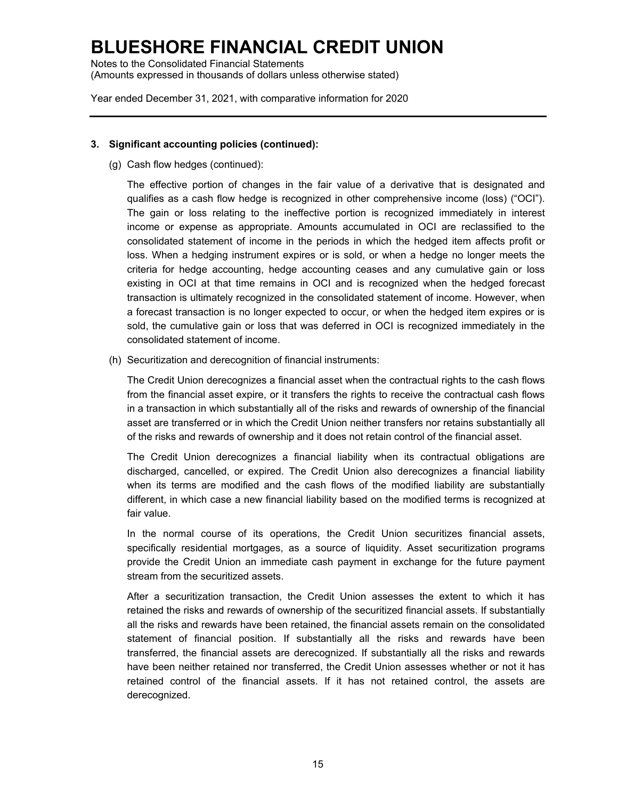Notes to the Consolidated Financial Statements (Amounts expressed in thousands of dollars unless otherwise stated)

Year ended December 31, 2021, with comparative information for 2020

#### **3. Significant accounting policies (continued):**

(g) Cash flow hedges (continued):

The effective portion of changes in the fair value of a derivative that is designated and qualifies as a cash flow hedge is recognized in other comprehensive income (loss) ("OCI"). The gain or loss relating to the ineffective portion is recognized immediately in interest income or expense as appropriate. Amounts accumulated in OCI are reclassified to the consolidated statement of income in the periods in which the hedged item affects profit or loss. When a hedging instrument expires or is sold, or when a hedge no longer meets the criteria for hedge accounting, hedge accounting ceases and any cumulative gain or loss existing in OCI at that time remains in OCI and is recognized when the hedged forecast transaction is ultimately recognized in the consolidated statement of income. However, when a forecast transaction is no longer expected to occur, or when the hedged item expires or is sold, the cumulative gain or loss that was deferred in OCI is recognized immediately in the consolidated statement of income.

(h) Securitization and derecognition of financial instruments:

The Credit Union derecognizes a financial asset when the contractual rights to the cash flows from the financial asset expire, or it transfers the rights to receive the contractual cash flows in a transaction in which substantially all of the risks and rewards of ownership of the financial asset are transferred or in which the Credit Union neither transfers nor retains substantially all of the risks and rewards of ownership and it does not retain control of the financial asset.

The Credit Union derecognizes a financial liability when its contractual obligations are discharged, cancelled, or expired. The Credit Union also derecognizes a financial liability when its terms are modified and the cash flows of the modified liability are substantially different, in which case a new financial liability based on the modified terms is recognized at fair value.

In the normal course of its operations, the Credit Union securitizes financial assets, specifically residential mortgages, as a source of liquidity. Asset securitization programs provide the Credit Union an immediate cash payment in exchange for the future payment stream from the securitized assets.

After a securitization transaction, the Credit Union assesses the extent to which it has retained the risks and rewards of ownership of the securitized financial assets. If substantially all the risks and rewards have been retained, the financial assets remain on the consolidated statement of financial position. If substantially all the risks and rewards have been transferred, the financial assets are derecognized. If substantially all the risks and rewards have been neither retained nor transferred, the Credit Union assesses whether or not it has retained control of the financial assets. If it has not retained control, the assets are derecognized.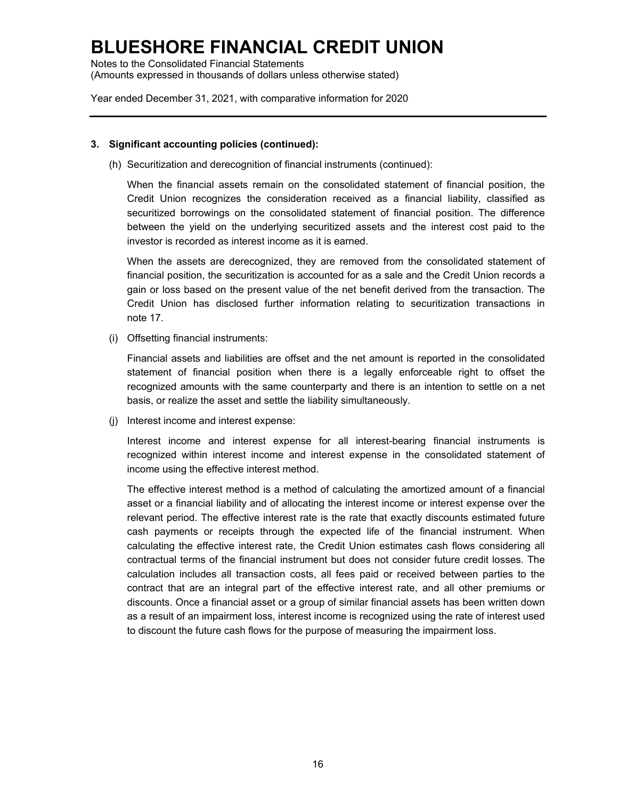Notes to the Consolidated Financial Statements (Amounts expressed in thousands of dollars unless otherwise stated)

Year ended December 31, 2021, with comparative information for 2020

#### **3. Significant accounting policies (continued):**

(h) Securitization and derecognition of financial instruments (continued):

When the financial assets remain on the consolidated statement of financial position, the Credit Union recognizes the consideration received as a financial liability, classified as securitized borrowings on the consolidated statement of financial position. The difference between the yield on the underlying securitized assets and the interest cost paid to the investor is recorded as interest income as it is earned.

When the assets are derecognized, they are removed from the consolidated statement of financial position, the securitization is accounted for as a sale and the Credit Union records a gain or loss based on the present value of the net benefit derived from the transaction. The Credit Union has disclosed further information relating to securitization transactions in note 17.

(i) Offsetting financial instruments:

Financial assets and liabilities are offset and the net amount is reported in the consolidated statement of financial position when there is a legally enforceable right to offset the recognized amounts with the same counterparty and there is an intention to settle on a net basis, or realize the asset and settle the liability simultaneously.

(j) Interest income and interest expense:

Interest income and interest expense for all interest-bearing financial instruments is recognized within interest income and interest expense in the consolidated statement of income using the effective interest method.

The effective interest method is a method of calculating the amortized amount of a financial asset or a financial liability and of allocating the interest income or interest expense over the relevant period. The effective interest rate is the rate that exactly discounts estimated future cash payments or receipts through the expected life of the financial instrument. When calculating the effective interest rate, the Credit Union estimates cash flows considering all contractual terms of the financial instrument but does not consider future credit losses. The calculation includes all transaction costs, all fees paid or received between parties to the contract that are an integral part of the effective interest rate, and all other premiums or discounts. Once a financial asset or a group of similar financial assets has been written down as a result of an impairment loss, interest income is recognized using the rate of interest used to discount the future cash flows for the purpose of measuring the impairment loss.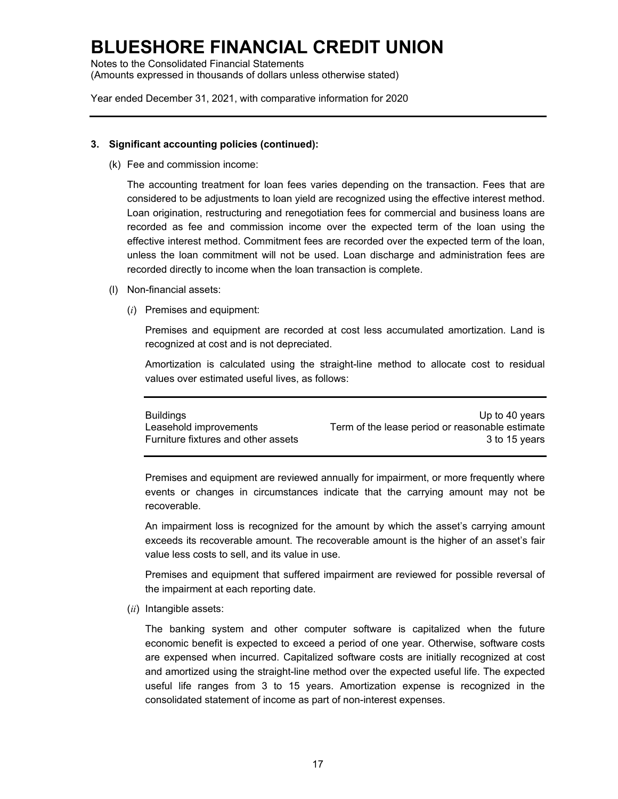Notes to the Consolidated Financial Statements (Amounts expressed in thousands of dollars unless otherwise stated)

Year ended December 31, 2021, with comparative information for 2020

#### **3. Significant accounting policies (continued):**

(k) Fee and commission income:

The accounting treatment for loan fees varies depending on the transaction. Fees that are considered to be adjustments to loan yield are recognized using the effective interest method. Loan origination, restructuring and renegotiation fees for commercial and business loans are recorded as fee and commission income over the expected term of the loan using the effective interest method. Commitment fees are recorded over the expected term of the loan, unless the loan commitment will not be used. Loan discharge and administration fees are recorded directly to income when the loan transaction is complete.

- (l) Non-financial assets:
	- (*i*) Premises and equipment:

Premises and equipment are recorded at cost less accumulated amortization. Land is recognized at cost and is not depreciated.

Amortization is calculated using the straight-line method to allocate cost to residual values over estimated useful lives, as follows:

| <b>Buildings</b>                    | Up to 40 years                                  |
|-------------------------------------|-------------------------------------------------|
| Leasehold improvements              | Term of the lease period or reasonable estimate |
| Furniture fixtures and other assets | 3 to 15 vears                                   |

Premises and equipment are reviewed annually for impairment, or more frequently where events or changes in circumstances indicate that the carrying amount may not be recoverable.

An impairment loss is recognized for the amount by which the asset's carrying amount exceeds its recoverable amount. The recoverable amount is the higher of an asset's fair value less costs to sell, and its value in use.

Premises and equipment that suffered impairment are reviewed for possible reversal of the impairment at each reporting date.

(*ii*) Intangible assets:

The banking system and other computer software is capitalized when the future economic benefit is expected to exceed a period of one year. Otherwise, software costs are expensed when incurred. Capitalized software costs are initially recognized at cost and amortized using the straight-line method over the expected useful life. The expected useful life ranges from 3 to 15 years. Amortization expense is recognized in the consolidated statement of income as part of non-interest expenses.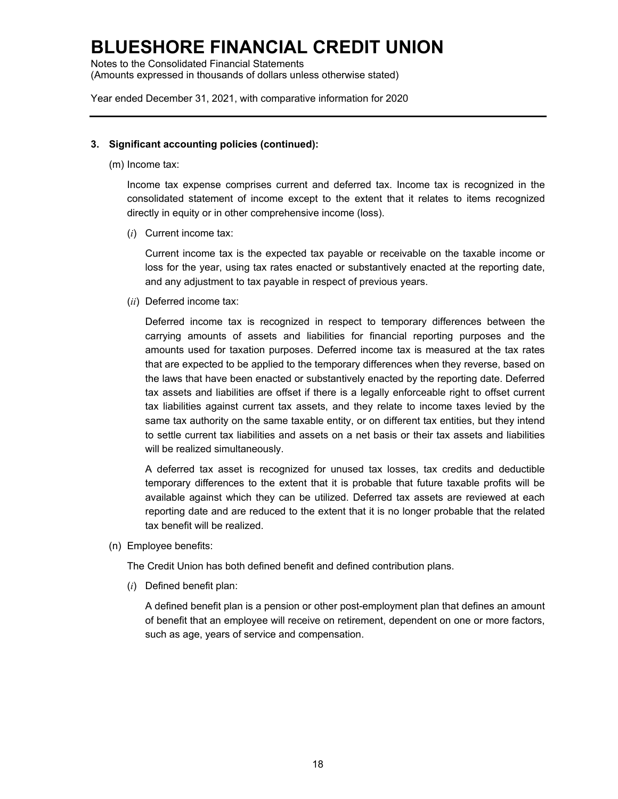Notes to the Consolidated Financial Statements (Amounts expressed in thousands of dollars unless otherwise stated)

Year ended December 31, 2021, with comparative information for 2020

#### **3. Significant accounting policies (continued):**

(m) Income tax:

Income tax expense comprises current and deferred tax. Income tax is recognized in the consolidated statement of income except to the extent that it relates to items recognized directly in equity or in other comprehensive income (loss).

(*i*) Current income tax:

Current income tax is the expected tax payable or receivable on the taxable income or loss for the year, using tax rates enacted or substantively enacted at the reporting date, and any adjustment to tax payable in respect of previous years.

(*ii*) Deferred income tax:

Deferred income tax is recognized in respect to temporary differences between the carrying amounts of assets and liabilities for financial reporting purposes and the amounts used for taxation purposes. Deferred income tax is measured at the tax rates that are expected to be applied to the temporary differences when they reverse, based on the laws that have been enacted or substantively enacted by the reporting date. Deferred tax assets and liabilities are offset if there is a legally enforceable right to offset current tax liabilities against current tax assets, and they relate to income taxes levied by the same tax authority on the same taxable entity, or on different tax entities, but they intend to settle current tax liabilities and assets on a net basis or their tax assets and liabilities will be realized simultaneously.

A deferred tax asset is recognized for unused tax losses, tax credits and deductible temporary differences to the extent that it is probable that future taxable profits will be available against which they can be utilized. Deferred tax assets are reviewed at each reporting date and are reduced to the extent that it is no longer probable that the related tax benefit will be realized.

(n) Employee benefits:

The Credit Union has both defined benefit and defined contribution plans.

(*i*) Defined benefit plan:

A defined benefit plan is a pension or other post-employment plan that defines an amount of benefit that an employee will receive on retirement, dependent on one or more factors, such as age, years of service and compensation.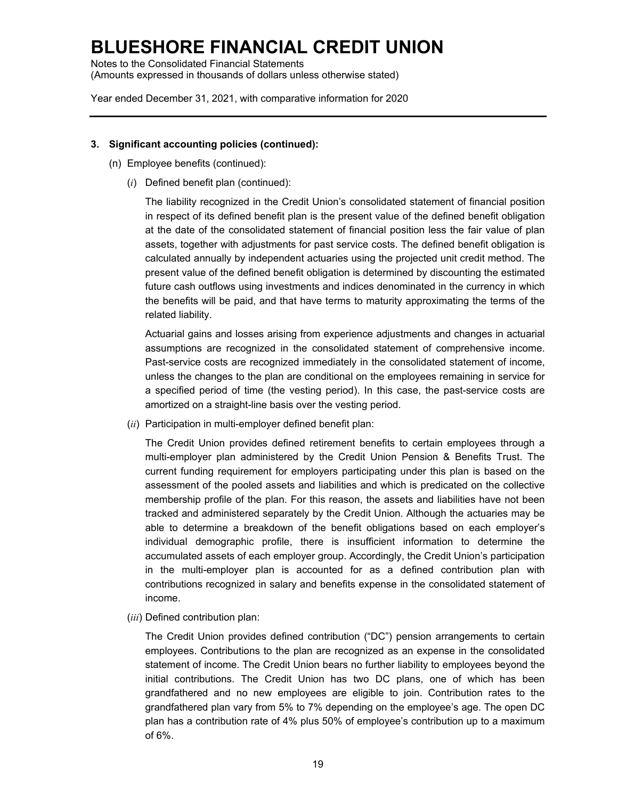Notes to the Consolidated Financial Statements (Amounts expressed in thousands of dollars unless otherwise stated)

Year ended December 31, 2021, with comparative information for 2020

#### **3. Significant accounting policies (continued):**

- (n) Employee benefits (continued):
	- (*i*) Defined benefit plan (continued):

The liability recognized in the Credit Union's consolidated statement of financial position in respect of its defined benefit plan is the present value of the defined benefit obligation at the date of the consolidated statement of financial position less the fair value of plan assets, together with adjustments for past service costs. The defined benefit obligation is calculated annually by independent actuaries using the projected unit credit method. The present value of the defined benefit obligation is determined by discounting the estimated future cash outflows using investments and indices denominated in the currency in which the benefits will be paid, and that have terms to maturity approximating the terms of the related liability.

Actuarial gains and losses arising from experience adjustments and changes in actuarial assumptions are recognized in the consolidated statement of comprehensive income. Past-service costs are recognized immediately in the consolidated statement of income, unless the changes to the plan are conditional on the employees remaining in service for a specified period of time (the vesting period). In this case, the past-service costs are amortized on a straight-line basis over the vesting period.

(*ii*) Participation in multi-employer defined benefit plan:

The Credit Union provides defined retirement benefits to certain employees through a multi-employer plan administered by the Credit Union Pension & Benefits Trust. The current funding requirement for employers participating under this plan is based on the assessment of the pooled assets and liabilities and which is predicated on the collective membership profile of the plan. For this reason, the assets and liabilities have not been tracked and administered separately by the Credit Union. Although the actuaries may be able to determine a breakdown of the benefit obligations based on each employer's individual demographic profile, there is insufficient information to determine the accumulated assets of each employer group. Accordingly, the Credit Union's participation in the multi-employer plan is accounted for as a defined contribution plan with contributions recognized in salary and benefits expense in the consolidated statement of income.

(*iii*) Defined contribution plan:

The Credit Union provides defined contribution ("DC") pension arrangements to certain employees. Contributions to the plan are recognized as an expense in the consolidated statement of income. The Credit Union bears no further liability to employees beyond the initial contributions. The Credit Union has two DC plans, one of which has been grandfathered and no new employees are eligible to join. Contribution rates to the grandfathered plan vary from 5% to 7% depending on the employee's age. The open DC plan has a contribution rate of 4% plus 50% of employee's contribution up to a maximum of 6%.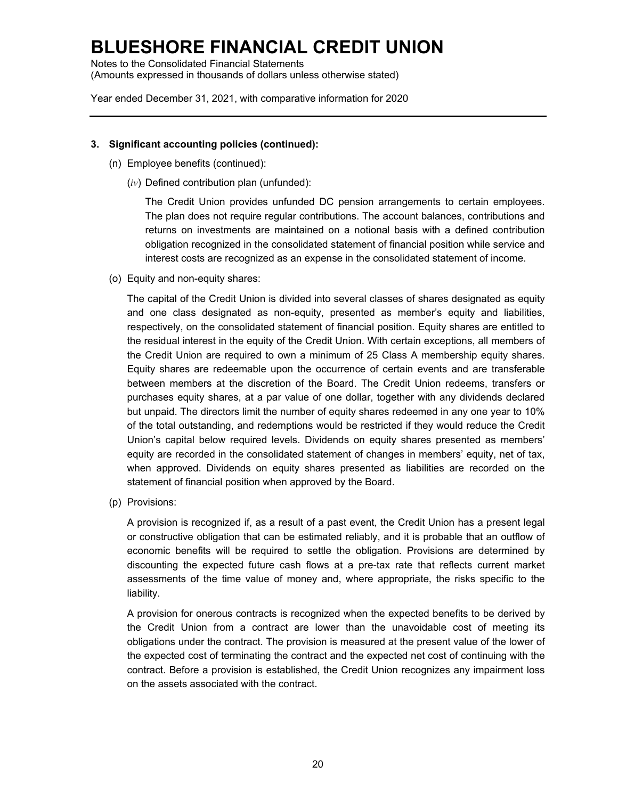Notes to the Consolidated Financial Statements (Amounts expressed in thousands of dollars unless otherwise stated)

Year ended December 31, 2021, with comparative information for 2020

#### **3. Significant accounting policies (continued):**

- (n) Employee benefits (continued):
	- (*iv*) Defined contribution plan (unfunded):

The Credit Union provides unfunded DC pension arrangements to certain employees. The plan does not require regular contributions. The account balances, contributions and returns on investments are maintained on a notional basis with a defined contribution obligation recognized in the consolidated statement of financial position while service and interest costs are recognized as an expense in the consolidated statement of income.

(o) Equity and non-equity shares:

The capital of the Credit Union is divided into several classes of shares designated as equity and one class designated as non-equity, presented as member's equity and liabilities, respectively, on the consolidated statement of financial position. Equity shares are entitled to the residual interest in the equity of the Credit Union. With certain exceptions, all members of the Credit Union are required to own a minimum of 25 Class A membership equity shares. Equity shares are redeemable upon the occurrence of certain events and are transferable between members at the discretion of the Board. The Credit Union redeems, transfers or purchases equity shares, at a par value of one dollar, together with any dividends declared but unpaid. The directors limit the number of equity shares redeemed in any one year to 10% of the total outstanding, and redemptions would be restricted if they would reduce the Credit Union's capital below required levels. Dividends on equity shares presented as members' equity are recorded in the consolidated statement of changes in members' equity, net of tax, when approved. Dividends on equity shares presented as liabilities are recorded on the statement of financial position when approved by the Board.

(p) Provisions:

A provision is recognized if, as a result of a past event, the Credit Union has a present legal or constructive obligation that can be estimated reliably, and it is probable that an outflow of economic benefits will be required to settle the obligation. Provisions are determined by discounting the expected future cash flows at a pre-tax rate that reflects current market assessments of the time value of money and, where appropriate, the risks specific to the liability.

A provision for onerous contracts is recognized when the expected benefits to be derived by the Credit Union from a contract are lower than the unavoidable cost of meeting its obligations under the contract. The provision is measured at the present value of the lower of the expected cost of terminating the contract and the expected net cost of continuing with the contract. Before a provision is established, the Credit Union recognizes any impairment loss on the assets associated with the contract.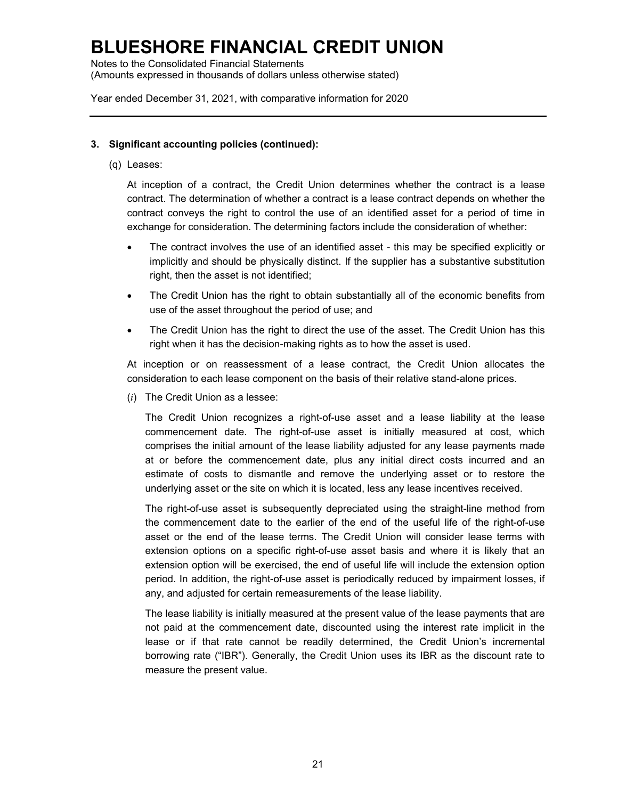Notes to the Consolidated Financial Statements (Amounts expressed in thousands of dollars unless otherwise stated)

Year ended December 31, 2021, with comparative information for 2020

#### **3. Significant accounting policies (continued):**

(q) Leases:

At inception of a contract, the Credit Union determines whether the contract is a lease contract. The determination of whether a contract is a lease contract depends on whether the contract conveys the right to control the use of an identified asset for a period of time in exchange for consideration. The determining factors include the consideration of whether:

- The contract involves the use of an identified asset this may be specified explicitly or implicitly and should be physically distinct. If the supplier has a substantive substitution right, then the asset is not identified;
- The Credit Union has the right to obtain substantially all of the economic benefits from use of the asset throughout the period of use; and
- The Credit Union has the right to direct the use of the asset. The Credit Union has this right when it has the decision-making rights as to how the asset is used.

At inception or on reassessment of a lease contract, the Credit Union allocates the consideration to each lease component on the basis of their relative stand-alone prices.

(*i*) The Credit Union as a lessee:

The Credit Union recognizes a right-of-use asset and a lease liability at the lease commencement date. The right-of-use asset is initially measured at cost, which comprises the initial amount of the lease liability adjusted for any lease payments made at or before the commencement date, plus any initial direct costs incurred and an estimate of costs to dismantle and remove the underlying asset or to restore the underlying asset or the site on which it is located, less any lease incentives received.

The right-of-use asset is subsequently depreciated using the straight-line method from the commencement date to the earlier of the end of the useful life of the right-of-use asset or the end of the lease terms. The Credit Union will consider lease terms with extension options on a specific right-of-use asset basis and where it is likely that an extension option will be exercised, the end of useful life will include the extension option period. In addition, the right-of-use asset is periodically reduced by impairment losses, if any, and adjusted for certain remeasurements of the lease liability.

The lease liability is initially measured at the present value of the lease payments that are not paid at the commencement date, discounted using the interest rate implicit in the lease or if that rate cannot be readily determined, the Credit Union's incremental borrowing rate ("IBR"). Generally, the Credit Union uses its IBR as the discount rate to measure the present value.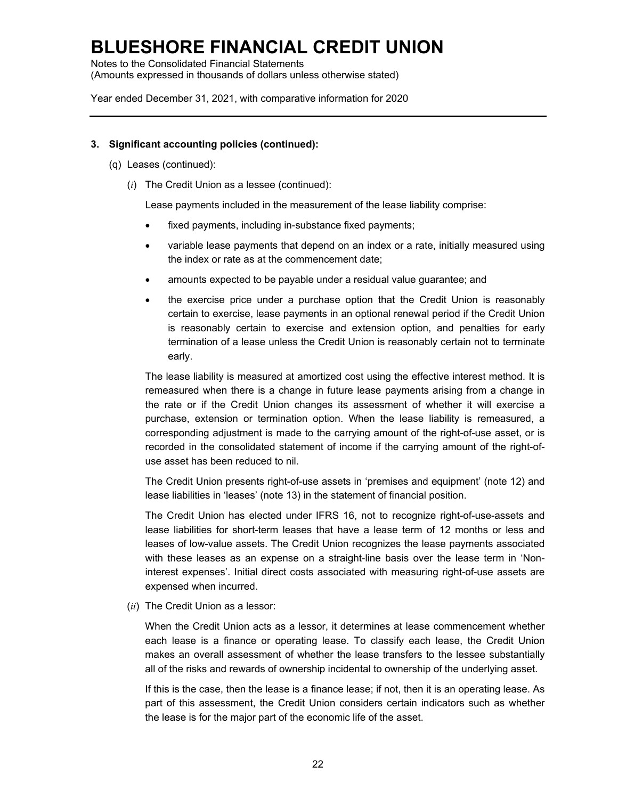Notes to the Consolidated Financial Statements (Amounts expressed in thousands of dollars unless otherwise stated)

Year ended December 31, 2021, with comparative information for 2020

#### **3. Significant accounting policies (continued):**

- (q) Leases (continued):
	- (*i*) The Credit Union as a lessee (continued):

Lease payments included in the measurement of the lease liability comprise:

- fixed payments, including in-substance fixed payments;
- variable lease payments that depend on an index or a rate, initially measured using the index or rate as at the commencement date;
- amounts expected to be payable under a residual value guarantee; and
- the exercise price under a purchase option that the Credit Union is reasonably certain to exercise, lease payments in an optional renewal period if the Credit Union is reasonably certain to exercise and extension option, and penalties for early termination of a lease unless the Credit Union is reasonably certain not to terminate early.

The lease liability is measured at amortized cost using the effective interest method. It is remeasured when there is a change in future lease payments arising from a change in the rate or if the Credit Union changes its assessment of whether it will exercise a purchase, extension or termination option. When the lease liability is remeasured, a corresponding adjustment is made to the carrying amount of the right-of-use asset, or is recorded in the consolidated statement of income if the carrying amount of the right-ofuse asset has been reduced to nil.

The Credit Union presents right-of-use assets in 'premises and equipment' (note 12) and lease liabilities in 'leases' (note 13) in the statement of financial position.

The Credit Union has elected under IFRS 16, not to recognize right-of-use-assets and lease liabilities for short-term leases that have a lease term of 12 months or less and leases of low-value assets. The Credit Union recognizes the lease payments associated with these leases as an expense on a straight-line basis over the lease term in 'Noninterest expenses'. Initial direct costs associated with measuring right-of-use assets are expensed when incurred.

(*ii*) The Credit Union as a lessor:

When the Credit Union acts as a lessor, it determines at lease commencement whether each lease is a finance or operating lease. To classify each lease, the Credit Union makes an overall assessment of whether the lease transfers to the lessee substantially all of the risks and rewards of ownership incidental to ownership of the underlying asset.

If this is the case, then the lease is a finance lease; if not, then it is an operating lease. As part of this assessment, the Credit Union considers certain indicators such as whether the lease is for the major part of the economic life of the asset.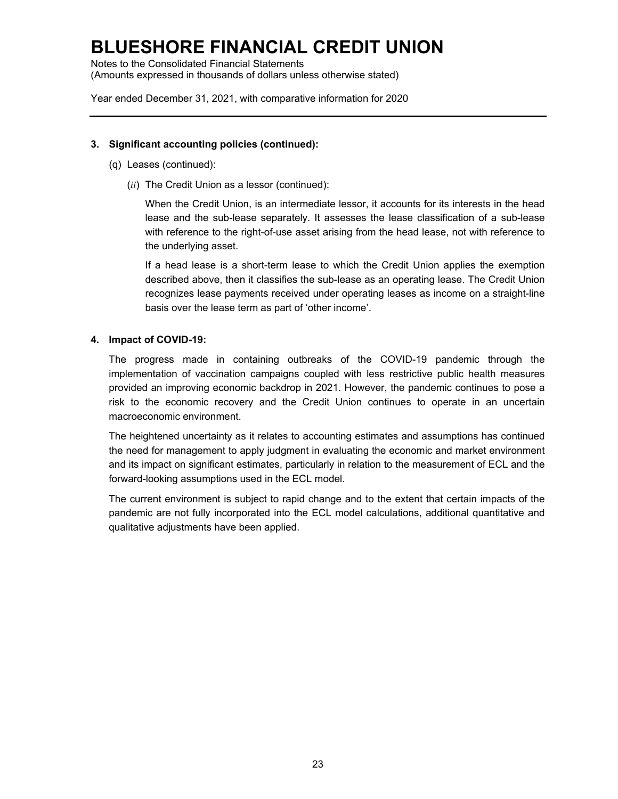Notes to the Consolidated Financial Statements (Amounts expressed in thousands of dollars unless otherwise stated)

Year ended December 31, 2021, with comparative information for 2020

#### **3. Significant accounting policies (continued):**

- (q) Leases (continued):
	- (*ii*) The Credit Union as a lessor (continued):

When the Credit Union, is an intermediate lessor, it accounts for its interests in the head lease and the sub-lease separately. It assesses the lease classification of a sub-lease with reference to the right-of-use asset arising from the head lease, not with reference to the underlying asset.

If a head lease is a short-term lease to which the Credit Union applies the exemption described above, then it classifies the sub-lease as an operating lease. The Credit Union recognizes lease payments received under operating leases as income on a straight-line basis over the lease term as part of 'other income'.

#### **4. Impact of COVID-19:**

The progress made in containing outbreaks of the COVID-19 pandemic through the implementation of vaccination campaigns coupled with less restrictive public health measures provided an improving economic backdrop in 2021. However, the pandemic continues to pose a risk to the economic recovery and the Credit Union continues to operate in an uncertain macroeconomic environment.

The heightened uncertainty as it relates to accounting estimates and assumptions has continued the need for management to apply judgment in evaluating the economic and market environment and its impact on significant estimates, particularly in relation to the measurement of ECL and the forward-looking assumptions used in the ECL model.

The current environment is subject to rapid change and to the extent that certain impacts of the pandemic are not fully incorporated into the ECL model calculations, additional quantitative and qualitative adjustments have been applied.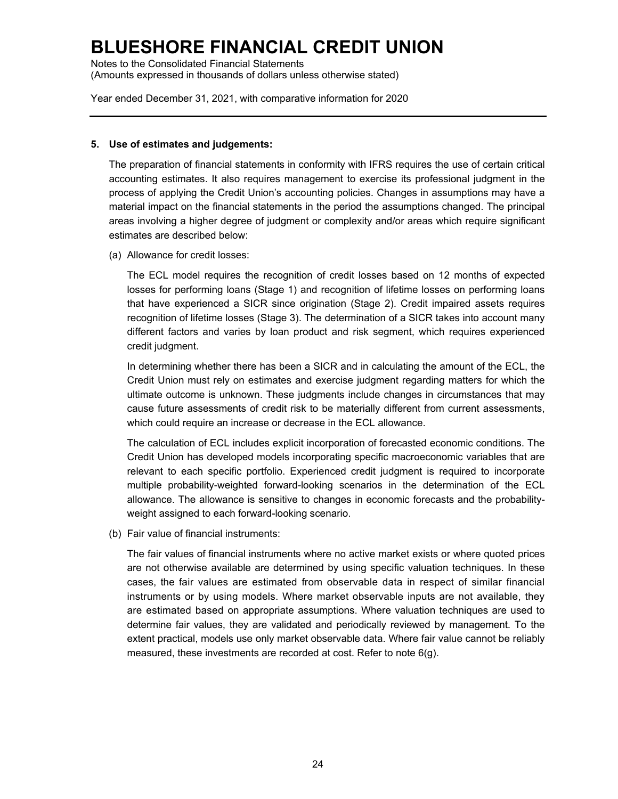Notes to the Consolidated Financial Statements (Amounts expressed in thousands of dollars unless otherwise stated)

Year ended December 31, 2021, with comparative information for 2020

#### **5. Use of estimates and judgements:**

The preparation of financial statements in conformity with IFRS requires the use of certain critical accounting estimates. It also requires management to exercise its professional judgment in the process of applying the Credit Union's accounting policies. Changes in assumptions may have a material impact on the financial statements in the period the assumptions changed. The principal areas involving a higher degree of judgment or complexity and/or areas which require significant estimates are described below:

(a) Allowance for credit losses:

The ECL model requires the recognition of credit losses based on 12 months of expected losses for performing loans (Stage 1) and recognition of lifetime losses on performing loans that have experienced a SICR since origination (Stage 2). Credit impaired assets requires recognition of lifetime losses (Stage 3). The determination of a SICR takes into account many different factors and varies by loan product and risk segment, which requires experienced credit judgment.

In determining whether there has been a SICR and in calculating the amount of the ECL, the Credit Union must rely on estimates and exercise judgment regarding matters for which the ultimate outcome is unknown. These judgments include changes in circumstances that may cause future assessments of credit risk to be materially different from current assessments, which could require an increase or decrease in the ECL allowance.

The calculation of ECL includes explicit incorporation of forecasted economic conditions. The Credit Union has developed models incorporating specific macroeconomic variables that are relevant to each specific portfolio. Experienced credit judgment is required to incorporate multiple probability-weighted forward-looking scenarios in the determination of the ECL allowance. The allowance is sensitive to changes in economic forecasts and the probabilityweight assigned to each forward-looking scenario.

(b) Fair value of financial instruments:

The fair values of financial instruments where no active market exists or where quoted prices are not otherwise available are determined by using specific valuation techniques. In these cases, the fair values are estimated from observable data in respect of similar financial instruments or by using models. Where market observable inputs are not available, they are estimated based on appropriate assumptions. Where valuation techniques are used to determine fair values, they are validated and periodically reviewed by management. To the extent practical, models use only market observable data. Where fair value cannot be reliably measured, these investments are recorded at cost. Refer to note 6(g).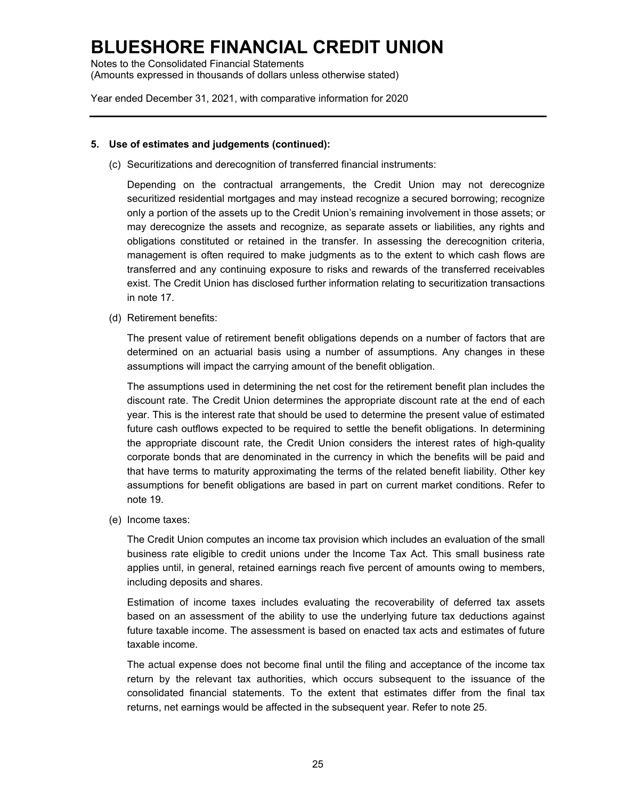Notes to the Consolidated Financial Statements (Amounts expressed in thousands of dollars unless otherwise stated)

Year ended December 31, 2021, with comparative information for 2020

#### **5. Use of estimates and judgements (continued):**

(c) Securitizations and derecognition of transferred financial instruments:

Depending on the contractual arrangements, the Credit Union may not derecognize securitized residential mortgages and may instead recognize a secured borrowing; recognize only a portion of the assets up to the Credit Union's remaining involvement in those assets; or may derecognize the assets and recognize, as separate assets or liabilities, any rights and obligations constituted or retained in the transfer. In assessing the derecognition criteria, management is often required to make judgments as to the extent to which cash flows are transferred and any continuing exposure to risks and rewards of the transferred receivables exist. The Credit Union has disclosed further information relating to securitization transactions in note 17.

(d) Retirement benefits:

The present value of retirement benefit obligations depends on a number of factors that are determined on an actuarial basis using a number of assumptions. Any changes in these assumptions will impact the carrying amount of the benefit obligation.

The assumptions used in determining the net cost for the retirement benefit plan includes the discount rate. The Credit Union determines the appropriate discount rate at the end of each year. This is the interest rate that should be used to determine the present value of estimated future cash outflows expected to be required to settle the benefit obligations. In determining the appropriate discount rate, the Credit Union considers the interest rates of high-quality corporate bonds that are denominated in the currency in which the benefits will be paid and that have terms to maturity approximating the terms of the related benefit liability. Other key assumptions for benefit obligations are based in part on current market conditions. Refer to note 19.

(e) Income taxes:

The Credit Union computes an income tax provision which includes an evaluation of the small business rate eligible to credit unions under the Income Tax Act. This small business rate applies until, in general, retained earnings reach five percent of amounts owing to members, including deposits and shares.

Estimation of income taxes includes evaluating the recoverability of deferred tax assets based on an assessment of the ability to use the underlying future tax deductions against future taxable income. The assessment is based on enacted tax acts and estimates of future taxable income.

The actual expense does not become final until the filing and acceptance of the income tax return by the relevant tax authorities, which occurs subsequent to the issuance of the consolidated financial statements. To the extent that estimates differ from the final tax returns, net earnings would be affected in the subsequent year. Refer to note 25.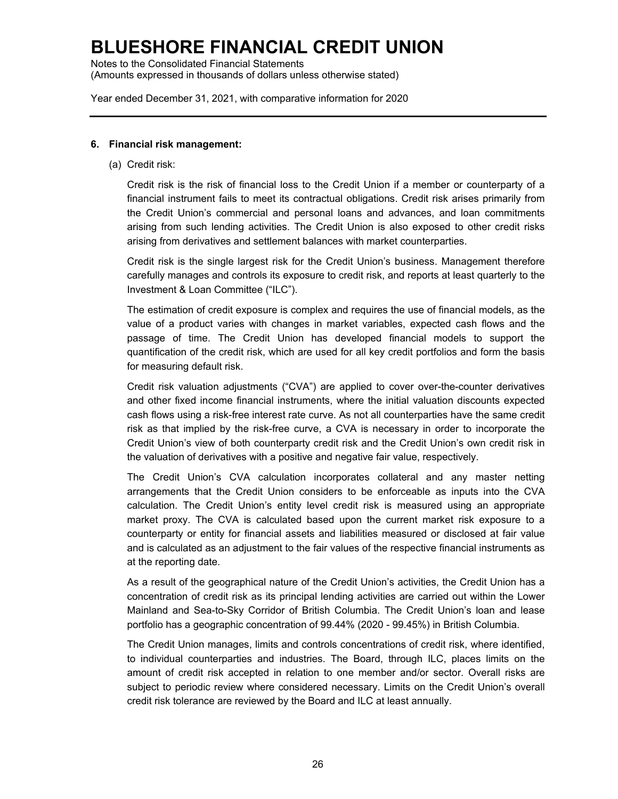Notes to the Consolidated Financial Statements (Amounts expressed in thousands of dollars unless otherwise stated)

Year ended December 31, 2021, with comparative information for 2020

#### **6. Financial risk management:**

(a) Credit risk:

Credit risk is the risk of financial loss to the Credit Union if a member or counterparty of a financial instrument fails to meet its contractual obligations. Credit risk arises primarily from the Credit Union's commercial and personal loans and advances, and loan commitments arising from such lending activities. The Credit Union is also exposed to other credit risks arising from derivatives and settlement balances with market counterparties.

Credit risk is the single largest risk for the Credit Union's business. Management therefore carefully manages and controls its exposure to credit risk, and reports at least quarterly to the Investment & Loan Committee ("ILC").

The estimation of credit exposure is complex and requires the use of financial models, as the value of a product varies with changes in market variables, expected cash flows and the passage of time. The Credit Union has developed financial models to support the quantification of the credit risk, which are used for all key credit portfolios and form the basis for measuring default risk.

Credit risk valuation adjustments ("CVA") are applied to cover over-the-counter derivatives and other fixed income financial instruments, where the initial valuation discounts expected cash flows using a risk-free interest rate curve. As not all counterparties have the same credit risk as that implied by the risk-free curve, a CVA is necessary in order to incorporate the Credit Union's view of both counterparty credit risk and the Credit Union's own credit risk in the valuation of derivatives with a positive and negative fair value, respectively.

The Credit Union's CVA calculation incorporates collateral and any master netting arrangements that the Credit Union considers to be enforceable as inputs into the CVA calculation. The Credit Union's entity level credit risk is measured using an appropriate market proxy. The CVA is calculated based upon the current market risk exposure to a counterparty or entity for financial assets and liabilities measured or disclosed at fair value and is calculated as an adjustment to the fair values of the respective financial instruments as at the reporting date.

As a result of the geographical nature of the Credit Union's activities, the Credit Union has a concentration of credit risk as its principal lending activities are carried out within the Lower Mainland and Sea-to-Sky Corridor of British Columbia. The Credit Union's loan and lease portfolio has a geographic concentration of 99.44% (2020 - 99.45%) in British Columbia.

The Credit Union manages, limits and controls concentrations of credit risk, where identified, to individual counterparties and industries. The Board, through ILC, places limits on the amount of credit risk accepted in relation to one member and/or sector. Overall risks are subject to periodic review where considered necessary. Limits on the Credit Union's overall credit risk tolerance are reviewed by the Board and ILC at least annually.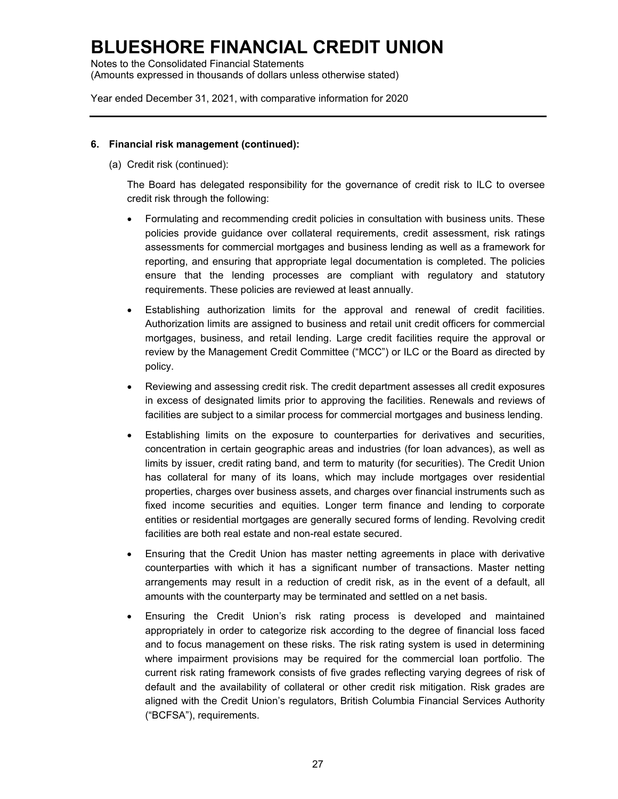Notes to the Consolidated Financial Statements (Amounts expressed in thousands of dollars unless otherwise stated)

Year ended December 31, 2021, with comparative information for 2020

#### **6. Financial risk management (continued):**

(a) Credit risk (continued):

The Board has delegated responsibility for the governance of credit risk to ILC to oversee credit risk through the following:

- Formulating and recommending credit policies in consultation with business units. These policies provide guidance over collateral requirements, credit assessment, risk ratings assessments for commercial mortgages and business lending as well as a framework for reporting, and ensuring that appropriate legal documentation is completed. The policies ensure that the lending processes are compliant with regulatory and statutory requirements. These policies are reviewed at least annually.
- Establishing authorization limits for the approval and renewal of credit facilities. Authorization limits are assigned to business and retail unit credit officers for commercial mortgages, business, and retail lending. Large credit facilities require the approval or review by the Management Credit Committee ("MCC") or ILC or the Board as directed by policy.
- Reviewing and assessing credit risk. The credit department assesses all credit exposures in excess of designated limits prior to approving the facilities. Renewals and reviews of facilities are subject to a similar process for commercial mortgages and business lending.
- Establishing limits on the exposure to counterparties for derivatives and securities, concentration in certain geographic areas and industries (for loan advances), as well as limits by issuer, credit rating band, and term to maturity (for securities). The Credit Union has collateral for many of its loans, which may include mortgages over residential properties, charges over business assets, and charges over financial instruments such as fixed income securities and equities. Longer term finance and lending to corporate entities or residential mortgages are generally secured forms of lending. Revolving credit facilities are both real estate and non-real estate secured.
- Ensuring that the Credit Union has master netting agreements in place with derivative counterparties with which it has a significant number of transactions. Master netting arrangements may result in a reduction of credit risk, as in the event of a default, all amounts with the counterparty may be terminated and settled on a net basis.
- Ensuring the Credit Union's risk rating process is developed and maintained appropriately in order to categorize risk according to the degree of financial loss faced and to focus management on these risks. The risk rating system is used in determining where impairment provisions may be required for the commercial loan portfolio. The current risk rating framework consists of five grades reflecting varying degrees of risk of default and the availability of collateral or other credit risk mitigation. Risk grades are aligned with the Credit Union's regulators, British Columbia Financial Services Authority ("BCFSA"), requirements.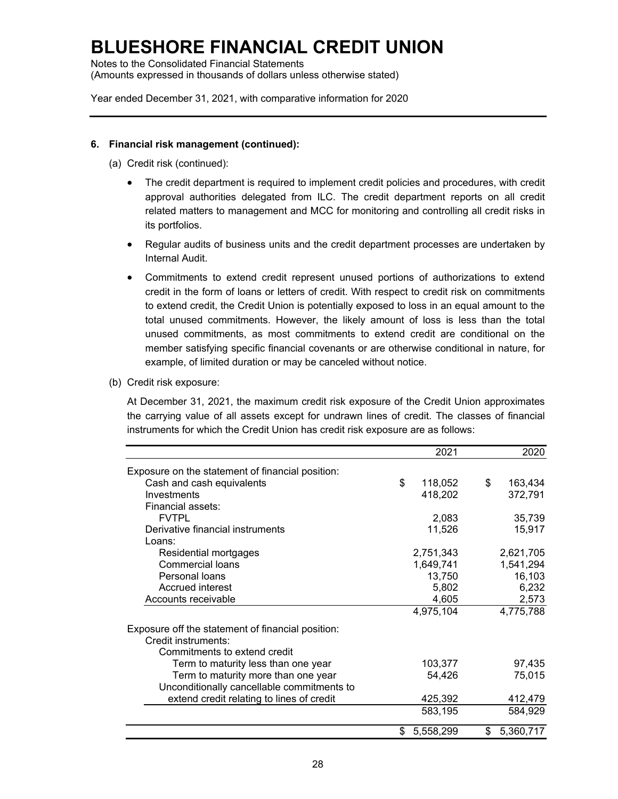Notes to the Consolidated Financial Statements (Amounts expressed in thousands of dollars unless otherwise stated)

Year ended December 31, 2021, with comparative information for 2020

#### **6. Financial risk management (continued):**

- (a) Credit risk (continued):
	- The credit department is required to implement credit policies and procedures, with credit approval authorities delegated from ILC. The credit department reports on all credit related matters to management and MCC for monitoring and controlling all credit risks in its portfolios.
	- Regular audits of business units and the credit department processes are undertaken by Internal Audit.
	- Commitments to extend credit represent unused portions of authorizations to extend credit in the form of loans or letters of credit. With respect to credit risk on commitments to extend credit, the Credit Union is potentially exposed to loss in an equal amount to the total unused commitments. However, the likely amount of loss is less than the total unused commitments, as most commitments to extend credit are conditional on the member satisfying specific financial covenants or are otherwise conditional in nature, for example, of limited duration or may be canceled without notice.
- (b) Credit risk exposure:

At December 31, 2021, the maximum credit risk exposure of the Credit Union approximates the carrying value of all assets except for undrawn lines of credit. The classes of financial instruments for which the Credit Union has credit risk exposure are as follows:

|                                                   | 2021            | 2020            |
|---------------------------------------------------|-----------------|-----------------|
| Exposure on the statement of financial position:  |                 |                 |
| Cash and cash equivalents                         | \$<br>118,052   | \$<br>163,434   |
| Investments                                       | 418,202         | 372,791         |
| Financial assets:                                 |                 |                 |
| <b>FVTPL</b>                                      | 2,083           | 35,739          |
| Derivative financial instruments                  | 11,526          | 15,917          |
| Loans:                                            |                 |                 |
| Residential mortgages                             | 2,751,343       | 2,621,705       |
| Commercial loans                                  | 1,649,741       | 1,541,294       |
| Personal loans                                    | 13,750          | 16,103          |
| Accrued interest                                  | 5,802           | 6,232           |
| Accounts receivable                               | 4,605           | 2,573           |
|                                                   | 4,975,104       | 4,775,788       |
| Exposure off the statement of financial position: |                 |                 |
| Credit instruments:                               |                 |                 |
| Commitments to extend credit                      |                 |                 |
| Term to maturity less than one year               | 103,377         | 97,435          |
| Term to maturity more than one year               | 54,426          | 75,015          |
| Unconditionally cancellable commitments to        |                 |                 |
| extend credit relating to lines of credit         | 425,392         | 412,479         |
|                                                   | 583,195         | 584,929         |
|                                                   | \$<br>5,558,299 | \$<br>5,360,717 |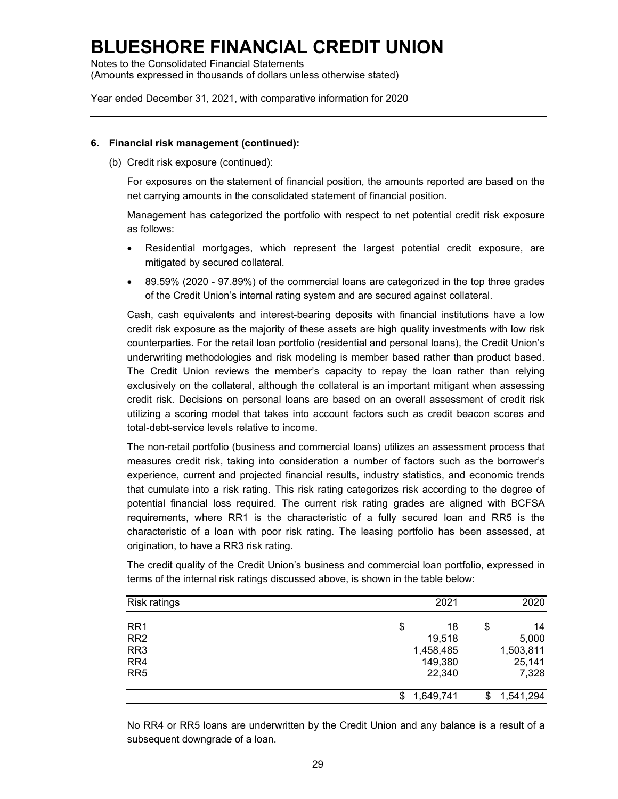Notes to the Consolidated Financial Statements (Amounts expressed in thousands of dollars unless otherwise stated)

Year ended December 31, 2021, with comparative information for 2020

#### **6. Financial risk management (continued):**

(b) Credit risk exposure (continued):

For exposures on the statement of financial position, the amounts reported are based on the net carrying amounts in the consolidated statement of financial position.

Management has categorized the portfolio with respect to net potential credit risk exposure as follows:

- Residential mortgages, which represent the largest potential credit exposure, are mitigated by secured collateral.
- 89.59% (2020 97.89%) of the commercial loans are categorized in the top three grades of the Credit Union's internal rating system and are secured against collateral.

Cash, cash equivalents and interest-bearing deposits with financial institutions have a low credit risk exposure as the majority of these assets are high quality investments with low risk counterparties. For the retail loan portfolio (residential and personal loans), the Credit Union's underwriting methodologies and risk modeling is member based rather than product based. The Credit Union reviews the member's capacity to repay the loan rather than relying exclusively on the collateral, although the collateral is an important mitigant when assessing credit risk. Decisions on personal loans are based on an overall assessment of credit risk utilizing a scoring model that takes into account factors such as credit beacon scores and total-debt-service levels relative to income.

The non-retail portfolio (business and commercial loans) utilizes an assessment process that measures credit risk, taking into consideration a number of factors such as the borrower's experience, current and projected financial results, industry statistics, and economic trends that cumulate into a risk rating. This risk rating categorizes risk according to the degree of potential financial loss required. The current risk rating grades are aligned with BCFSA requirements, where RR1 is the characteristic of a fully secured loan and RR5 is the characteristic of a loan with poor risk rating. The leasing portfolio has been assessed, at origination, to have a RR3 risk rating.

The credit quality of the Credit Union's business and commercial loan portfolio, expressed in terms of the internal risk ratings discussed above, is shown in the table below:

| Risk ratings    |                 | 2021    | 2020            |
|-----------------|-----------------|---------|-----------------|
| RR <sub>1</sub> | \$              | 18      | \$<br>14        |
| RR <sub>2</sub> |                 | 19,518  | 5,000           |
| RR <sub>3</sub> | 1,458,485       |         | 1,503,811       |
| RR4             |                 | 149,380 | 25,141          |
| RR <sub>5</sub> |                 | 22,340  | 7,328           |
|                 | 1,649,741<br>\$ |         | \$<br>1,541,294 |

No RR4 or RR5 loans are underwritten by the Credit Union and any balance is a result of a subsequent downgrade of a loan.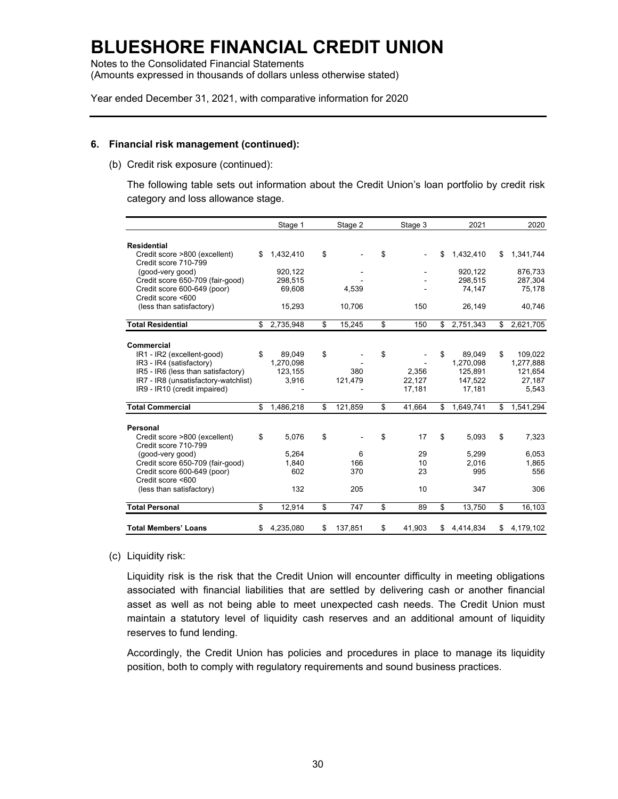Notes to the Consolidated Financial Statements (Amounts expressed in thousands of dollars unless otherwise stated)

Year ended December 31, 2021, with comparative information for 2020

#### **6. Financial risk management (continued):**

(b) Credit risk exposure (continued):

The following table sets out information about the Credit Union's loan portfolio by credit risk category and loss allowance stage.

|                                                       | Stage 1         | Stage 2       | Stage 3      | 2021            | 2020            |
|-------------------------------------------------------|-----------------|---------------|--------------|-----------------|-----------------|
| <b>Residential</b>                                    |                 |               |              |                 |                 |
| Credit score >800 (excellent)<br>Credit score 710-799 | \$<br>1,432,410 | \$            | \$           | \$<br>1,432,410 | \$<br>1,341,744 |
| (good-very good)                                      | 920.122         |               |              | 920.122         | 876.733         |
| Credit score 650-709 (fair-good)                      | 298,515         |               |              | 298,515         | 287,304         |
| Credit score 600-649 (poor)<br>Credit score <600      | 69,608          | 4,539         |              | 74,147          | 75,178          |
| (less than satisfactory)                              | 15,293          | 10,706        | 150          | 26,149          | 40,746          |
| <b>Total Residential</b>                              | \$<br>2,735,948 | \$<br>15,245  | \$<br>150    | \$<br>2,751,343 | \$<br>2,621,705 |
| Commercial                                            |                 |               |              |                 |                 |
| IR1 - IR2 (excellent-good)                            | \$<br>89,049    | \$            | \$           | \$<br>89,049    | \$<br>109,022   |
| IR3 - IR4 (satisfactory)                              | 1,270,098       |               |              | 1,270,098       | 1,277,888       |
| IR5 - IR6 (less than satisfactory)                    | 123,155         | 380           | 2,356        | 125,891         | 121,654         |
| IR7 - IR8 (unsatisfactory-watchlist)                  | 3,916           | 121,479       | 22,127       | 147,522         | 27,187          |
| IR9 - IR10 (credit impaired)                          |                 |               | 17,181       | 17,181          | 5,543           |
| <b>Total Commercial</b>                               | \$<br>1,486,218 | \$<br>121,859 | \$<br>41,664 | \$<br>1,649,741 | \$<br>1,541,294 |
| <b>Personal</b>                                       |                 |               |              |                 |                 |
| Credit score >800 (excellent)<br>Credit score 710-799 | \$<br>5,076     | \$            | \$<br>17     | \$<br>5,093     | \$<br>7,323     |
| (good-very good)                                      | 5,264           | 6             | 29           | 5,299           | 6,053           |
| Credit score 650-709 (fair-good)                      | 1,840           | 166           | 10           | 2,016           | 1,865           |
| Credit score 600-649 (poor)                           | 602             | 370           | 23           | 995             | 556             |
| Credit score <600                                     |                 |               |              |                 |                 |
| (less than satisfactory)                              | 132             | 205           | 10           | 347             | 306             |
| <b>Total Personal</b>                                 | \$<br>12,914    | \$<br>747     | \$<br>89     | \$<br>13,750    | \$<br>16,103    |
| <b>Total Members' Loans</b>                           | \$<br>4,235,080 | \$<br>137,851 | \$<br>41,903 | \$<br>4,414,834 | \$<br>4,179,102 |

#### (c) Liquidity risk:

Liquidity risk is the risk that the Credit Union will encounter difficulty in meeting obligations associated with financial liabilities that are settled by delivering cash or another financial asset as well as not being able to meet unexpected cash needs. The Credit Union must maintain a statutory level of liquidity cash reserves and an additional amount of liquidity reserves to fund lending.

Accordingly, the Credit Union has policies and procedures in place to manage its liquidity position, both to comply with regulatory requirements and sound business practices.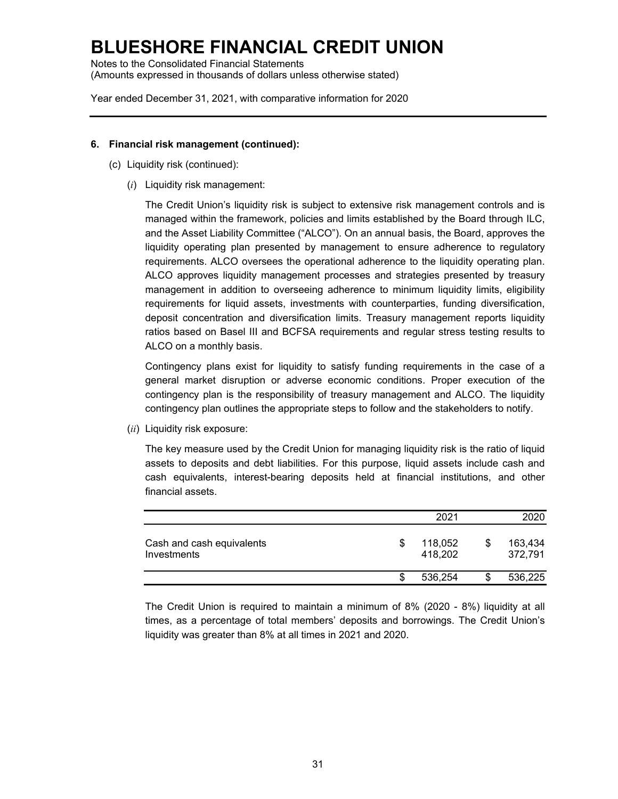Notes to the Consolidated Financial Statements (Amounts expressed in thousands of dollars unless otherwise stated)

Year ended December 31, 2021, with comparative information for 2020

#### **6. Financial risk management (continued):**

- (c) Liquidity risk (continued):
	- (*i*) Liquidity risk management:

The Credit Union's liquidity risk is subject to extensive risk management controls and is managed within the framework, policies and limits established by the Board through ILC, and the Asset Liability Committee ("ALCO"). On an annual basis, the Board, approves the liquidity operating plan presented by management to ensure adherence to regulatory requirements. ALCO oversees the operational adherence to the liquidity operating plan. ALCO approves liquidity management processes and strategies presented by treasury management in addition to overseeing adherence to minimum liquidity limits, eligibility requirements for liquid assets, investments with counterparties, funding diversification, deposit concentration and diversification limits. Treasury management reports liquidity ratios based on Basel III and BCFSA requirements and regular stress testing results to ALCO on a monthly basis.

Contingency plans exist for liquidity to satisfy funding requirements in the case of a general market disruption or adverse economic conditions. Proper execution of the contingency plan is the responsibility of treasury management and ALCO. The liquidity contingency plan outlines the appropriate steps to follow and the stakeholders to notify.

(*ii*) Liquidity risk exposure:

The key measure used by the Credit Union for managing liquidity risk is the ratio of liquid assets to deposits and debt liabilities. For this purpose, liquid assets include cash and cash equivalents, interest-bearing deposits held at financial institutions, and other financial assets.

|                                          |   | 2021               |   | 2020               |
|------------------------------------------|---|--------------------|---|--------------------|
| Cash and cash equivalents<br>Investments | S | 118,052<br>418,202 | S | 163,434<br>372,791 |
|                                          |   | 536.254            |   | 536,225            |

The Credit Union is required to maintain a minimum of 8% (2020 - 8%) liquidity at all times, as a percentage of total members' deposits and borrowings. The Credit Union's liquidity was greater than 8% at all times in 2021 and 2020.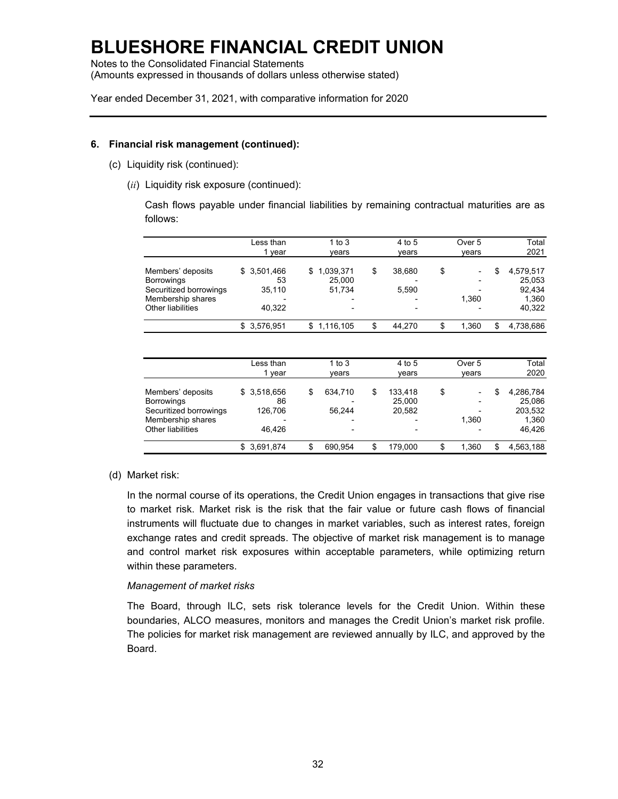Notes to the Consolidated Financial Statements (Amounts expressed in thousands of dollars unless otherwise stated)

Year ended December 31, 2021, with comparative information for 2020

### **6. Financial risk management (continued):**

- (c) Liquidity risk (continued):
	- (*ii*) Liquidity risk exposure (continued):

Cash flows payable under financial liabilities by remaining contractual maturities are as follows:

|                                                                                                            | Less than<br>vear                     | 1 to $3$<br>vears                                                     | 4 to 5<br>vears                                   | Over 5<br>vears  | Total<br>2021                                          |
|------------------------------------------------------------------------------------------------------------|---------------------------------------|-----------------------------------------------------------------------|---------------------------------------------------|------------------|--------------------------------------------------------|
| Members' deposits<br><b>Borrowings</b><br>Securitized borrowings<br>Membership shares<br>Other liabilities | \$3,501,466<br>53<br>35.110<br>40.322 | 1,039,371<br>\$.<br>25,000<br>51.734<br>۰<br>$\overline{\phantom{0}}$ | \$<br>38,680<br>5.590<br>$\overline{\phantom{a}}$ | \$<br>-<br>1.360 | \$<br>4,579,517<br>25,053<br>92.434<br>1.360<br>40,322 |
|                                                                                                            | \$3,576,951                           | \$1,116,105                                                           | \$<br>44.270                                      | 1.360            | 4,738,686                                              |

|                        | Less than<br>year | 1 to 3<br>vears          |    | 4 to 5<br>vears          | Over 5<br>vears | Total<br>2020   |
|------------------------|-------------------|--------------------------|----|--------------------------|-----------------|-----------------|
| Members' deposits      | \$3,518,656       | \$<br>634,710            | S  | 133.418                  |                 | \$<br>4,286,784 |
| <b>Borrowings</b>      | 86                |                          |    | 25,000                   |                 | 25.086          |
| Securitized borrowings | 126.706           | 56.244                   |    | 20,582                   |                 | 203,532         |
| Membership shares      |                   | ۰                        |    | $\overline{\phantom{0}}$ | 1.360           | 1.360           |
| Other liabilities      | 46.426            | $\overline{\phantom{0}}$ |    | $\overline{\phantom{a}}$ |                 | 46.426          |
|                        | \$3.691.874       | \$<br>690.954            | \$ | 179.000                  | 1.360           | \$<br>4.563.188 |

### (d) Market risk:

In the normal course of its operations, the Credit Union engages in transactions that give rise to market risk. Market risk is the risk that the fair value or future cash flows of financial instruments will fluctuate due to changes in market variables, such as interest rates, foreign exchange rates and credit spreads. The objective of market risk management is to manage and control market risk exposures within acceptable parameters, while optimizing return within these parameters.

### *Management of market risks*

The Board, through ILC, sets risk tolerance levels for the Credit Union. Within these boundaries, ALCO measures, monitors and manages the Credit Union's market risk profile. The policies for market risk management are reviewed annually by ILC, and approved by the Board.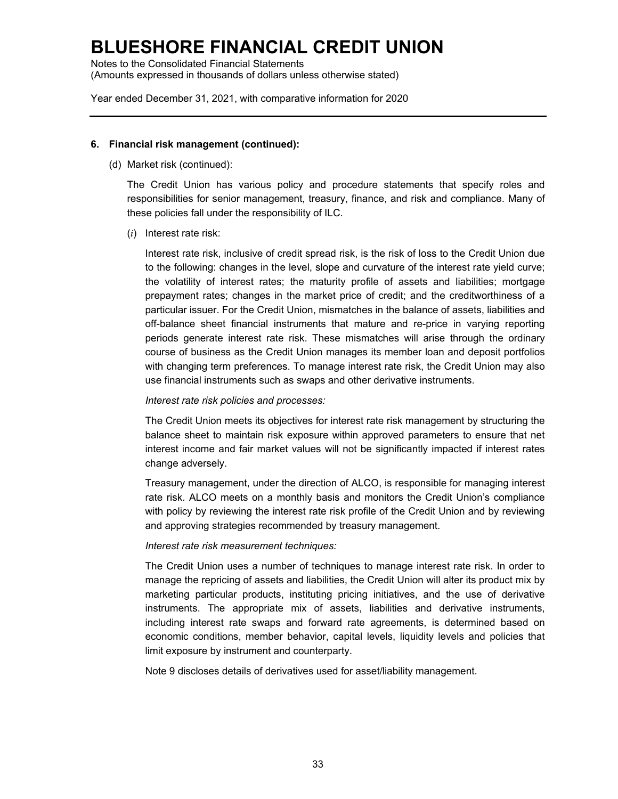Notes to the Consolidated Financial Statements (Amounts expressed in thousands of dollars unless otherwise stated)

Year ended December 31, 2021, with comparative information for 2020

### **6. Financial risk management (continued):**

(d) Market risk (continued):

The Credit Union has various policy and procedure statements that specify roles and responsibilities for senior management, treasury, finance, and risk and compliance. Many of these policies fall under the responsibility of ILC.

(*i*) Interest rate risk:

Interest rate risk, inclusive of credit spread risk, is the risk of loss to the Credit Union due to the following: changes in the level, slope and curvature of the interest rate yield curve; the volatility of interest rates; the maturity profile of assets and liabilities; mortgage prepayment rates; changes in the market price of credit; and the creditworthiness of a particular issuer. For the Credit Union, mismatches in the balance of assets, liabilities and off-balance sheet financial instruments that mature and re-price in varying reporting periods generate interest rate risk. These mismatches will arise through the ordinary course of business as the Credit Union manages its member loan and deposit portfolios with changing term preferences. To manage interest rate risk, the Credit Union may also use financial instruments such as swaps and other derivative instruments.

### *Interest rate risk policies and processes:*

The Credit Union meets its objectives for interest rate risk management by structuring the balance sheet to maintain risk exposure within approved parameters to ensure that net interest income and fair market values will not be significantly impacted if interest rates change adversely.

Treasury management, under the direction of ALCO, is responsible for managing interest rate risk. ALCO meets on a monthly basis and monitors the Credit Union's compliance with policy by reviewing the interest rate risk profile of the Credit Union and by reviewing and approving strategies recommended by treasury management.

### *Interest rate risk measurement techniques:*

The Credit Union uses a number of techniques to manage interest rate risk. In order to manage the repricing of assets and liabilities, the Credit Union will alter its product mix by marketing particular products, instituting pricing initiatives, and the use of derivative instruments. The appropriate mix of assets, liabilities and derivative instruments, including interest rate swaps and forward rate agreements, is determined based on economic conditions, member behavior, capital levels, liquidity levels and policies that limit exposure by instrument and counterparty.

Note 9 discloses details of derivatives used for asset/liability management.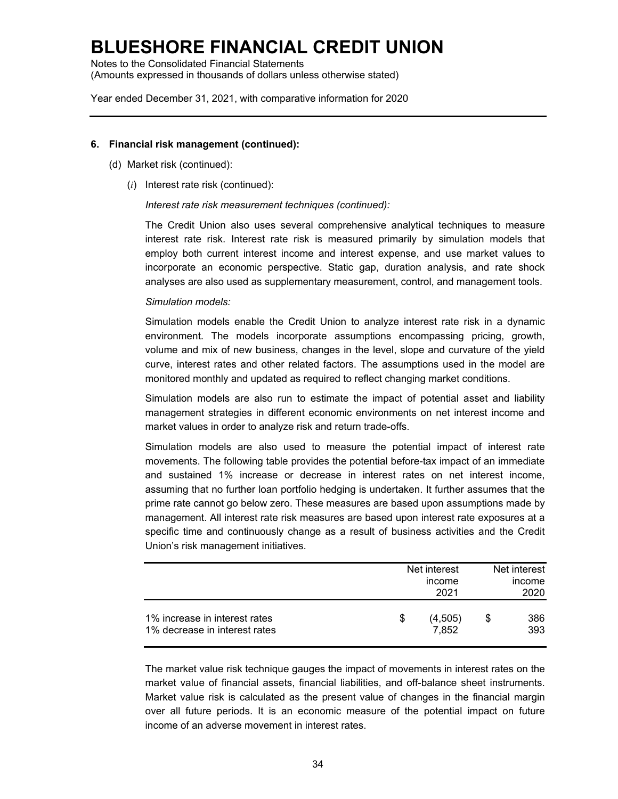Notes to the Consolidated Financial Statements (Amounts expressed in thousands of dollars unless otherwise stated)

Year ended December 31, 2021, with comparative information for 2020

#### **6. Financial risk management (continued):**

- (d) Market risk (continued):
	- (*i*) Interest rate risk (continued):

*Interest rate risk measurement techniques (continued):*

The Credit Union also uses several comprehensive analytical techniques to measure interest rate risk. Interest rate risk is measured primarily by simulation models that employ both current interest income and interest expense, and use market values to incorporate an economic perspective. Static gap, duration analysis, and rate shock analyses are also used as supplementary measurement, control, and management tools.

### *Simulation models:*

Simulation models enable the Credit Union to analyze interest rate risk in a dynamic environment. The models incorporate assumptions encompassing pricing, growth, volume and mix of new business, changes in the level, slope and curvature of the yield curve, interest rates and other related factors. The assumptions used in the model are monitored monthly and updated as required to reflect changing market conditions.

Simulation models are also run to estimate the impact of potential asset and liability management strategies in different economic environments on net interest income and market values in order to analyze risk and return trade-offs.

Simulation models are also used to measure the potential impact of interest rate movements. The following table provides the potential before-tax impact of an immediate and sustained 1% increase or decrease in interest rates on net interest income, assuming that no further loan portfolio hedging is undertaken. It further assumes that the prime rate cannot go below zero. These measures are based upon assumptions made by management. All interest rate risk measures are based upon interest rate exposures at a specific time and continuously change as a result of business activities and the Credit Union's risk management initiatives.

|                                                                |   | Net interest<br>income<br>2021 |   | Net interest<br>income<br>2020 |
|----------------------------------------------------------------|---|--------------------------------|---|--------------------------------|
| 1% increase in interest rates<br>1% decrease in interest rates | S | (4,505)<br>7,852               | S | 386<br>393                     |

The market value risk technique gauges the impact of movements in interest rates on the market value of financial assets, financial liabilities, and off-balance sheet instruments. Market value risk is calculated as the present value of changes in the financial margin over all future periods. It is an economic measure of the potential impact on future income of an adverse movement in interest rates.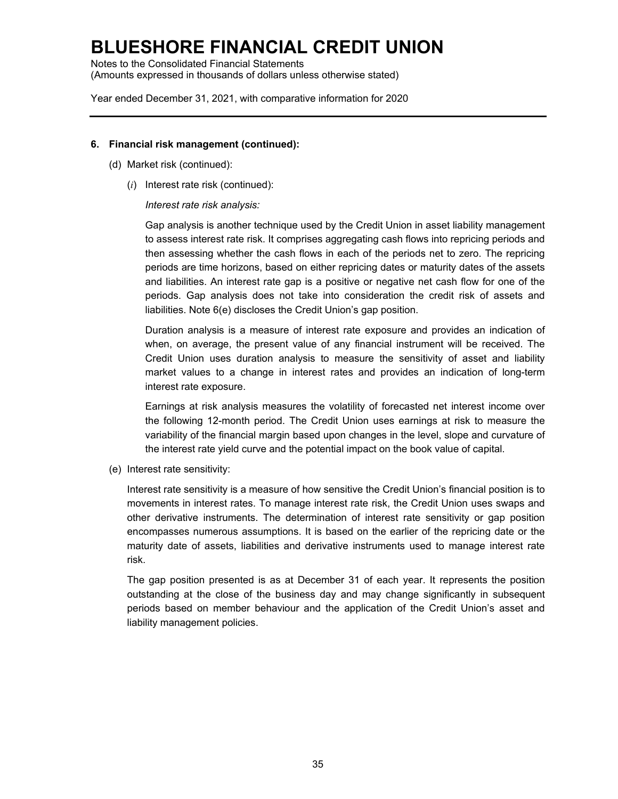Notes to the Consolidated Financial Statements (Amounts expressed in thousands of dollars unless otherwise stated)

Year ended December 31, 2021, with comparative information for 2020

#### **6. Financial risk management (continued):**

- (d) Market risk (continued):
	- (*i*) Interest rate risk (continued):

### *Interest rate risk analysis:*

Gap analysis is another technique used by the Credit Union in asset liability management to assess interest rate risk. It comprises aggregating cash flows into repricing periods and then assessing whether the cash flows in each of the periods net to zero. The repricing periods are time horizons, based on either repricing dates or maturity dates of the assets and liabilities. An interest rate gap is a positive or negative net cash flow for one of the periods. Gap analysis does not take into consideration the credit risk of assets and liabilities. Note 6(e) discloses the Credit Union's gap position.

Duration analysis is a measure of interest rate exposure and provides an indication of when, on average, the present value of any financial instrument will be received. The Credit Union uses duration analysis to measure the sensitivity of asset and liability market values to a change in interest rates and provides an indication of long-term interest rate exposure.

Earnings at risk analysis measures the volatility of forecasted net interest income over the following 12-month period. The Credit Union uses earnings at risk to measure the variability of the financial margin based upon changes in the level, slope and curvature of the interest rate yield curve and the potential impact on the book value of capital.

(e) Interest rate sensitivity:

Interest rate sensitivity is a measure of how sensitive the Credit Union's financial position is to movements in interest rates. To manage interest rate risk, the Credit Union uses swaps and other derivative instruments. The determination of interest rate sensitivity or gap position encompasses numerous assumptions. It is based on the earlier of the repricing date or the maturity date of assets, liabilities and derivative instruments used to manage interest rate risk.

The gap position presented is as at December 31 of each year. It represents the position outstanding at the close of the business day and may change significantly in subsequent periods based on member behaviour and the application of the Credit Union's asset and liability management policies.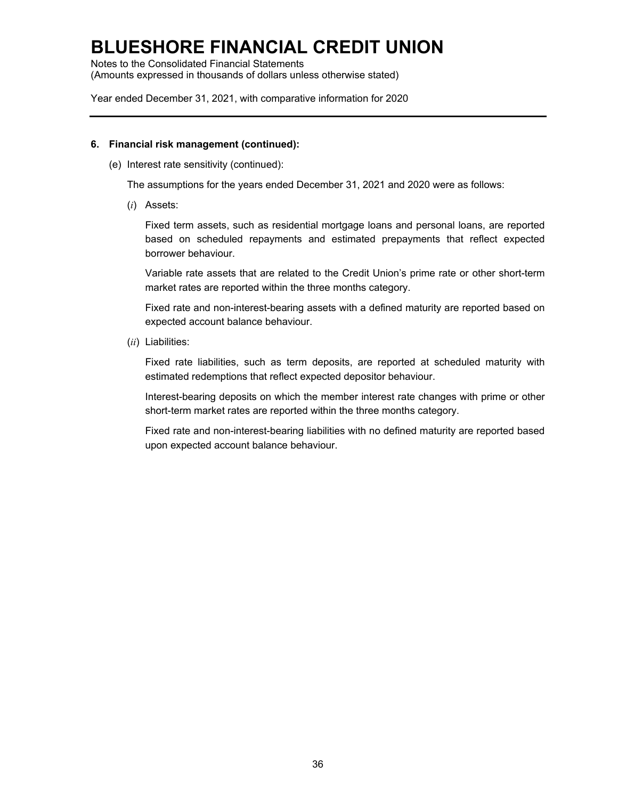Notes to the Consolidated Financial Statements (Amounts expressed in thousands of dollars unless otherwise stated)

Year ended December 31, 2021, with comparative information for 2020

#### **6. Financial risk management (continued):**

(e) Interest rate sensitivity (continued):

The assumptions for the years ended December 31, 2021 and 2020 were as follows:

(*i*) Assets:

Fixed term assets, such as residential mortgage loans and personal loans, are reported based on scheduled repayments and estimated prepayments that reflect expected borrower behaviour.

Variable rate assets that are related to the Credit Union's prime rate or other short-term market rates are reported within the three months category.

Fixed rate and non-interest-bearing assets with a defined maturity are reported based on expected account balance behaviour.

(*ii*) Liabilities:

Fixed rate liabilities, such as term deposits, are reported at scheduled maturity with estimated redemptions that reflect expected depositor behaviour.

Interest-bearing deposits on which the member interest rate changes with prime or other short-term market rates are reported within the three months category.

Fixed rate and non-interest-bearing liabilities with no defined maturity are reported based upon expected account balance behaviour.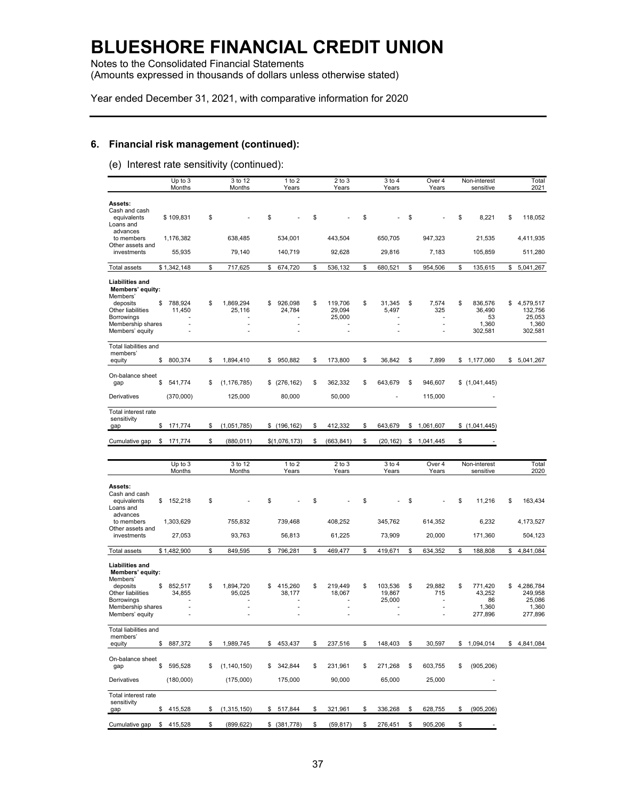Notes to the Consolidated Financial Statements (Amounts expressed in thousands of dollars unless otherwise stated)

Year ended December 31, 2021, with comparative information for 2020

### **6. Financial risk management (continued):**

(e) Interest rate sensitivity (continued):

|                                                                                                       | Up to 3<br>Months       | 3 to 12<br>Months         | $1$ to $2$<br>Years     | $2$ to $3$<br>Years               | 3 to 4<br>Years                   | Over 4<br>Years               | Non-interest<br>sensitive              | Total<br>2021                                 |
|-------------------------------------------------------------------------------------------------------|-------------------------|---------------------------|-------------------------|-----------------------------------|-----------------------------------|-------------------------------|----------------------------------------|-----------------------------------------------|
| Assets:<br>Cash and cash<br>equivalents<br>Loans and                                                  | \$109,831               | \$                        | \$                      | \$                                | \$                                | \$                            | \$<br>8,221                            | \$<br>118,052                                 |
| advances<br>to members                                                                                | 1,176,382               | 638,485                   | 534,001                 | 443,504                           | 650,705                           | 947,323                       | 21,535                                 | 4,411,935                                     |
| Other assets and<br>investments                                                                       | 55,935                  | 79,140                    | 140,719                 | 92,628                            | 29,816                            | 7,183                         | 105,859                                | 511,280                                       |
| Total assets                                                                                          | \$1,342,148             | \$<br>717,625             | \$<br>674,720           | \$<br>536,132                     | \$<br>680,521                     | \$<br>954,506                 | \$<br>135,615                          | \$<br>5,041,267                               |
| <b>Liabilities and</b><br>Members' equity:<br>Members'<br>deposits<br>Other liabilities<br>Borrowings | \$<br>788,924<br>11.450 | \$<br>1,869,294<br>25.116 | \$<br>926,098<br>24.784 | \$<br>119,706<br>29,094<br>25,000 | \$<br>31,345<br>5,497             | \$<br>7,574<br>325            | \$<br>836,576<br>36,490<br>53          | \$<br>4,579,517<br>132.756<br>25,053          |
| Membership shares<br>Members' equity                                                                  |                         | ٠                         | ä,                      |                                   |                                   | ÷,                            | 1,360<br>302,581                       | 1,360<br>302,581                              |
| Total liabilities and<br>members'<br>equity                                                           | \$<br>800,374           | \$<br>1,894,410           | \$<br>950,882           | \$<br>173,800                     | \$<br>36,842                      | \$<br>7,899                   | \$<br>1,177,060                        | \$<br>5,041,267                               |
| On-balance sheet                                                                                      |                         |                           |                         |                                   |                                   |                               |                                        |                                               |
| gap                                                                                                   | \$<br>541,774           | \$<br>(1, 176, 785)       | \$(276, 162)            | \$<br>362,332                     | \$<br>643,679                     | \$<br>946,607                 | \$(1,041,445)                          |                                               |
| Derivatives                                                                                           | (370,000)               | 125,000                   | 80,000                  | 50,000                            | ٠                                 | 115,000                       |                                        |                                               |
| Total interest rate<br>sensitivity<br>gap                                                             | \$<br>171,774           | \$<br>(1,051,785)         | \$(196, 162)            | \$<br>412,332                     | \$<br>643,679                     | \$<br>1,061,607               | \$(1,041,445)                          |                                               |
| Cumulative gap                                                                                        | \$<br>171,774           | \$<br>(880, 011)          | \$(1,076,173)           | \$<br>(663, 841)                  | \$<br>(20, 162)                   | \$<br>1,041,445               | \$                                     |                                               |
|                                                                                                       |                         |                           |                         |                                   |                                   |                               |                                        |                                               |
|                                                                                                       | Up to 3<br>Months       | 3 to 12<br>Months         | 1 to 2<br>Years         | $2$ to $3$<br>Years               | 3 to 4<br>Years                   | Over 4<br>Years               | Non-interest<br>sensitive              | Total<br>2020                                 |
| Assets:<br>Cash and cash<br>equivalents<br>Loans and                                                  | \$<br>152,218           | \$                        | \$                      | \$                                | \$                                | \$                            | \$<br>11,216                           | \$<br>163,434                                 |
| advances<br>to members                                                                                | 1,303,629               | 755,832                   | 739,468                 | 408,252                           | 345,762                           | 614,352                       | 6,232                                  | 4,173,527                                     |
| Other assets and<br>investments                                                                       | 27,053                  | 93,763                    | 56,813                  | 61,225                            | 73,909                            | 20,000                        | 171,360                                | 504,123                                       |
| <b>Total assets</b>                                                                                   | \$1,482,900             | \$<br>849,595             | \$<br>796,281           | \$<br>469,477                     | \$<br>419,671                     | \$<br>634,352                 | \$<br>188,808                          | \$<br>4,841,084                               |
| <b>Liabilities and</b><br>Members' equity:<br>Members'                                                |                         |                           |                         |                                   |                                   |                               |                                        |                                               |
| deposits<br>Other liabilities<br><b>Borrowings</b><br>Membership shares                               | \$<br>852,517<br>34,855 | \$<br>1,894,720<br>95,025 | \$<br>415,260<br>38,177 | \$<br>219,449<br>18,067<br>٠      | \$<br>103,536<br>19,867<br>25,000 | \$<br>29,882<br>715<br>٠<br>٠ | \$<br>771.420<br>43,252<br>86<br>1,360 | \$<br>4,286,784<br>249.958<br>25,086<br>1,360 |
| Members' equity                                                                                       |                         |                           |                         | ÷.                                |                                   | ÷,                            | 277,896                                | 277,896                                       |
| Total liabilities and<br>members'<br>equity                                                           | \$<br>887,372           | \$<br>1,989,745           | \$<br>453,437           | \$<br>237,516                     | \$<br>148,403                     | \$<br>30,597                  | \$<br>1,094,014                        | \$4,841,084                                   |
| On-balance sheet<br>gap                                                                               | \$<br>595,528           | \$<br>(1, 140, 150)       | \$<br>342,844           | \$<br>231,961                     | \$<br>271,268                     | \$<br>603,755                 | \$<br>(905, 206)                       |                                               |
| Derivatives                                                                                           | (180,000)               | (175,000)                 | 175,000                 | 90,000                            | 65,000                            | 25,000                        | ۰                                      |                                               |
| Total interest rate<br>sensitivity<br>gap                                                             | \$415,528               | \$<br>(1,315,150)         | \$ 517,844              | \$<br>321,961                     | \$<br>336,268                     | \$<br>628,755                 | \$<br>(905, 206)                       |                                               |
| Cumulative gap                                                                                        | \$415,528               | \$<br>(899, 622)          | \$ (381,778)            | \$<br>(59, 817)                   | \$<br>276,451                     | \$<br>905,206                 | \$                                     |                                               |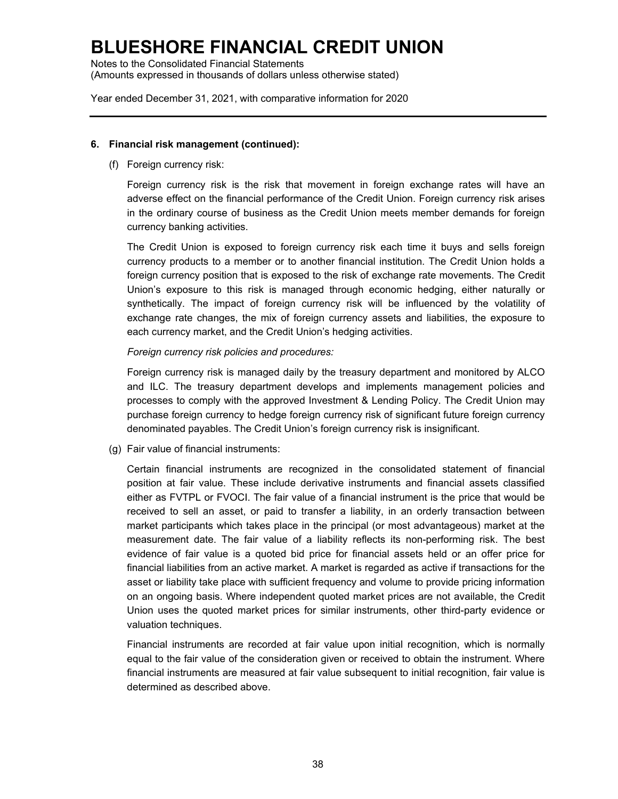Notes to the Consolidated Financial Statements (Amounts expressed in thousands of dollars unless otherwise stated)

Year ended December 31, 2021, with comparative information for 2020

#### **6. Financial risk management (continued):**

(f) Foreign currency risk:

Foreign currency risk is the risk that movement in foreign exchange rates will have an adverse effect on the financial performance of the Credit Union. Foreign currency risk arises in the ordinary course of business as the Credit Union meets member demands for foreign currency banking activities.

The Credit Union is exposed to foreign currency risk each time it buys and sells foreign currency products to a member or to another financial institution. The Credit Union holds a foreign currency position that is exposed to the risk of exchange rate movements. The Credit Union's exposure to this risk is managed through economic hedging, either naturally or synthetically. The impact of foreign currency risk will be influenced by the volatility of exchange rate changes, the mix of foreign currency assets and liabilities, the exposure to each currency market, and the Credit Union's hedging activities.

*Foreign currency risk policies and procedures:*

Foreign currency risk is managed daily by the treasury department and monitored by ALCO and ILC. The treasury department develops and implements management policies and processes to comply with the approved Investment & Lending Policy. The Credit Union may purchase foreign currency to hedge foreign currency risk of significant future foreign currency denominated payables. The Credit Union's foreign currency risk is insignificant.

(g) Fair value of financial instruments:

Certain financial instruments are recognized in the consolidated statement of financial position at fair value. These include derivative instruments and financial assets classified either as FVTPL or FVOCI. The fair value of a financial instrument is the price that would be received to sell an asset, or paid to transfer a liability, in an orderly transaction between market participants which takes place in the principal (or most advantageous) market at the measurement date. The fair value of a liability reflects its non-performing risk. The best evidence of fair value is a quoted bid price for financial assets held or an offer price for financial liabilities from an active market. A market is regarded as active if transactions for the asset or liability take place with sufficient frequency and volume to provide pricing information on an ongoing basis. Where independent quoted market prices are not available, the Credit Union uses the quoted market prices for similar instruments, other third-party evidence or valuation techniques.

Financial instruments are recorded at fair value upon initial recognition, which is normally equal to the fair value of the consideration given or received to obtain the instrument. Where financial instruments are measured at fair value subsequent to initial recognition, fair value is determined as described above.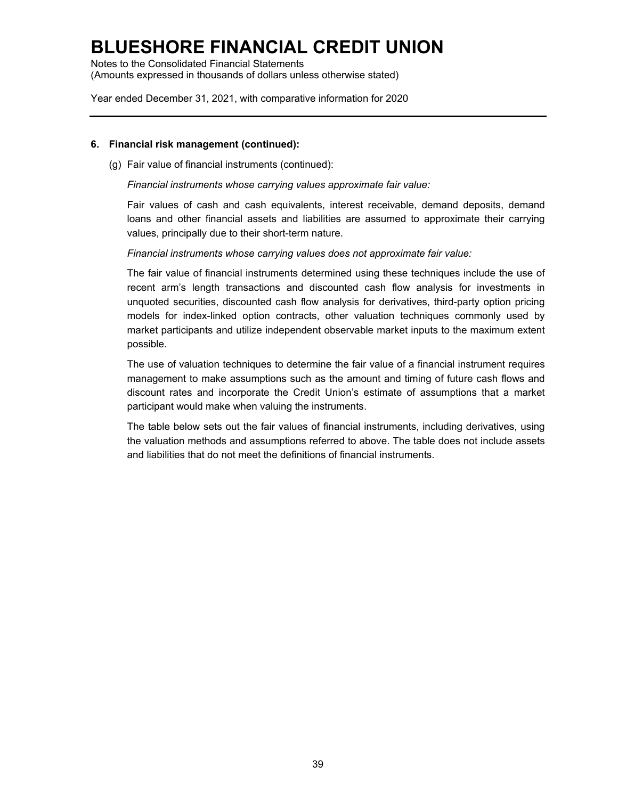Notes to the Consolidated Financial Statements (Amounts expressed in thousands of dollars unless otherwise stated)

Year ended December 31, 2021, with comparative information for 2020

### **6. Financial risk management (continued):**

(g) Fair value of financial instruments (continued):

*Financial instruments whose carrying values approximate fair value:*

Fair values of cash and cash equivalents, interest receivable, demand deposits, demand loans and other financial assets and liabilities are assumed to approximate their carrying values, principally due to their short-term nature.

*Financial instruments whose carrying values does not approximate fair value:*

The fair value of financial instruments determined using these techniques include the use of recent arm's length transactions and discounted cash flow analysis for investments in unquoted securities, discounted cash flow analysis for derivatives, third-party option pricing models for index-linked option contracts, other valuation techniques commonly used by market participants and utilize independent observable market inputs to the maximum extent possible.

The use of valuation techniques to determine the fair value of a financial instrument requires management to make assumptions such as the amount and timing of future cash flows and discount rates and incorporate the Credit Union's estimate of assumptions that a market participant would make when valuing the instruments.

The table below sets out the fair values of financial instruments, including derivatives, using the valuation methods and assumptions referred to above. The table does not include assets and liabilities that do not meet the definitions of financial instruments.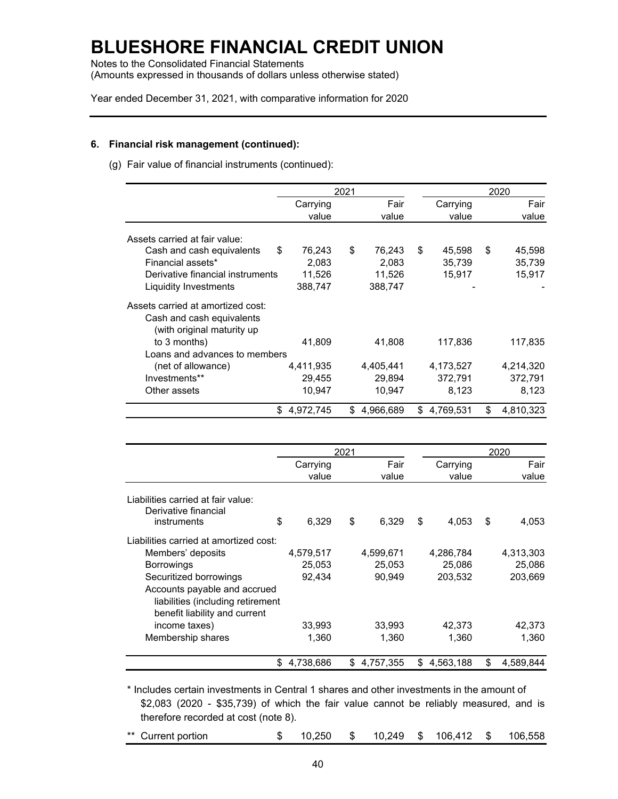Notes to the Consolidated Financial Statements (Amounts expressed in thousands of dollars unless otherwise stated)

Year ended December 31, 2021, with comparative information for 2020

### **6. Financial risk management (continued):**

(g) Fair value of financial instruments (continued):

|                                   |              | 2021 |           |              | 2020            |
|-----------------------------------|--------------|------|-----------|--------------|-----------------|
|                                   | Carrying     |      | Fair      | Carrying     | Fair            |
|                                   | value        |      | value     | value        | value           |
| Assets carried at fair value:     |              |      |           |              |                 |
| Cash and cash equivalents         | \$<br>76,243 | \$   | 76,243    | \$<br>45,598 | \$<br>45,598    |
| Financial assets*                 | 2,083        |      | 2,083     | 35,739       | 35,739          |
| Derivative financial instruments  | 11,526       |      | 11,526    | 15,917       | 15,917          |
| Liquidity Investments             | 388,747      |      | 388,747   |              |                 |
| Assets carried at amortized cost: |              |      |           |              |                 |
| Cash and cash equivalents         |              |      |           |              |                 |
| (with original maturity up        |              |      |           |              |                 |
| to 3 months)                      | 41,809       |      | 41,808    | 117,836      | 117,835         |
| Loans and advances to members     |              |      |           |              |                 |
| (net of allowance)                | 4,411,935    |      | 4,405,441 | 4,173,527    | 4,214,320       |
| Investments**                     | 29,455       |      | 29,894    | 372,791      | 372,791         |
| Other assets                      | 10,947       |      | 10,947    | 8,123        | 8,123           |
|                                   | \$4,972,745  | S.   | 4,966,689 | \$4,769,531  | \$<br>4,810,323 |

|                                                                                                    |                 | 2021 |           |                 | 2020            |
|----------------------------------------------------------------------------------------------------|-----------------|------|-----------|-----------------|-----------------|
|                                                                                                    | Carrying        |      | Fair      | Carrying        | Fair            |
|                                                                                                    | value           |      | value     | value           | value           |
| Liabilities carried at fair value:<br>Derivative financial                                         |                 |      |           |                 |                 |
| instruments                                                                                        | \$<br>6,329     | \$   | 6,329     | \$<br>4,053     | \$<br>4,053     |
| Liabilities carried at amortized cost:                                                             |                 |      |           |                 |                 |
| Members' deposits                                                                                  | 4,579,517       |      | 4,599,671 | 4,286,784       | 4,313,303       |
| <b>Borrowings</b>                                                                                  | 25,053          |      | 25,053    | 25,086          | 25,086          |
| Securitized borrowings                                                                             | 92,434          |      | 90,949    | 203,532         | 203,669         |
| Accounts payable and accrued<br>liabilities (including retirement<br>benefit liability and current |                 |      |           |                 |                 |
| income taxes)                                                                                      | 33,993          |      | 33,993    | 42,373          | 42,373          |
| Membership shares                                                                                  | 1,360           |      | 1,360     | 1,360           | 1,360           |
|                                                                                                    | \$<br>4,738,686 | \$   | 4,757,355 | \$<br>4,563,188 | \$<br>4,589,844 |

\* Includes certain investments in Central 1 shares and other investments in the amount of \$2,083 (2020 - \$35,739) of which the fair value cannot be reliably measured, and is therefore recorded at cost (note 8).

| ** Current portion |  |  |  |  |  | $$10,250$ $$10,249$ $$106,412$ $$106,558$ |  |  |
|--------------------|--|--|--|--|--|-------------------------------------------|--|--|
|--------------------|--|--|--|--|--|-------------------------------------------|--|--|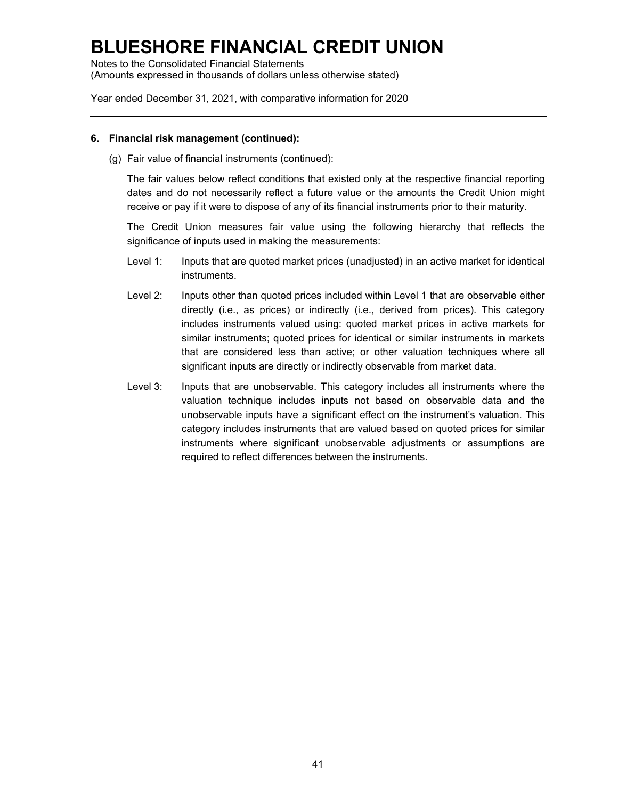Notes to the Consolidated Financial Statements (Amounts expressed in thousands of dollars unless otherwise stated)

Year ended December 31, 2021, with comparative information for 2020

#### **6. Financial risk management (continued):**

(g) Fair value of financial instruments (continued):

The fair values below reflect conditions that existed only at the respective financial reporting dates and do not necessarily reflect a future value or the amounts the Credit Union might receive or pay if it were to dispose of any of its financial instruments prior to their maturity.

The Credit Union measures fair value using the following hierarchy that reflects the significance of inputs used in making the measurements:

- Level 1: Inputs that are quoted market prices (unadjusted) in an active market for identical instruments.
- Level 2: Inputs other than quoted prices included within Level 1 that are observable either directly (i.e., as prices) or indirectly (i.e., derived from prices). This category includes instruments valued using: quoted market prices in active markets for similar instruments; quoted prices for identical or similar instruments in markets that are considered less than active; or other valuation techniques where all significant inputs are directly or indirectly observable from market data.
- Level 3: Inputs that are unobservable. This category includes all instruments where the valuation technique includes inputs not based on observable data and the unobservable inputs have a significant effect on the instrument's valuation. This category includes instruments that are valued based on quoted prices for similar instruments where significant unobservable adjustments or assumptions are required to reflect differences between the instruments.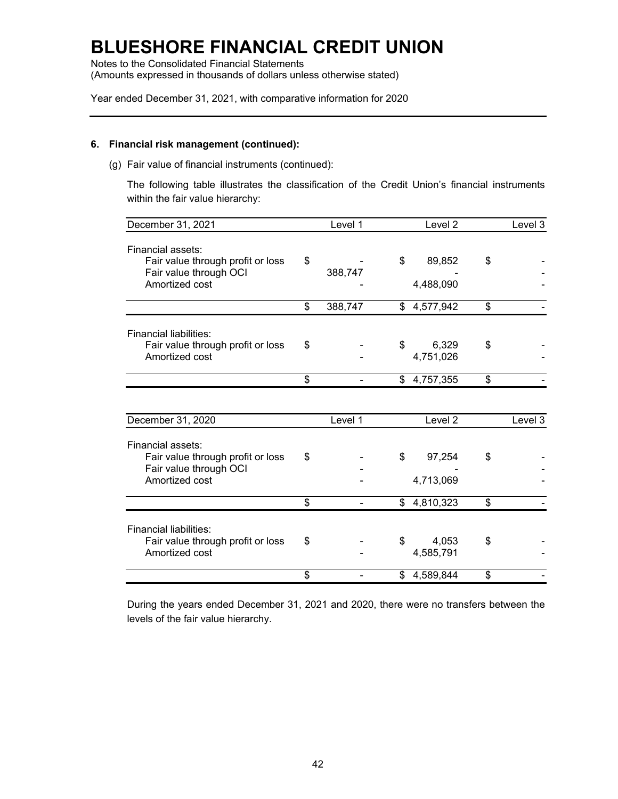Notes to the Consolidated Financial Statements (Amounts expressed in thousands of dollars unless otherwise stated)

Year ended December 31, 2021, with comparative information for 2020

### **6. Financial risk management (continued):**

(g) Fair value of financial instruments (continued):

The following table illustrates the classification of the Credit Union's financial instruments within the fair value hierarchy:

| December 31, 2021                                           | Level 1       | Level <sub>2</sub> | Level 3 |
|-------------------------------------------------------------|---------------|--------------------|---------|
| Financial assets:                                           |               |                    |         |
| Fair value through profit or loss                           | \$            | \$<br>89,852       | \$      |
| Fair value through OCI                                      | 388,747       |                    |         |
| Amortized cost                                              |               | 4,488,090          |         |
|                                                             | \$<br>388,747 | \$4,577,942        | \$      |
| Financial liabilities:                                      |               |                    |         |
| Fair value through profit or loss                           | \$            | \$<br>6,329        | \$      |
| Amortized cost                                              |               | 4,751,026          |         |
|                                                             | \$            | \$4,757,355        | \$      |
|                                                             |               |                    |         |
| December 31, 2020                                           | Level 1       | Level <sub>2</sub> | Level 3 |
| Financial assets:                                           |               |                    |         |
| Fair value through profit or loss                           | \$            | \$<br>97,254       | \$      |
| Fair value through OCI                                      |               |                    |         |
| Amortized cost                                              |               | 4,713,069          |         |
|                                                             | \$            | \$4,810,323        | \$      |
|                                                             |               |                    |         |
| Financial liabilities:<br>Fair value through profit or loss | \$            | \$<br>4,053        | \$      |
| Amortized cost                                              |               | 4,585,791          |         |
|                                                             |               |                    |         |
|                                                             | \$            | \$4,589,844        | \$      |

During the years ended December 31, 2021 and 2020, there were no transfers between the levels of the fair value hierarchy.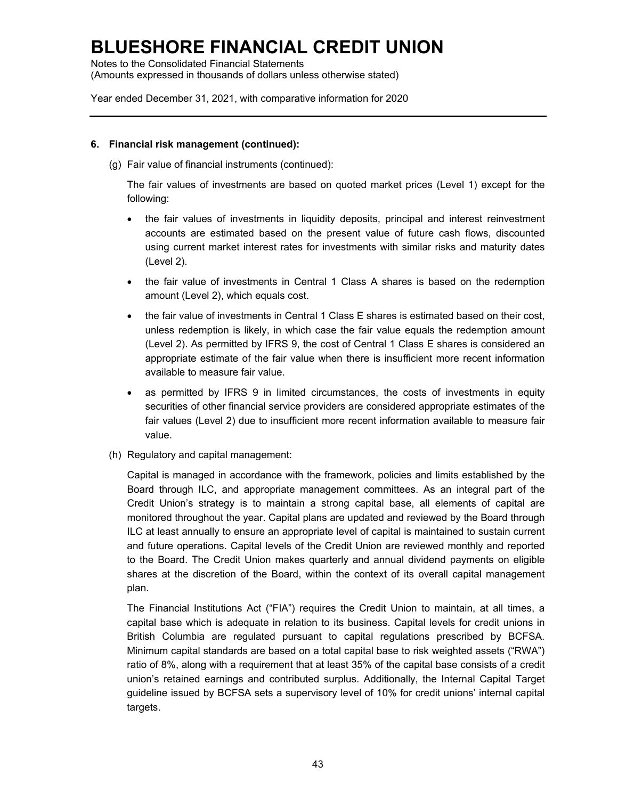Notes to the Consolidated Financial Statements (Amounts expressed in thousands of dollars unless otherwise stated)

Year ended December 31, 2021, with comparative information for 2020

#### **6. Financial risk management (continued):**

(g) Fair value of financial instruments (continued):

The fair values of investments are based on quoted market prices (Level 1) except for the following:

- the fair values of investments in liquidity deposits, principal and interest reinvestment accounts are estimated based on the present value of future cash flows, discounted using current market interest rates for investments with similar risks and maturity dates (Level 2).
- the fair value of investments in Central 1 Class A shares is based on the redemption amount (Level 2), which equals cost.
- the fair value of investments in Central 1 Class E shares is estimated based on their cost, unless redemption is likely, in which case the fair value equals the redemption amount (Level 2). As permitted by IFRS 9, the cost of Central 1 Class E shares is considered an appropriate estimate of the fair value when there is insufficient more recent information available to measure fair value.
- as permitted by IFRS 9 in limited circumstances, the costs of investments in equity securities of other financial service providers are considered appropriate estimates of the fair values (Level 2) due to insufficient more recent information available to measure fair value.
- (h) Regulatory and capital management:

Capital is managed in accordance with the framework, policies and limits established by the Board through ILC, and appropriate management committees. As an integral part of the Credit Union's strategy is to maintain a strong capital base, all elements of capital are monitored throughout the year. Capital plans are updated and reviewed by the Board through ILC at least annually to ensure an appropriate level of capital is maintained to sustain current and future operations. Capital levels of the Credit Union are reviewed monthly and reported to the Board. The Credit Union makes quarterly and annual dividend payments on eligible shares at the discretion of the Board, within the context of its overall capital management plan.

The Financial Institutions Act ("FIA") requires the Credit Union to maintain, at all times, a capital base which is adequate in relation to its business. Capital levels for credit unions in British Columbia are regulated pursuant to capital regulations prescribed by BCFSA. Minimum capital standards are based on a total capital base to risk weighted assets ("RWA") ratio of 8%, along with a requirement that at least 35% of the capital base consists of a credit union's retained earnings and contributed surplus. Additionally, the Internal Capital Target guideline issued by BCFSA sets a supervisory level of 10% for credit unions' internal capital targets.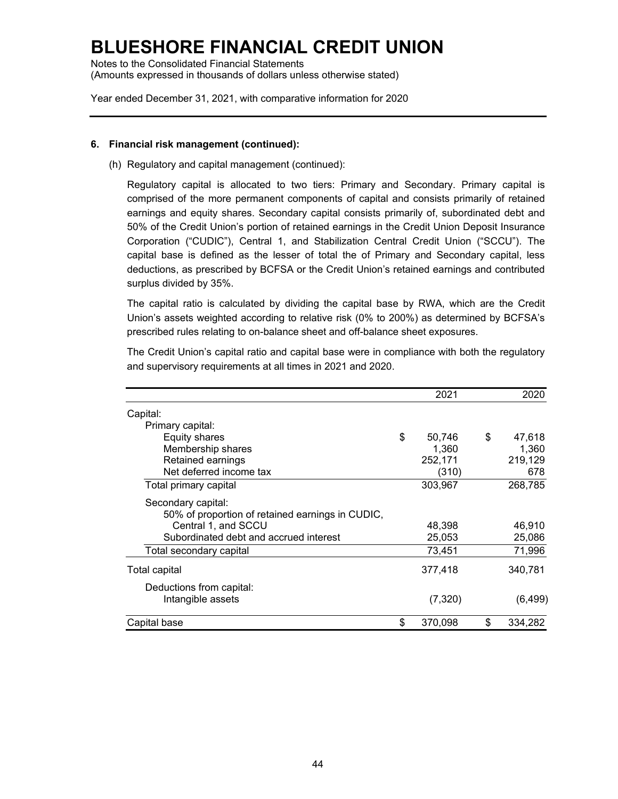Notes to the Consolidated Financial Statements (Amounts expressed in thousands of dollars unless otherwise stated)

Year ended December 31, 2021, with comparative information for 2020

### **6. Financial risk management (continued):**

(h) Regulatory and capital management (continued):

Regulatory capital is allocated to two tiers: Primary and Secondary. Primary capital is comprised of the more permanent components of capital and consists primarily of retained earnings and equity shares. Secondary capital consists primarily of, subordinated debt and 50% of the Credit Union's portion of retained earnings in the Credit Union Deposit Insurance Corporation ("CUDIC"), Central 1, and Stabilization Central Credit Union ("SCCU"). The capital base is defined as the lesser of total the of Primary and Secondary capital, less deductions, as prescribed by BCFSA or the Credit Union's retained earnings and contributed surplus divided by 35%.

The capital ratio is calculated by dividing the capital base by RWA, which are the Credit Union's assets weighted according to relative risk (0% to 200%) as determined by BCFSA's prescribed rules relating to on-balance sheet and off-balance sheet exposures.

The Credit Union's capital ratio and capital base were in compliance with both the regulatory and supervisory requirements at all times in 2021 and 2020.

|                                                  |    | 2021    | 2020          |
|--------------------------------------------------|----|---------|---------------|
| Capital:                                         |    |         |               |
| Primary capital:                                 |    |         |               |
| <b>Equity shares</b>                             | \$ | 50,746  | \$<br>47,618  |
| Membership shares                                |    | 1.360   | 1,360         |
| Retained earnings                                |    | 252,171 | 219,129       |
| Net deferred income tax                          |    | (310)   | 678           |
| Total primary capital                            |    | 303,967 | 268,785       |
| Secondary capital:                               |    |         |               |
| 50% of proportion of retained earnings in CUDIC, |    |         |               |
| Central 1, and SCCU                              |    | 48,398  | 46,910        |
| Subordinated debt and accrued interest           |    | 25,053  | 25,086        |
| Total secondary capital                          |    | 73,451  | 71,996        |
| Total capital                                    |    | 377,418 | 340,781       |
| Deductions from capital:                         |    |         |               |
| Intangible assets                                |    | (7,320) | (6, 499)      |
| Capital base                                     | S  | 370,098 | \$<br>334,282 |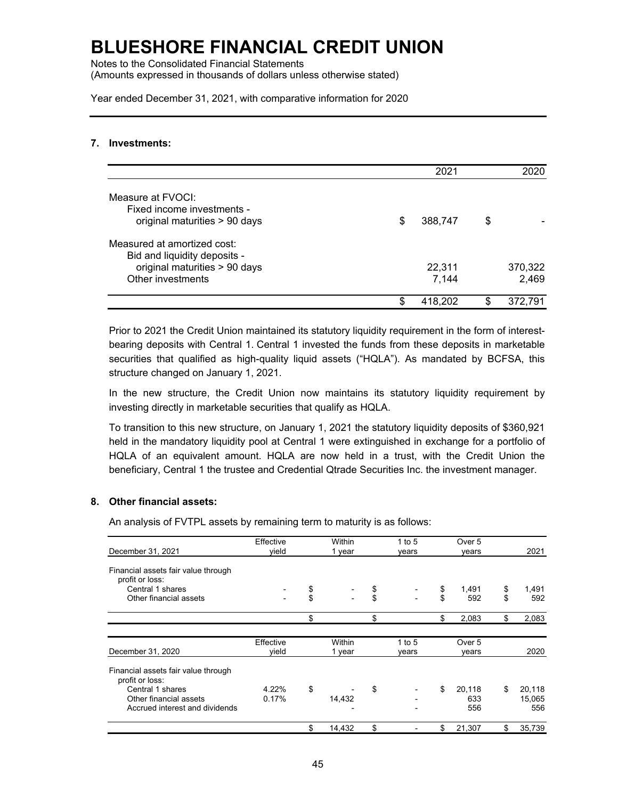Notes to the Consolidated Financial Statements (Amounts expressed in thousands of dollars unless otherwise stated)

Year ended December 31, 2021, with comparative information for 2020

#### **7. Investments:**

|                                                                                                                   |   | 2021            |    | 2020             |
|-------------------------------------------------------------------------------------------------------------------|---|-----------------|----|------------------|
| Measure at FVOCI:<br>Fixed income investments -<br>original maturities > 90 days                                  | S | 388,747         | \$ |                  |
| Measured at amortized cost:<br>Bid and liquidity deposits -<br>original maturities > 90 days<br>Other investments |   | 22,311<br>7,144 |    | 370,322<br>2,469 |
|                                                                                                                   | S | 418.202         | S. | 372,791          |

Prior to 2021 the Credit Union maintained its statutory liquidity requirement in the form of interestbearing deposits with Central 1. Central 1 invested the funds from these deposits in marketable securities that qualified as high-quality liquid assets ("HQLA"). As mandated by BCFSA, this structure changed on January 1, 2021.

In the new structure, the Credit Union now maintains its statutory liquidity requirement by investing directly in marketable securities that qualify as HQLA.

To transition to this new structure, on January 1, 2021 the statutory liquidity deposits of \$360,921 held in the mandatory liquidity pool at Central 1 were extinguished in exchange for a portfolio of HQLA of an equivalent amount. HQLA are now held in a trust, with the Credit Union the beneficiary, Central 1 the trustee and Credential Qtrade Securities Inc. the investment manager.

### **8. Other financial assets:**

An analysis of FVTPL assets by remaining term to maturity is as follows:

|                                                        | Effective | Within       | 1 to 5 | Over 5       |              |
|--------------------------------------------------------|-----------|--------------|--------|--------------|--------------|
| December 31, 2021                                      | vield     | 1 year       | years  | vears        | 2021         |
| Financial assets fair value through<br>profit or loss: |           |              |        |              |              |
| Central 1 shares                                       |           | \$           | \$     | \$<br>1,491  | \$<br>1,491  |
| Other financial assets                                 |           | \$           | \$     | \$<br>592    | \$<br>592    |
|                                                        |           | \$           | \$     | \$<br>2,083  | \$<br>2,083  |
|                                                        | Effective | Within       | 1 to 5 | Over 5       |              |
| December 31, 2020                                      | vield     | 1 year       | vears  | vears        | 2020         |
| Financial assets fair value through<br>profit or loss: |           |              |        |              |              |
| Central 1 shares                                       | 4.22%     | \$           | \$     | \$<br>20,118 | \$<br>20,118 |
| Other financial assets                                 | 0.17%     | 14,432       |        | 633          | 15,065       |
| Accrued interest and dividends                         |           |              |        | 556          | 556          |
|                                                        |           | \$<br>14.432 | \$     | \$<br>21,307 | \$<br>35,739 |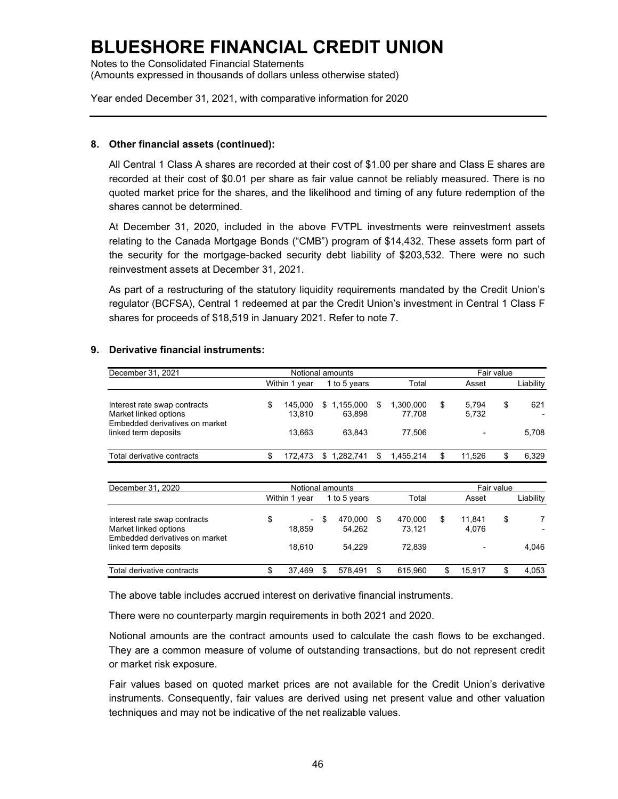Notes to the Consolidated Financial Statements (Amounts expressed in thousands of dollars unless otherwise stated)

Year ended December 31, 2021, with comparative information for 2020

### **8. Other financial assets (continued):**

All Central 1 Class A shares are recorded at their cost of \$1.00 per share and Class E shares are recorded at their cost of \$0.01 per share as fair value cannot be reliably measured. There is no quoted market price for the shares, and the likelihood and timing of any future redemption of the shares cannot be determined.

At December 31, 2020, included in the above FVTPL investments were reinvestment assets relating to the Canada Mortgage Bonds ("CMB") program of \$14,432. These assets form part of the security for the mortgage-backed security debt liability of \$203,532. There were no such reinvestment assets at December 31, 2021.

As part of a restructuring of the statutory liquidity requirements mandated by the Credit Union's regulator (BCFSA), Central 1 redeemed at par the Credit Union's investment in Central 1 Class F shares for proceeds of \$18,519 in January 2021. Refer to note 7.

### **9. Derivative financial instruments:**

| December 31, 2021                                                                       |   |                   | Notional amounts      |    |                     | Fair value |                |    |           |  |  |
|-----------------------------------------------------------------------------------------|---|-------------------|-----------------------|----|---------------------|------------|----------------|----|-----------|--|--|
|                                                                                         |   | Within 1 year     | 1 to 5 years          |    | Total               |            | Asset          |    | Liability |  |  |
| Interest rate swap contracts<br>Market linked options<br>Embedded derivatives on market | S | 145.000<br>13.810 | \$1,155,000<br>63.898 | S  | 1,300,000<br>77.708 | S          | 5.794<br>5,732 | \$ | 621       |  |  |
| linked term deposits                                                                    |   | 13.663            | 63.843                |    | 77.506              |            |                |    | 5.708     |  |  |
| Total derivative contracts                                                              |   | 72.473            | \$1.282.741           | \$ | 1.455.214           |            | 11.526         | \$ | 6,329     |  |  |

| December 31, 2020                                                                       | Notional amounts       |   |                   |                         |   | Fair value      |    |           |  |  |
|-----------------------------------------------------------------------------------------|------------------------|---|-------------------|-------------------------|---|-----------------|----|-----------|--|--|
|                                                                                         | Within 1 year          |   | 1 to 5 years      | Total                   |   | Asset           |    | Liability |  |  |
| Interest rate swap contracts<br>Market linked options<br>Embedded derivatives on market | \$<br>$\sim$<br>18.859 | S | 470,000<br>54,262 | \$<br>470,000<br>73.121 | S | 11.841<br>4,076 | \$ |           |  |  |
| linked term deposits                                                                    | 18.610                 |   | 54.229            | 72.839                  |   |                 |    | 4,046     |  |  |
| Total derivative contracts                                                              | 37.469                 |   | 578.491           | 615.960                 |   | 15.917          |    | 4.053     |  |  |

The above table includes accrued interest on derivative financial instruments.

There were no counterparty margin requirements in both 2021 and 2020.

Notional amounts are the contract amounts used to calculate the cash flows to be exchanged. They are a common measure of volume of outstanding transactions, but do not represent credit or market risk exposure.

Fair values based on quoted market prices are not available for the Credit Union's derivative instruments. Consequently, fair values are derived using net present value and other valuation techniques and may not be indicative of the net realizable values.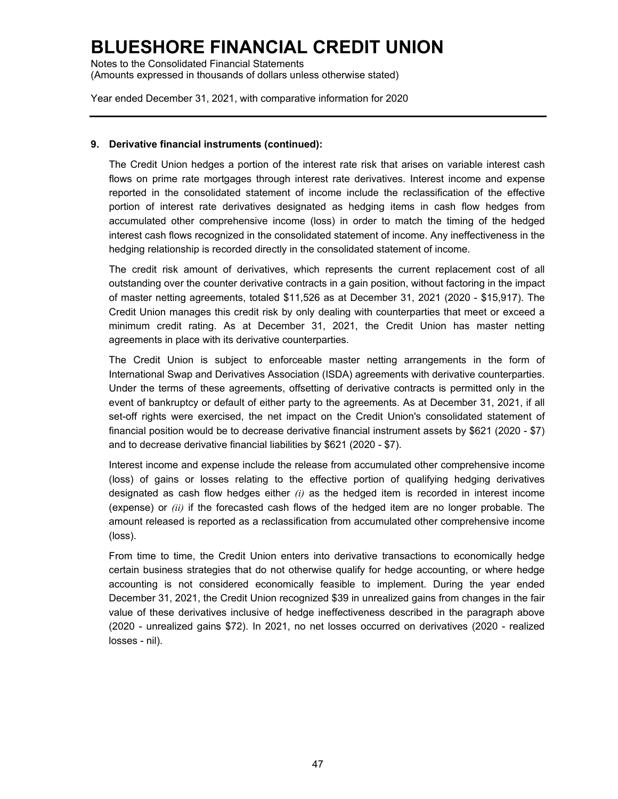Notes to the Consolidated Financial Statements (Amounts expressed in thousands of dollars unless otherwise stated)

Year ended December 31, 2021, with comparative information for 2020

### **9. Derivative financial instruments (continued):**

The Credit Union hedges a portion of the interest rate risk that arises on variable interest cash flows on prime rate mortgages through interest rate derivatives. Interest income and expense reported in the consolidated statement of income include the reclassification of the effective portion of interest rate derivatives designated as hedging items in cash flow hedges from accumulated other comprehensive income (loss) in order to match the timing of the hedged interest cash flows recognized in the consolidated statement of income. Any ineffectiveness in the hedging relationship is recorded directly in the consolidated statement of income.

The credit risk amount of derivatives, which represents the current replacement cost of all outstanding over the counter derivative contracts in a gain position, without factoring in the impact of master netting agreements, totaled \$11,526 as at December 31, 2021 (2020 - \$15,917). The Credit Union manages this credit risk by only dealing with counterparties that meet or exceed a minimum credit rating. As at December 31, 2021, the Credit Union has master netting agreements in place with its derivative counterparties.

The Credit Union is subject to enforceable master netting arrangements in the form of International Swap and Derivatives Association (ISDA) agreements with derivative counterparties. Under the terms of these agreements, offsetting of derivative contracts is permitted only in the event of bankruptcy or default of either party to the agreements. As at December 31, 2021, if all set-off rights were exercised, the net impact on the Credit Union's consolidated statement of financial position would be to decrease derivative financial instrument assets by \$621 (2020 - \$7) and to decrease derivative financial liabilities by \$621 (2020 - \$7).

Interest income and expense include the release from accumulated other comprehensive income (loss) of gains or losses relating to the effective portion of qualifying hedging derivatives designated as cash flow hedges either *(i)* as the hedged item is recorded in interest income (expense) or *(ii)* if the forecasted cash flows of the hedged item are no longer probable. The amount released is reported as a reclassification from accumulated other comprehensive income (loss).

From time to time, the Credit Union enters into derivative transactions to economically hedge certain business strategies that do not otherwise qualify for hedge accounting, or where hedge accounting is not considered economically feasible to implement. During the year ended December 31, 2021, the Credit Union recognized \$39 in unrealized gains from changes in the fair value of these derivatives inclusive of hedge ineffectiveness described in the paragraph above (2020 - unrealized gains \$72). In 2021, no net losses occurred on derivatives (2020 - realized losses - nil).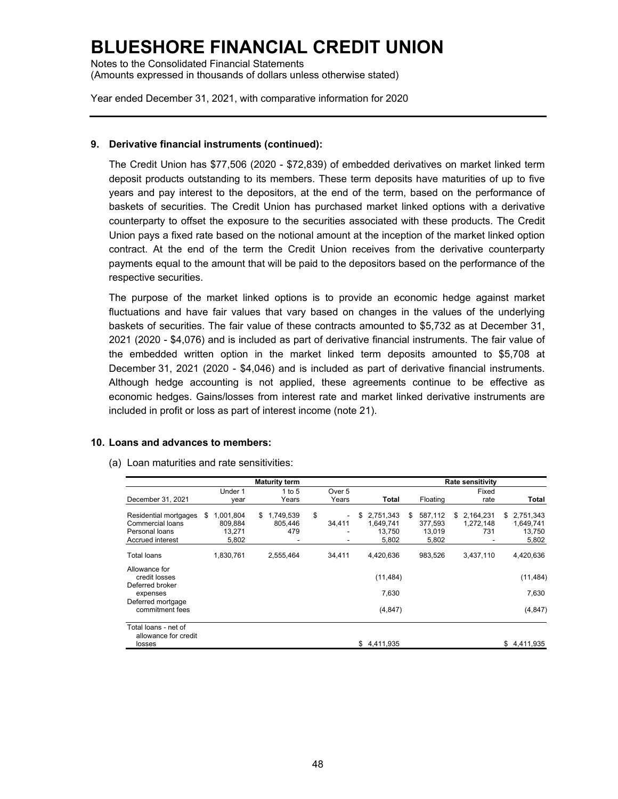Notes to the Consolidated Financial Statements (Amounts expressed in thousands of dollars unless otherwise stated)

Year ended December 31, 2021, with comparative information for 2020

### **9. Derivative financial instruments (continued):**

The Credit Union has \$77,506 (2020 - \$72,839) of embedded derivatives on market linked term deposit products outstanding to its members. These term deposits have maturities of up to five years and pay interest to the depositors, at the end of the term, based on the performance of baskets of securities. The Credit Union has purchased market linked options with a derivative counterparty to offset the exposure to the securities associated with these products. The Credit Union pays a fixed rate based on the notional amount at the inception of the market linked option contract. At the end of the term the Credit Union receives from the derivative counterparty payments equal to the amount that will be paid to the depositors based on the performance of the respective securities.

The purpose of the market linked options is to provide an economic hedge against market fluctuations and have fair values that vary based on changes in the values of the underlying baskets of securities. The fair value of these contracts amounted to \$5,732 as at December 31, 2021 (2020 - \$4,076) and is included as part of derivative financial instruments. The fair value of the embedded written option in the market linked term deposits amounted to \$5,708 at December 31, 2021 (2020 - \$4,046) and is included as part of derivative financial instruments. Although hedge accounting is not applied, these agreements continue to be effective as economic hedges. Gains/losses from interest rate and market linked derivative instruments are included in profit or loss as part of interest income (note 21).

#### **10. Loans and advances to members:**

(a) Loan maturities and rate sensitivities:

|                                                                                 |                                               | <b>Maturity term</b>                                          |                   |                                                 |                                             | <b>Rate sensitivity</b>              |                                                 |
|---------------------------------------------------------------------------------|-----------------------------------------------|---------------------------------------------------------------|-------------------|-------------------------------------------------|---------------------------------------------|--------------------------------------|-------------------------------------------------|
|                                                                                 | Under 1                                       | 1 to 5                                                        | Over 5            |                                                 |                                             | Fixed                                |                                                 |
| December 31, 2021                                                               | year                                          | Years                                                         | Years             | Total                                           | Floating                                    | rate                                 | Total                                           |
| Residential mortgages<br>Commercial loans<br>Personal loans<br>Accrued interest | \$<br>1,001,804<br>809,884<br>13,271<br>5,802 | \$<br>1,749,539<br>805,446<br>479<br>$\overline{\phantom{a}}$ | \$<br>۰<br>34,411 | \$<br>2,751,343<br>1,649,741<br>13,750<br>5,802 | \$<br>587,112<br>377,593<br>13,019<br>5,802 | \$2,164,231<br>1,272,148<br>731<br>٠ | \$<br>2,751,343<br>1,649,741<br>13,750<br>5,802 |
| <b>Total loans</b>                                                              | 1,830,761                                     | 2,555,464                                                     | 34,411            | 4.420.636                                       | 983,526                                     | 3,437,110                            | 4,420,636                                       |
| Allowance for<br>credit losses<br>Deferred broker                               |                                               |                                                               |                   | (11, 484)                                       |                                             |                                      | (11, 484)                                       |
| expenses                                                                        |                                               |                                                               |                   | 7,630                                           |                                             |                                      | 7,630                                           |
| Deferred mortgage<br>commitment fees                                            |                                               |                                                               |                   | (4, 847)                                        |                                             |                                      | (4, 847)                                        |
| Total loans - net of<br>allowance for credit<br>losses                          |                                               |                                                               |                   | \$4.411.935                                     |                                             |                                      | \$4.411.935                                     |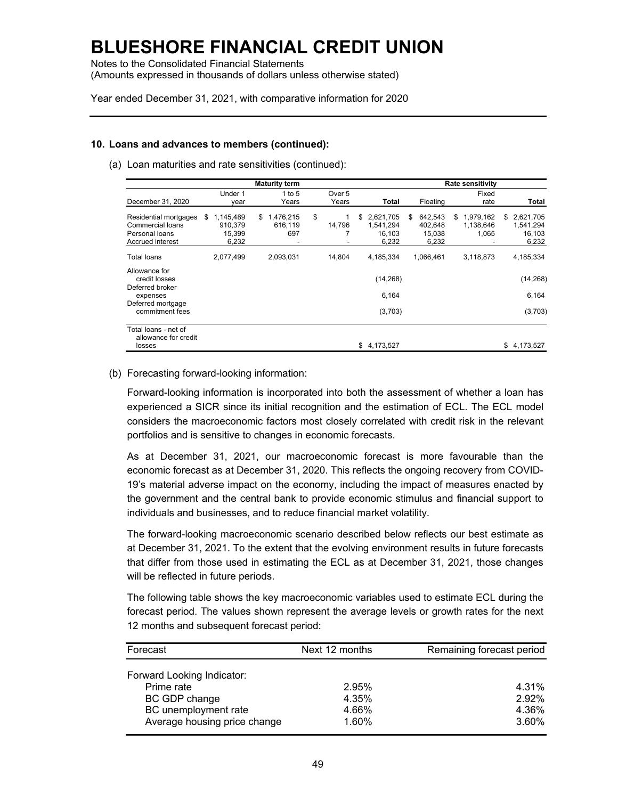Notes to the Consolidated Financial Statements (Amounts expressed in thousands of dollars unless otherwise stated)

Year ended December 31, 2021, with comparative information for 2020

#### **10. Loans and advances to members (continued):**

(a) Loan maturities and rate sensitivities (continued):

|                                                                                 |                                               | <b>Maturity term</b>                          |                   |                              |                 |     |                                       |     | <b>Rate sensitivity</b>         |     |                                           |
|---------------------------------------------------------------------------------|-----------------------------------------------|-----------------------------------------------|-------------------|------------------------------|-----------------|-----|---------------------------------------|-----|---------------------------------|-----|-------------------------------------------|
|                                                                                 | Under 1                                       | 1 to 5                                        | Over 5            |                              |                 |     |                                       |     | Fixed                           |     |                                           |
| December 31, 2020                                                               | vear                                          | Years                                         | Years             |                              | Total           |     | Floating                              |     | rate                            |     | Total                                     |
| Residential mortgages<br>Commercial loans<br>Personal loans<br>Accrued interest | \$<br>1,145,489<br>910.379<br>15,399<br>6,232 | 1,476,215<br>\$<br>616,119<br>697<br><b>-</b> | \$<br>14,796<br>- | \$<br>2,621,705<br>1.541.294 | 16.103<br>6,232 | \$. | 642,543<br>402.648<br>15,038<br>6,232 | \$. | 1,979,162<br>1,138,646<br>1,065 | \$. | 2,621,705<br>1,541,294<br>16,103<br>6,232 |
| Total loans                                                                     | 2,077,499                                     | 2,093,031                                     | 14,804            | 4,185,334                    |                 |     | 1,066,461                             |     | 3,118,873                       |     | 4,185,334                                 |
| Allowance for<br>credit losses<br>Deferred broker                               |                                               |                                               |                   |                              | (14, 268)       |     |                                       |     |                                 |     | (14, 268)                                 |
| expenses                                                                        |                                               |                                               |                   |                              | 6,164           |     |                                       |     |                                 |     | 6,164                                     |
| Deferred mortgage<br>commitment fees                                            |                                               |                                               |                   |                              | (3,703)         |     |                                       |     |                                 |     | (3,703)                                   |
| Total loans - net of<br>allowance for credit<br>losses                          |                                               |                                               |                   | \$<br>4,173,527              |                 |     |                                       |     |                                 | \$  | 4,173,527                                 |

### (b) Forecasting forward-looking information:

Forward-looking information is incorporated into both the assessment of whether a loan has experienced a SICR since its initial recognition and the estimation of ECL. The ECL model considers the macroeconomic factors most closely correlated with credit risk in the relevant portfolios and is sensitive to changes in economic forecasts.

As at December 31, 2021, our macroeconomic forecast is more favourable than the economic forecast as at December 31, 2020. This reflects the ongoing recovery from COVID-19's material adverse impact on the economy, including the impact of measures enacted by the government and the central bank to provide economic stimulus and financial support to individuals and businesses, and to reduce financial market volatility.

The forward-looking macroeconomic scenario described below reflects our best estimate as at December 31, 2021. To the extent that the evolving environment results in future forecasts that differ from those used in estimating the ECL as at December 31, 2021, those changes will be reflected in future periods.

The following table shows the key macroeconomic variables used to estimate ECL during the forecast period. The values shown represent the average levels or growth rates for the next 12 months and subsequent forecast period:

| Forecast                     | Next 12 months | Remaining forecast period |
|------------------------------|----------------|---------------------------|
|                              |                |                           |
| Forward Looking Indicator:   |                |                           |
| Prime rate                   | 2.95%          | 4.31%                     |
| BC GDP change                | 4.35%          | 2.92%                     |
| BC unemployment rate         | 4.66%          | 4.36%                     |
| Average housing price change | 1.60%          | 3.60%                     |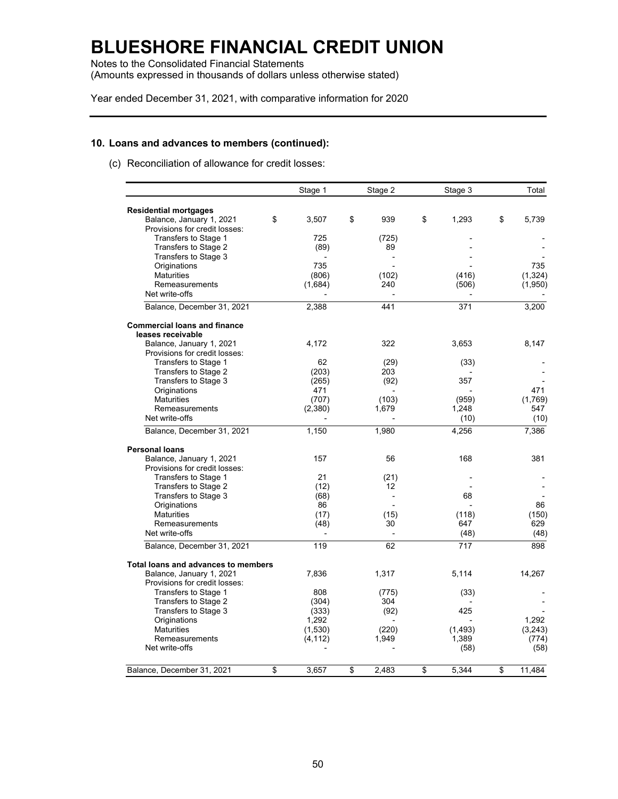Notes to the Consolidated Financial Statements (Amounts expressed in thousands of dollars unless otherwise stated)

Year ended December 31, 2021, with comparative information for 2020

#### **10. Loans and advances to members (continued):**

(c) Reconciliation of allowance for credit losses:

|                                     | Stage 1     | Stage 2        | Stage 3     | Total        |
|-------------------------------------|-------------|----------------|-------------|--------------|
| <b>Residential mortgages</b>        |             |                |             |              |
| Balance, January 1, 2021            | \$<br>3,507 | \$<br>939      | \$<br>1,293 | \$<br>5,739  |
| Provisions for credit losses:       |             |                |             |              |
| Transfers to Stage 1                | 725         | (725)          |             |              |
| Transfers to Stage 2                | (89)        | 89             |             |              |
| Transfers to Stage 3                |             |                |             |              |
| Originations                        | 735         |                |             | 735          |
| <b>Maturities</b>                   | (806)       | (102)          | (416)       | (1, 324)     |
| Remeasurements                      | (1,684)     | 240            | (506)       | (1,950)      |
| Net write-offs                      |             |                |             |              |
| Balance, December 31, 2021          | 2,388       | 441            | 371         | 3,200        |
| <b>Commercial loans and finance</b> |             |                |             |              |
| leases receivable                   |             |                |             |              |
| Balance, January 1, 2021            | 4,172       | 322            | 3,653       | 8,147        |
| Provisions for credit losses:       |             |                |             |              |
| Transfers to Stage 1                | 62          | (29)           | (33)        |              |
| Transfers to Stage 2                | (203)       | 203            |             |              |
| Transfers to Stage 3                | (265)       | (92)           | 357         |              |
| Originations                        | 471         |                |             | 471          |
| <b>Maturities</b>                   | (707)       | (103)          | (959)       | (1,769)      |
| Remeasurements<br>Net write-offs    | (2,380)     | 1,679          | 1,248       | 547          |
|                                     |             |                | (10)        | (10)         |
| Balance, December 31, 2021          | 1,150       | 1,980          | 4,256       | 7,386        |
| <b>Personal loans</b>               |             |                |             |              |
| Balance, January 1, 2021            | 157         | 56             | 168         | 381          |
| Provisions for credit losses:       |             |                |             |              |
| Transfers to Stage 1                | 21          | (21)           |             |              |
| Transfers to Stage 2                | (12)        | 12             |             |              |
| Transfers to Stage 3                | (68)        | $\overline{a}$ | 68          |              |
| Originations                        | 86          |                |             | 86           |
| <b>Maturities</b>                   | (17)        | (15)           | (118)       | (150)        |
| Remeasurements                      | (48)        | 30             | 647         | 629          |
| Net write-offs                      |             | $\overline{a}$ | (48)        | (48)         |
| Balance, December 31, 2021          | 119         | 62             | 717         | 898          |
| Total loans and advances to members |             |                |             |              |
| Balance, January 1, 2021            | 7,836       | 1,317          | 5,114       | 14.267       |
| Provisions for credit losses:       |             |                |             |              |
| Transfers to Stage 1                | 808         | (775)          | (33)        |              |
| Transfers to Stage 2                | (304)       | 304            |             |              |
| Transfers to Stage 3                | (333)       | (92)           | 425         |              |
| Originations                        | 1.292       |                |             | 1.292        |
| <b>Maturities</b>                   | (1,530)     | (220)          | (1, 493)    | (3,243)      |
| Remeasurements                      | (4, 112)    | 1,949          | 1,389       | (774)        |
| Net write-offs                      |             |                | (58)        | (58)         |
| Balance, December 31, 2021          | \$<br>3,657 | \$<br>2.483    | \$<br>5,344 | \$<br>11,484 |
|                                     |             |                |             |              |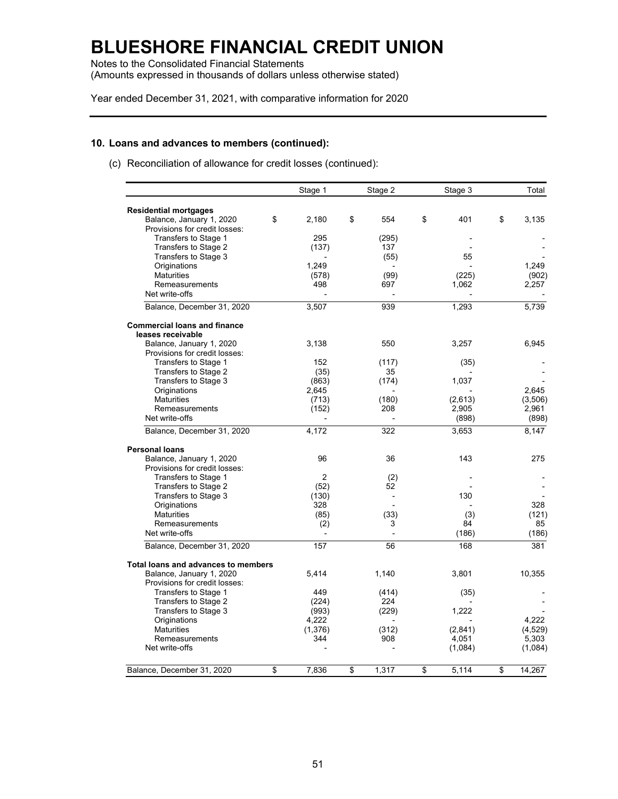Notes to the Consolidated Financial Statements (Amounts expressed in thousands of dollars unless otherwise stated)

Year ended December 31, 2021, with comparative information for 2020

#### **10. Loans and advances to members (continued):**

(c) Reconciliation of allowance for credit losses (continued):

|                                     | Stage 1        | Stage 2                  | Stage 3     | Total        |
|-------------------------------------|----------------|--------------------------|-------------|--------------|
| <b>Residential mortgages</b>        |                |                          |             |              |
| Balance, January 1, 2020            | \$<br>2,180    | \$<br>554                | \$<br>401   | \$<br>3,135  |
| Provisions for credit losses:       |                |                          |             |              |
| Transfers to Stage 1                | 295            | (295)                    |             |              |
| Transfers to Stage 2                | (137)          | 137                      |             |              |
| Transfers to Stage 3                |                | (55)                     | 55          |              |
| Originations                        | 1.249          |                          |             | 1.249        |
| <b>Maturities</b>                   | (578)          | (99)                     | (225)       | (902)        |
| Remeasurements                      | 498            | 697                      | 1,062       | 2,257        |
| Net write-offs                      |                |                          |             |              |
| Balance, December 31, 2020          | 3,507          | 939                      | 1,293       | 5,739        |
| <b>Commercial loans and finance</b> |                |                          |             |              |
| leases receivable                   |                |                          |             |              |
| Balance, January 1, 2020            | 3,138          | 550                      | 3,257       | 6,945        |
| Provisions for credit losses:       |                |                          |             |              |
| Transfers to Stage 1                | 152            | (117)                    | (35)        |              |
| Transfers to Stage 2                | (35)           | 35                       |             |              |
| Transfers to Stage 3                | (863)          | (174)                    | 1,037       |              |
| Originations                        | 2,645          |                          |             | 2.645        |
| <b>Maturities</b>                   | (713)          | (180)                    | (2,613)     | (3,506)      |
| Remeasurements                      | (152)          | 208                      | 2,905       | 2,961        |
| Net write-offs                      |                |                          | (898)       | (898)        |
| Balance, December 31, 2020          | 4,172          | 322                      | 3,653       | 8,147        |
| <b>Personal loans</b>               |                |                          |             |              |
| Balance, January 1, 2020            | 96             | 36                       | 143         | 275          |
| Provisions for credit losses:       |                |                          |             |              |
| Transfers to Stage 1                | $\overline{2}$ | (2)                      |             |              |
| Transfers to Stage 2                | (52)           | 52                       |             |              |
| Transfers to Stage 3                | (130)          | $\overline{\phantom{a}}$ | 130         |              |
| Originations                        | 328            |                          |             | 328          |
| <b>Maturities</b>                   | (85)           | (33)                     | (3)         | (121)        |
| Remeasurements                      | (2)            | 3                        | 84          | 85           |
| Net write-offs                      |                | $\overline{a}$           | (186)       | (186)        |
| Balance, December 31, 2020          | 157            | 56                       | 168         | 381          |
| Total loans and advances to members |                |                          |             |              |
| Balance, January 1, 2020            | 5,414          | 1,140                    | 3,801       | 10,355       |
| Provisions for credit losses:       |                |                          |             |              |
| Transfers to Stage 1                | 449            | (414)                    | (35)        |              |
| Transfers to Stage 2                | (224)          | 224                      |             |              |
| Transfers to Stage 3                | (993)          | (229)                    | 1,222       |              |
| Originations                        | 4,222          |                          |             | 4.222        |
| <b>Maturities</b>                   | (1,376)        | (312)                    | (2,841)     | (4,529)      |
| Remeasurements                      | 344            | 908                      | 4,051       | 5.303        |
| Net write-offs                      |                |                          | (1,084)     | (1,084)      |
| Balance, December 31, 2020          | \$<br>7,836    | \$<br>1,317              | \$<br>5,114 | \$<br>14,267 |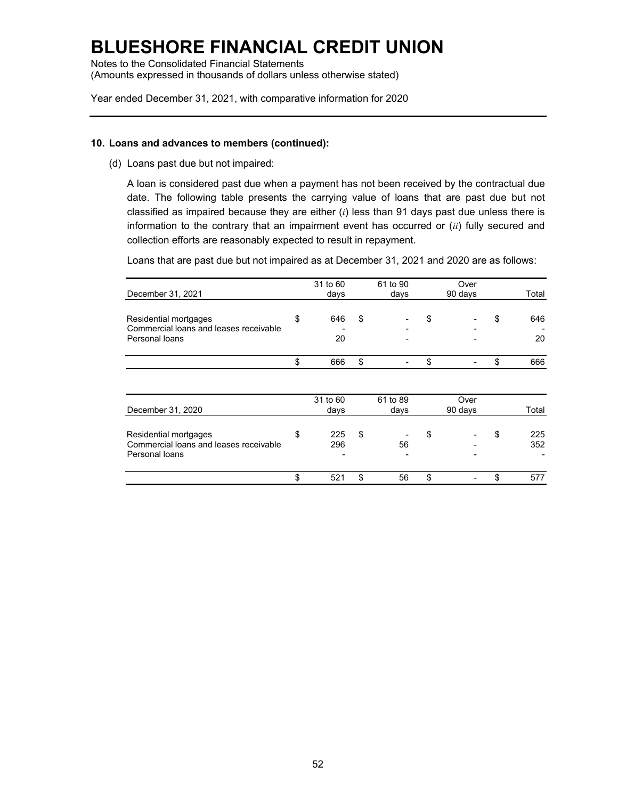Notes to the Consolidated Financial Statements (Amounts expressed in thousands of dollars unless otherwise stated)

Year ended December 31, 2021, with comparative information for 2020

### **10. Loans and advances to members (continued):**

(d) Loans past due but not impaired:

A loan is considered past due when a payment has not been received by the contractual due date. The following table presents the carrying value of loans that are past due but not classified as impaired because they are either (*i*) less than 91 days past due unless there is information to the contrary that an impairment event has occurred or (*ii*) fully secured and collection efforts are reasonably expected to result in repayment.

Loans that are past due but not impaired as at December 31, 2021 and 2020 are as follows:

|                                                                 | 31 to 60  | 61 to 90 | Over    |           |
|-----------------------------------------------------------------|-----------|----------|---------|-----------|
| December 31, 2021                                               | days      | days     | 90 days | Total     |
| Residential mortgages<br>Commercial loans and leases receivable | \$<br>646 | \$       | \$      | \$<br>646 |
| Personal loans                                                  | 20        |          |         | 20        |
|                                                                 | \$<br>666 | \$       | \$      | \$<br>666 |
|                                                                 |           |          |         |           |
|                                                                 | 31 to 60  | 61 to 89 | Over    |           |
| December 31, 2020                                               | days      | days     | 90 days | Total     |
|                                                                 |           |          |         |           |
| Residential mortgages                                           | \$<br>225 | \$       | \$      | \$<br>225 |
| Commercial loans and leases receivable                          | 296       | 56       |         | 352       |
| Personal loans                                                  |           |          |         |           |
|                                                                 | \$<br>521 | \$<br>56 | \$      | \$<br>577 |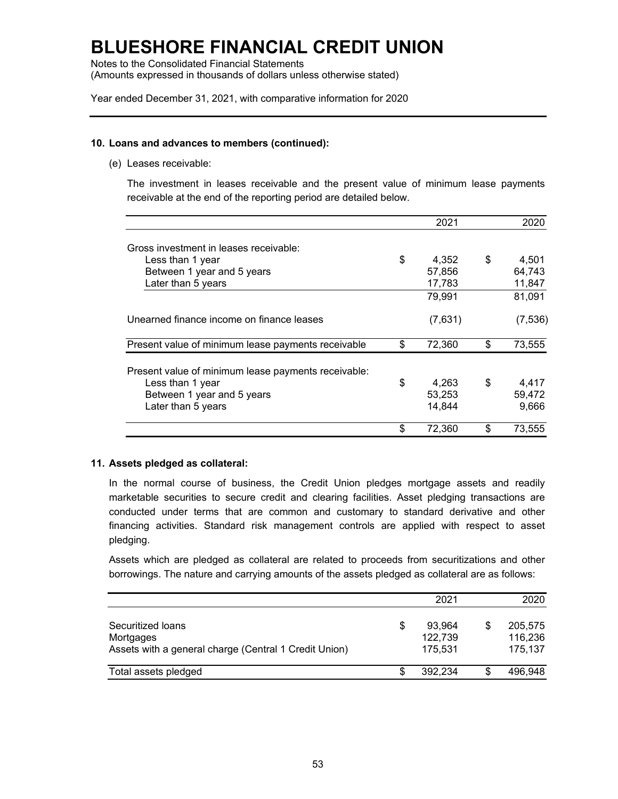Notes to the Consolidated Financial Statements (Amounts expressed in thousands of dollars unless otherwise stated)

Year ended December 31, 2021, with comparative information for 2020

#### **10. Loans and advances to members (continued):**

(e) Leases receivable:

The investment in leases receivable and the present value of minimum lease payments receivable at the end of the reporting period are detailed below.

|                                                     | 2021         | 2020         |
|-----------------------------------------------------|--------------|--------------|
| Gross investment in leases receivable:              |              |              |
| Less than 1 year                                    | \$<br>4,352  | \$<br>4,501  |
| Between 1 year and 5 years                          | 57,856       | 64,743       |
| Later than 5 years                                  | 17,783       | 11,847       |
|                                                     | 79,991       | 81,091       |
| Unearned finance income on finance leases           | (7,631)      | (7, 536)     |
| Present value of minimum lease payments receivable  | \$<br>72,360 | \$<br>73,555 |
| Present value of minimum lease payments receivable: |              |              |
| Less than 1 year                                    | \$<br>4,263  | \$<br>4,417  |
| Between 1 year and 5 years                          | 53,253       | 59,472       |
| Later than 5 years                                  | 14,844       | 9,666        |
|                                                     | 72,360       | \$<br>73,555 |

### **11. Assets pledged as collateral:**

In the normal course of business, the Credit Union pledges mortgage assets and readily marketable securities to secure credit and clearing facilities. Asset pledging transactions are conducted under terms that are common and customary to standard derivative and other financing activities. Standard risk management controls are applied with respect to asset pledging.

Assets which are pledged as collateral are related to proceeds from securitizations and other borrowings. The nature and carrying amounts of the assets pledged as collateral are as follows:

|                                                                                         | 2021                               |   | 2020                          |
|-----------------------------------------------------------------------------------------|------------------------------------|---|-------------------------------|
| Securitized loans<br>Mortgages<br>Assets with a general charge (Central 1 Credit Union) | \$<br>93.964<br>122,739<br>175.531 |   | 205.575<br>116,236<br>175,137 |
| Total assets pledged                                                                    | 392.234                            | S | 496,948                       |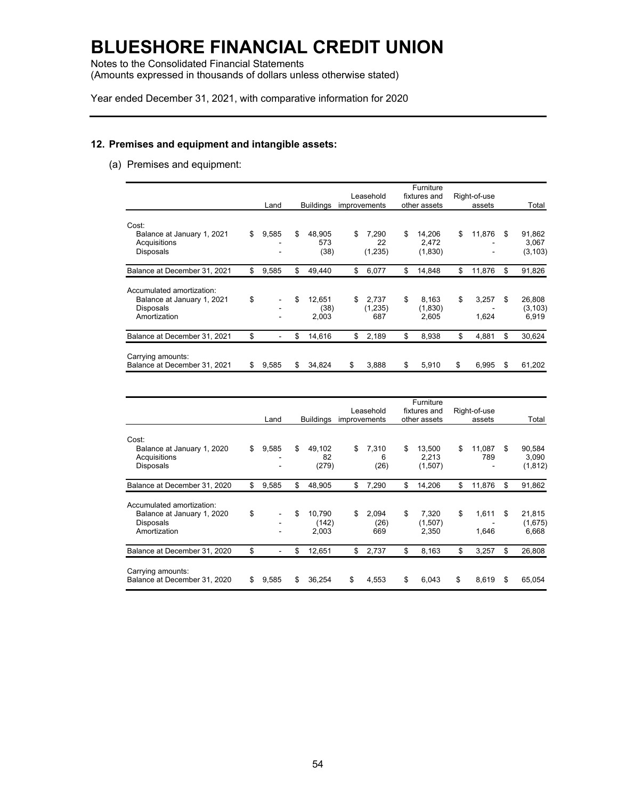Notes to the Consolidated Financial Statements (Amounts expressed in thousands of dollars unless otherwise stated)

Year ended December 31, 2021, with comparative information for 2020

### **12. Premises and equipment and intangible assets:**

(a) Premises and equipment:

|                                                                                      | Land        | <b>Buildings</b>              | Leasehold<br>improvements     | Furniture<br>fixtures and<br>other assets | Right-of-use<br>assets |     | Total                       |
|--------------------------------------------------------------------------------------|-------------|-------------------------------|-------------------------------|-------------------------------------------|------------------------|-----|-----------------------------|
| Cost:<br>Balance at January 1, 2021<br>Acquisitions<br><b>Disposals</b>              | \$<br>9,585 | \$<br>48.905<br>573<br>(38)   | \$<br>7.290<br>22<br>(1, 235) | \$<br>14.206<br>2.472<br>(1,830)          | \$<br>11,876           | \$. | 91,862<br>3,067<br>(3, 103) |
| Balance at December 31, 2021                                                         | \$<br>9,585 | \$<br>49,440                  | \$<br>6,077                   | \$<br>14.848                              | \$<br>11,876           | \$  | 91,826                      |
| Accumulated amortization:<br>Balance at January 1, 2021<br>Disposals<br>Amortization | \$<br>۰     | \$<br>12,651<br>(38)<br>2,003 | \$<br>2.737<br>(1,235)<br>687 | \$<br>8,163<br>(1,830)<br>2,605           | \$<br>3,257<br>1,624   | \$  | 26,808<br>(3, 103)<br>6,919 |
| Balance at December 31, 2021                                                         | \$          | \$<br>14,616                  | \$<br>2,189                   | \$<br>8,938                               | \$<br>4,881            | \$  | 30,624                      |
| Carrying amounts:<br>Balance at December 31, 2021                                    | \$<br>9.585 | \$<br>34,824                  | \$<br>3,888                   | \$<br>5,910                               | \$<br>6.995            | S   | 61,202                      |

|                                                                                      |             |                                | Leasehold                  | Furniture                        |                        |                                   |
|--------------------------------------------------------------------------------------|-------------|--------------------------------|----------------------------|----------------------------------|------------------------|-----------------------------------|
|                                                                                      | Land        | <b>Buildings</b>               | improvements               | fixtures and<br>other assets     | Right-of-use<br>assets | Total                             |
| Cost:                                                                                |             |                                |                            |                                  |                        |                                   |
| Balance at January 1, 2020<br>Acquisitions<br><b>Disposals</b>                       | \$<br>9,585 | \$<br>49,102<br>82<br>(279)    | \$<br>7,310<br>6<br>(26)   | \$<br>13.500<br>2.213<br>(1,507) | \$<br>11,087<br>789    | \$<br>90,584<br>3,090<br>(1, 812) |
| Balance at December 31, 2020                                                         | \$<br>9,585 | \$<br>48,905                   | \$<br>7,290                | \$<br>14,206                     | \$<br>11,876           | \$<br>91,862                      |
| Accumulated amortization:<br>Balance at January 1, 2020<br>Disposals<br>Amortization | \$          | \$<br>10.790<br>(142)<br>2,003 | \$<br>2,094<br>(26)<br>669 | \$<br>7.320<br>(1,507)<br>2,350  | \$<br>1,611<br>1,646   | \$<br>21,815<br>(1,675)<br>6.668  |
| Balance at December 31, 2020                                                         | \$          | \$<br>12,651                   | \$<br>2,737                | \$<br>8,163                      | \$<br>3,257            | \$<br>26,808                      |
| Carrying amounts:<br>Balance at December 31, 2020                                    | \$<br>9,585 | \$<br>36,254                   | \$<br>4,553                | \$<br>6.043                      | \$<br>8,619            | \$<br>65,054                      |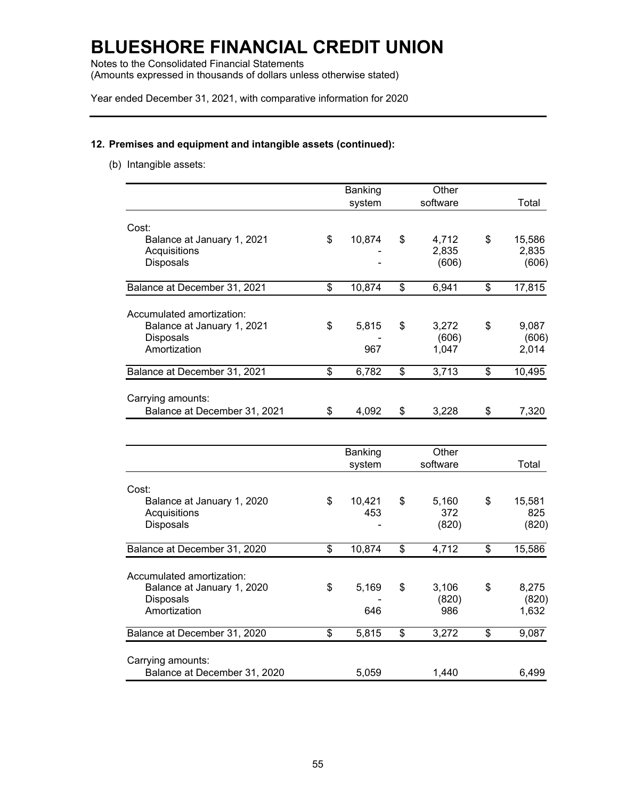Notes to the Consolidated Financial Statements (Amounts expressed in thousands of dollars unless otherwise stated)

Year ended December 31, 2021, with comparative information for 2020

### **12. Premises and equipment and intangible assets (continued):**

(b) Intangible assets:

| Total          |
|----------------|
|                |
| 15,586         |
| 2,835          |
| (606)          |
|                |
| 17,815         |
|                |
|                |
| 9,087          |
| (606)<br>2,014 |
|                |
| 10,495         |
|                |
|                |
| 7,320          |
|                |
|                |
| Total          |
|                |
| 15,581         |
| 825            |
| (820)          |
|                |
| 15,586         |
|                |
| 8,275          |
| (820)          |
| 1,632          |
|                |
| 9,087          |
|                |
| 6,499          |
|                |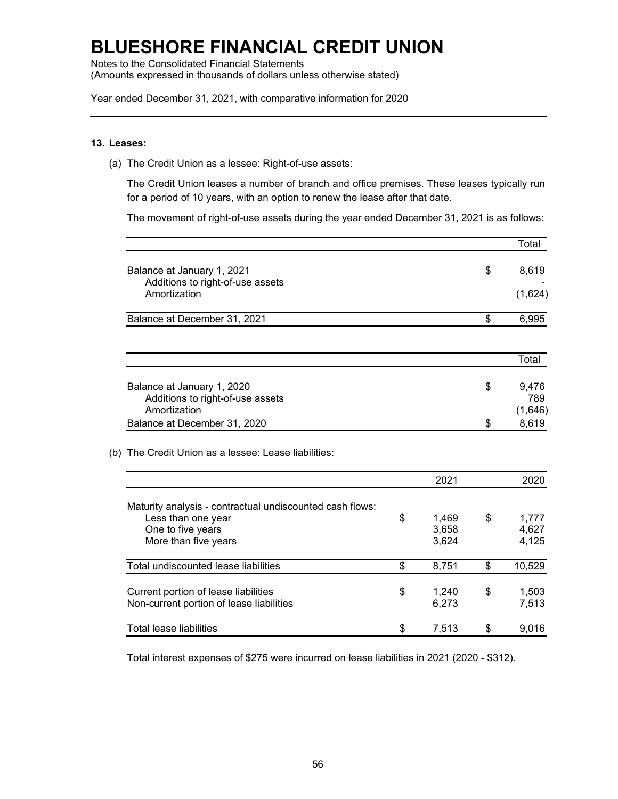Notes to the Consolidated Financial Statements (Amounts expressed in thousands of dollars unless otherwise stated)

Year ended December 31, 2021, with comparative information for 2020

#### **13. Leases:**

(a) The Credit Union as a lessee: Right-of-use assets:

The Credit Union leases a number of branch and office premises. These leases typically run for a period of 10 years, with an option to renew the lease after that date.

The movement of right-of-use assets during the year ended December 31, 2021 is as follows:

|                                                  | Total       |
|--------------------------------------------------|-------------|
| Balance at January 1, 2021                       | \$<br>8,619 |
| Additions to right-of-use assets<br>Amortization | (1,624)     |
| Balance at December 31, 2021                     | \$<br>6,995 |
|                                                  | Total       |
|                                                  |             |
| Balance at January 1, 2020                       | \$<br>9,476 |
| Additions to right-of-use assets                 | 789         |
| Amortization                                     | (1,646)     |
| Balance at December 31, 2020                     | \$<br>8,619 |

#### (b) The Credit Union as a lessee: Lease liabilities:

|                                                                                  | 2021                 | 2020                 |
|----------------------------------------------------------------------------------|----------------------|----------------------|
| Maturity analysis - contractual undiscounted cash flows:<br>Less than one year   | \$<br>1.469          | \$<br>1,777          |
| One to five years                                                                | 3,658                | 4,627                |
| More than five years                                                             | 3,624                | 4,125                |
| Total undiscounted lease liabilities                                             | \$<br>8,751          | \$<br>10,529         |
| Current portion of lease liabilities<br>Non-current portion of lease liabilities | \$<br>1,240<br>6,273 | \$<br>1,503<br>7,513 |
| Total lease liabilities                                                          | \$<br>7,513          | \$<br>9.016          |

Total interest expenses of \$275 were incurred on lease liabilities in 2021 (2020 - \$312).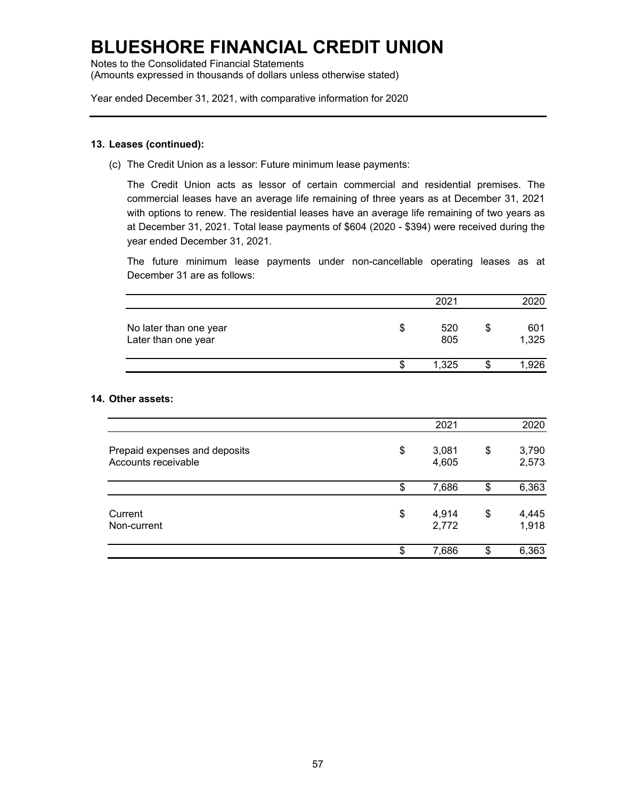Notes to the Consolidated Financial Statements (Amounts expressed in thousands of dollars unless otherwise stated)

Year ended December 31, 2021, with comparative information for 2020

### **13. Leases (continued):**

(c) The Credit Union as a lessor: Future minimum lease payments:

The Credit Union acts as lessor of certain commercial and residential premises. The commercial leases have an average life remaining of three years as at December 31, 2021 with options to renew. The residential leases have an average life remaining of two years as at December 31, 2021. Total lease payments of \$604 (2020 - \$394) were received during the year ended December 31, 2021.

The future minimum lease payments under non-cancellable operating leases as at December 31 are as follows:

|                                               | 2021       | 2020               |
|-----------------------------------------------|------------|--------------------|
| No later than one year<br>Later than one year | 520<br>805 | \$<br>601<br>1,325 |
|                                               | 1.325      | ,926               |

### **14. Other assets:**

|                                                      | 2021                 | 2020                 |
|------------------------------------------------------|----------------------|----------------------|
| Prepaid expenses and deposits<br>Accounts receivable | \$<br>3,081<br>4,605 | \$<br>3,790<br>2,573 |
|                                                      | \$<br>7,686          | \$<br>6,363          |
| Current<br>Non-current                               | \$<br>4,914<br>2,772 | \$<br>4,445<br>1,918 |
|                                                      | \$<br>7,686          | \$<br>6,363          |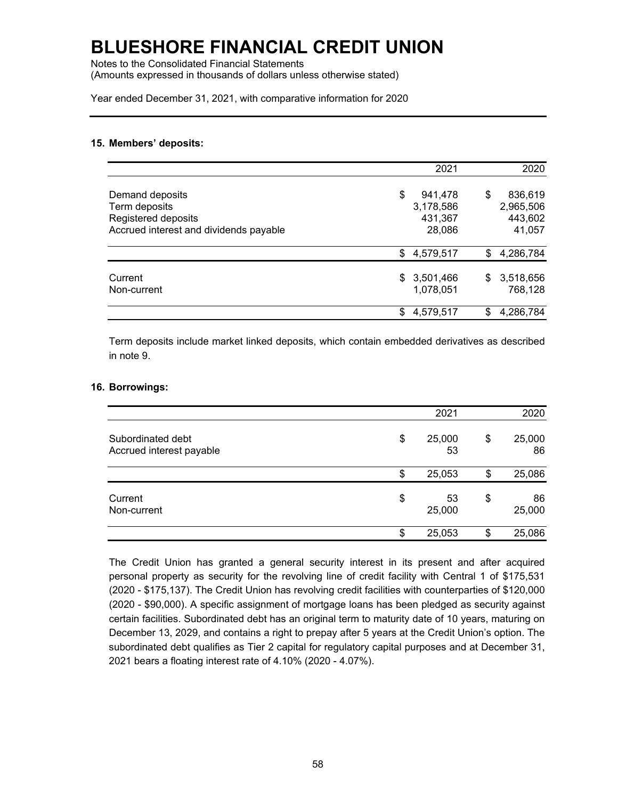Notes to the Consolidated Financial Statements (Amounts expressed in thousands of dollars unless otherwise stated)

Year ended December 31, 2021, with comparative information for 2020

#### **15. Members' deposits:**

|                                                                                                   | 2021                                            | 2020                                            |
|---------------------------------------------------------------------------------------------------|-------------------------------------------------|-------------------------------------------------|
| Demand deposits<br>Term deposits<br>Registered deposits<br>Accrued interest and dividends payable | \$<br>941,478<br>3,178,586<br>431,367<br>28,086 | 836,619<br>\$<br>2,965,506<br>443,602<br>41,057 |
|                                                                                                   | 4,579,517<br>\$                                 | 4,286,784<br>\$                                 |
| Current<br>Non-current                                                                            | \$3,501,466<br>1,078,051                        | 3,518,656<br>\$<br>768,128                      |
|                                                                                                   | 4,579,517<br>\$                                 | 4,286,784<br>S                                  |

Term deposits include market linked deposits, which contain embedded derivatives as described in note 9.

#### **16. Borrowings:**

|                                               | 2021               | 2020               |
|-----------------------------------------------|--------------------|--------------------|
| Subordinated debt<br>Accrued interest payable | \$<br>25,000<br>53 | \$<br>25,000<br>86 |
|                                               | \$<br>25,053       | \$<br>25,086       |
| Current<br>Non-current                        | \$<br>53<br>25,000 | \$<br>86<br>25,000 |
|                                               | \$<br>25,053       | \$<br>25,086       |

The Credit Union has granted a general security interest in its present and after acquired personal property as security for the revolving line of credit facility with Central 1 of \$175,531 (2020 - \$175,137). The Credit Union has revolving credit facilities with counterparties of \$120,000 (2020 - \$90,000). A specific assignment of mortgage loans has been pledged as security against certain facilities. Subordinated debt has an original term to maturity date of 10 years, maturing on December 13, 2029, and contains a right to prepay after 5 years at the Credit Union's option. The subordinated debt qualifies as Tier 2 capital for regulatory capital purposes and at December 31, 2021 bears a floating interest rate of 4.10% (2020 - 4.07%).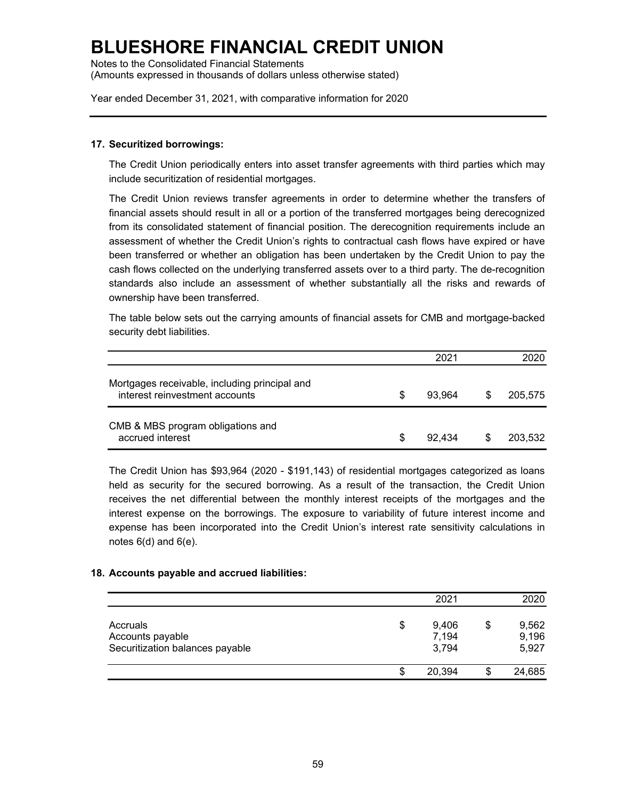Notes to the Consolidated Financial Statements (Amounts expressed in thousands of dollars unless otherwise stated)

Year ended December 31, 2021, with comparative information for 2020

### **17. Securitized borrowings:**

The Credit Union periodically enters into asset transfer agreements with third parties which may include securitization of residential mortgages.

The Credit Union reviews transfer agreements in order to determine whether the transfers of financial assets should result in all or a portion of the transferred mortgages being derecognized from its consolidated statement of financial position. The derecognition requirements include an assessment of whether the Credit Union's rights to contractual cash flows have expired or have been transferred or whether an obligation has been undertaken by the Credit Union to pay the cash flows collected on the underlying transferred assets over to a third party. The de-recognition standards also include an assessment of whether substantially all the risks and rewards of ownership have been transferred.

The table below sets out the carrying amounts of financial assets for CMB and mortgage-backed security debt liabilities.

|                                                                                 |    | 2021   |    | 2020    |
|---------------------------------------------------------------------------------|----|--------|----|---------|
| Mortgages receivable, including principal and<br>interest reinvestment accounts | S  | 93.964 | S  | 205,575 |
| CMB & MBS program obligations and<br>accrued interest                           | \$ | 92.434 | \$ | 203,532 |

The Credit Union has \$93,964 (2020 - \$191,143) of residential mortgages categorized as loans held as security for the secured borrowing. As a result of the transaction, the Credit Union receives the net differential between the monthly interest receipts of the mortgages and the interest expense on the borrowings. The exposure to variability of future interest income and expense has been incorporated into the Credit Union's interest rate sensitivity calculations in notes  $6(d)$  and  $6(e)$ .

#### **18. Accounts payable and accrued liabilities:**

|                                                                 | 2021                          | 2020                    |
|-----------------------------------------------------------------|-------------------------------|-------------------------|
| Accruals<br>Accounts payable<br>Securitization balances payable | \$<br>9,406<br>7,194<br>3,794 | 9,562<br>9,196<br>5,927 |
|                                                                 | \$<br>20,394                  | 24,685                  |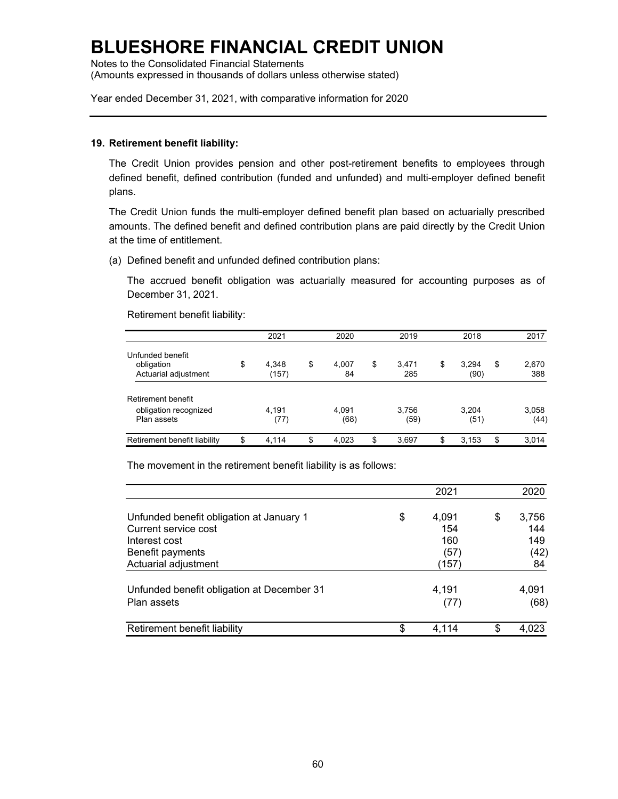Notes to the Consolidated Financial Statements (Amounts expressed in thousands of dollars unless otherwise stated)

Year ended December 31, 2021, with comparative information for 2020

#### **19. Retirement benefit liability:**

The Credit Union provides pension and other post-retirement benefits to employees through defined benefit, defined contribution (funded and unfunded) and multi-employer defined benefit plans.

The Credit Union funds the multi-employer defined benefit plan based on actuarially prescribed amounts. The defined benefit and defined contribution plans are paid directly by the Credit Union at the time of entitlement.

(a) Defined benefit and unfunded defined contribution plans:

The accrued benefit obligation was actuarially measured for accounting purposes as of December 31, 2021.

Retirement benefit liability:

|                                                            | 2021                 | 2020              | 2019               | 2018                | 2017               |
|------------------------------------------------------------|----------------------|-------------------|--------------------|---------------------|--------------------|
| Unfunded benefit<br>obligation<br>Actuarial adjustment     | \$<br>4.348<br>(157) | \$<br>4.007<br>84 | \$<br>3.471<br>285 | \$<br>3.294<br>(90) | \$<br>2,670<br>388 |
| Retirement benefit<br>obligation recognized<br>Plan assets | 4.191<br>(77)        | 4.091<br>(68)     | 3.756<br>(59)      | 3.204<br>(51)       | 3,058<br>(44)      |
| Retirement benefit liability                               | \$<br>4.114          | \$<br>4.023       | \$<br>3,697        | \$<br>3,153         | \$<br>3.014        |

The movement in the retirement benefit liability is as follows:

|                                                                                   | 2021                      | 2020                      |
|-----------------------------------------------------------------------------------|---------------------------|---------------------------|
| Unfunded benefit obligation at January 1<br>Current service cost<br>Interest cost | \$<br>4,091<br>154<br>160 | \$<br>3,756<br>144<br>149 |
| Benefit payments<br>Actuarial adjustment                                          | (57)<br>(157)             | (42)<br>84                |
| Unfunded benefit obligation at December 31<br>Plan assets                         | 4,191<br>(77)             | 4,091<br>(68)             |
| Retirement benefit liability                                                      | \$<br>4.114               | \$<br>4,023               |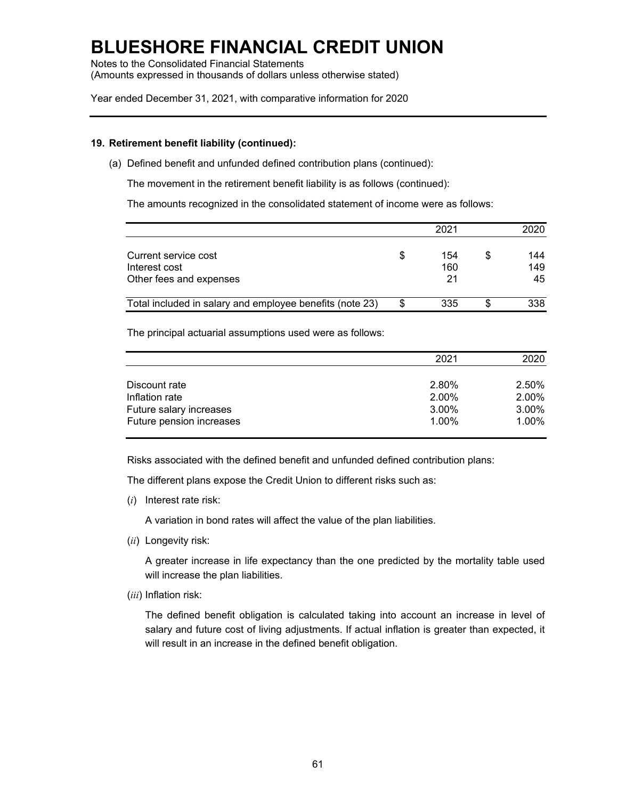Notes to the Consolidated Financial Statements (Amounts expressed in thousands of dollars unless otherwise stated)

Year ended December 31, 2021, with comparative information for 2020

### **19. Retirement benefit liability (continued):**

(a) Defined benefit and unfunded defined contribution plans (continued):

The movement in the retirement benefit liability is as follows (continued):

The amounts recognized in the consolidated statement of income were as follows:

|                                                          |   | 2021 |   | 2020 |
|----------------------------------------------------------|---|------|---|------|
| Current service cost                                     | S | 154  | S | 144  |
| Interest cost                                            |   | 160  |   | 149  |
| Other fees and expenses                                  |   | 21   |   | 45   |
| Total included in salary and employee benefits (note 23) |   | 335  |   | 338  |

The principal actuarial assumptions used were as follows:

|                          | 2021  | 2020  |
|--------------------------|-------|-------|
|                          |       |       |
| Discount rate            | 2.80% | 2.50% |
| Inflation rate           | 2.00% | 2.00% |
| Future salary increases  | 3.00% | 3.00% |
| Future pension increases | 1.00% | 1.00% |

Risks associated with the defined benefit and unfunded defined contribution plans:

The different plans expose the Credit Union to different risks such as:

(*i*) Interest rate risk:

A variation in bond rates will affect the value of the plan liabilities.

(*ii*) Longevity risk:

A greater increase in life expectancy than the one predicted by the mortality table used will increase the plan liabilities.

(*iii*) Inflation risk:

The defined benefit obligation is calculated taking into account an increase in level of salary and future cost of living adjustments. If actual inflation is greater than expected, it will result in an increase in the defined benefit obligation.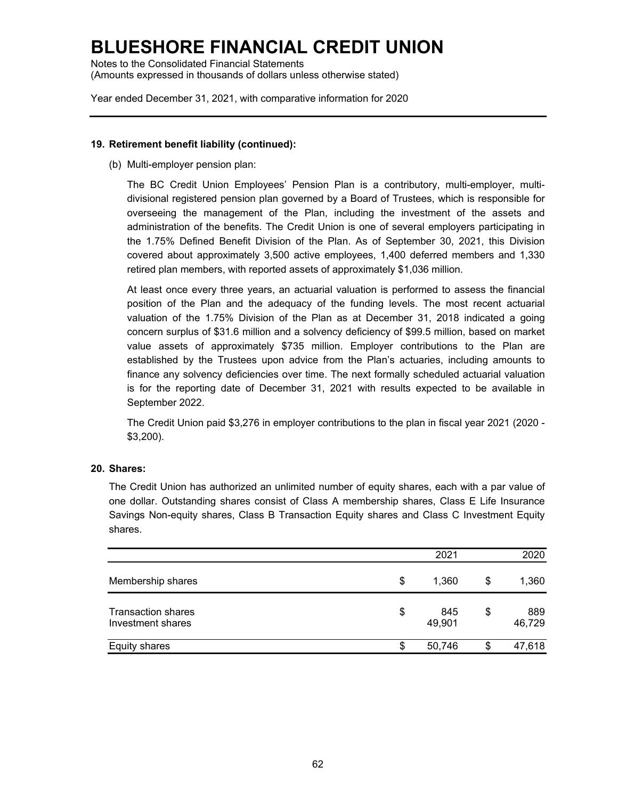Notes to the Consolidated Financial Statements (Amounts expressed in thousands of dollars unless otherwise stated)

Year ended December 31, 2021, with comparative information for 2020

### **19. Retirement benefit liability (continued):**

(b) Multi-employer pension plan:

The BC Credit Union Employees' Pension Plan is a contributory, multi-employer, multidivisional registered pension plan governed by a Board of Trustees, which is responsible for overseeing the management of the Plan, including the investment of the assets and administration of the benefits. The Credit Union is one of several employers participating in the 1.75% Defined Benefit Division of the Plan. As of September 30, 2021, this Division covered about approximately 3,500 active employees, 1,400 deferred members and 1,330 retired plan members, with reported assets of approximately \$1,036 million.

At least once every three years, an actuarial valuation is performed to assess the financial position of the Plan and the adequacy of the funding levels. The most recent actuarial valuation of the 1.75% Division of the Plan as at December 31, 2018 indicated a going concern surplus of \$31.6 million and a solvency deficiency of \$99.5 million, based on market value assets of approximately \$735 million. Employer contributions to the Plan are established by the Trustees upon advice from the Plan's actuaries, including amounts to finance any solvency deficiencies over time. The next formally scheduled actuarial valuation is for the reporting date of December 31, 2021 with results expected to be available in September 2022.

The Credit Union paid \$3,276 in employer contributions to the plan in fiscal year 2021 (2020 - \$3,200).

### **20. Shares:**

The Credit Union has authorized an unlimited number of equity shares, each with a par value of one dollar. Outstanding shares consist of Class A membership shares, Class E Life Insurance Savings Non-equity shares, Class B Transaction Equity shares and Class C Investment Equity shares.

|                                                | 2021                |    | 2020          |
|------------------------------------------------|---------------------|----|---------------|
| Membership shares                              | \$<br>1,360         | S  | 1,360         |
| <b>Transaction shares</b><br>Investment shares | \$<br>845<br>49,901 | \$ | 889<br>46,729 |
| <b>Equity shares</b>                           | \$<br>50,746        | S  | 47,618        |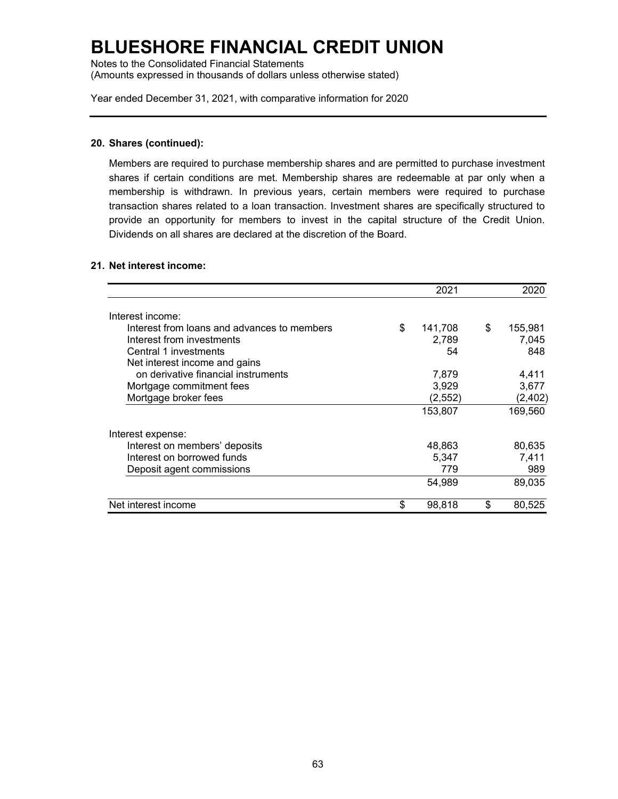Notes to the Consolidated Financial Statements (Amounts expressed in thousands of dollars unless otherwise stated)

Year ended December 31, 2021, with comparative information for 2020

#### **20. Shares (continued):**

Members are required to purchase membership shares and are permitted to purchase investment shares if certain conditions are met. Membership shares are redeemable at par only when a membership is withdrawn. In previous years, certain members were required to purchase transaction shares related to a loan transaction. Investment shares are specifically structured to provide an opportunity for members to invest in the capital structure of the Credit Union. Dividends on all shares are declared at the discretion of the Board.

### **21. Net interest income:**

|                                             |    | 2021     | 2020          |
|---------------------------------------------|----|----------|---------------|
| Interest income:                            |    |          |               |
| Interest from loans and advances to members | \$ | 141,708  | \$<br>155,981 |
| Interest from investments                   |    | 2,789    | 7,045         |
| Central 1 investments                       |    | 54       | 848           |
| Net interest income and gains               |    |          |               |
| on derivative financial instruments         |    | 7,879    | 4,411         |
| Mortgage commitment fees                    |    | 3,929    | 3,677         |
| Mortgage broker fees                        |    | (2, 552) | (2, 402)      |
|                                             |    | 153,807  | 169,560       |
| Interest expense:                           |    |          |               |
| Interest on members' deposits               |    | 48,863   | 80,635        |
| Interest on borrowed funds                  |    | 5,347    | 7,411         |
| Deposit agent commissions                   |    | 779      | 989           |
|                                             |    | 54.989   | 89,035        |
| Net interest income                         | \$ | 98,818   | \$<br>80,525  |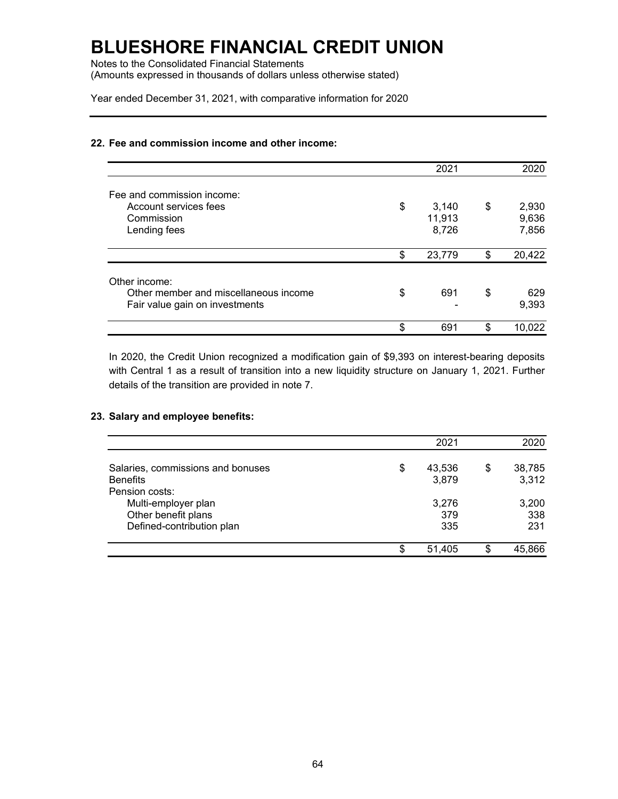Notes to the Consolidated Financial Statements (Amounts expressed in thousands of dollars unless otherwise stated)

Year ended December 31, 2021, with comparative information for 2020

### **22. Fee and commission income and other income:**

|                                       | 2021         | 2020         |
|---------------------------------------|--------------|--------------|
| Fee and commission income:            |              |              |
| Account services fees                 | \$<br>3,140  | \$<br>2,930  |
| Commission                            | 11,913       | 9,636        |
| Lending fees                          | 8,726        | 7,856        |
|                                       | \$<br>23,779 | \$<br>20,422 |
| Other income:                         |              |              |
| Other member and miscellaneous income | \$<br>691    | \$<br>629    |
| Fair value gain on investments        |              | 9,393        |
|                                       | \$<br>691    | \$<br>10,022 |

In 2020, the Credit Union recognized a modification gain of \$9,393 on interest-bearing deposits with Central 1 as a result of transition into a new liquidity structure on January 1, 2021. Further details of the transition are provided in note 7.

### **23. Salary and employee benefits:**

|                                   |    | 2021   |    | 2020   |
|-----------------------------------|----|--------|----|--------|
| Salaries, commissions and bonuses | \$ | 43,536 | \$ | 38,785 |
| <b>Benefits</b>                   |    | 3,879  |    | 3,312  |
| Pension costs:                    |    |        |    |        |
| Multi-employer plan               |    | 3,276  |    | 3,200  |
| Other benefit plans               |    | 379    |    | 338    |
| Defined-contribution plan         |    | 335    |    | 231    |
|                                   | S  | 51,405 | S  | 45,866 |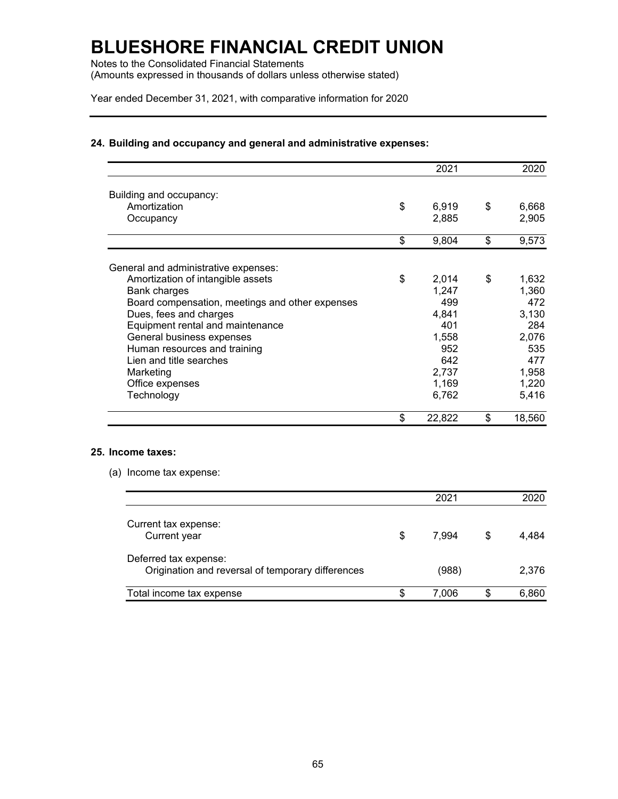Notes to the Consolidated Financial Statements (Amounts expressed in thousands of dollars unless otherwise stated)

Year ended December 31, 2021, with comparative information for 2020

### **24. Building and occupancy and general and administrative expenses:**

|                                                 | 2021         | 2020         |
|-------------------------------------------------|--------------|--------------|
| Building and occupancy:                         |              |              |
| Amortization                                    | \$<br>6,919  | \$<br>6,668  |
| Occupancy                                       | 2,885        | 2,905        |
|                                                 | \$<br>9,804  | \$<br>9,573  |
| General and administrative expenses:            |              |              |
| Amortization of intangible assets               | \$<br>2,014  | \$<br>1,632  |
| Bank charges                                    | 1,247        | 1,360        |
| Board compensation, meetings and other expenses | 499          | 472          |
| Dues, fees and charges                          | 4,841        | 3,130        |
| Equipment rental and maintenance                | 401          | 284          |
| General business expenses                       | 1,558        | 2,076        |
| Human resources and training                    | 952          | 535          |
| Lien and title searches                         | 642          | 477          |
| Marketing                                       | 2,737        | 1,958        |
| Office expenses                                 | 1,169        | 1,220        |
| Technology                                      | 6,762        | 5,416        |
|                                                 | \$<br>22,822 | \$<br>18,560 |

### **25. Income taxes:**

(a) Income tax expense:

|                                                                            |   | 2021  |    | 2020  |
|----------------------------------------------------------------------------|---|-------|----|-------|
| Current tax expense:<br>Current year                                       | S | 7.994 | \$ | 4.484 |
| Deferred tax expense:<br>Origination and reversal of temporary differences |   | (988) |    | 2,376 |
| Total income tax expense                                                   | S | 7.006 | S  | 6,860 |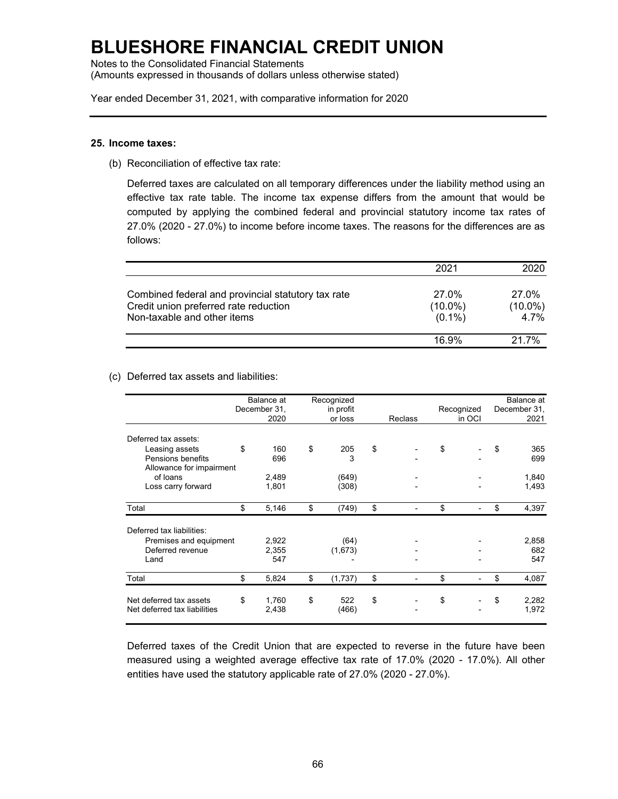Notes to the Consolidated Financial Statements (Amounts expressed in thousands of dollars unless otherwise stated)

Year ended December 31, 2021, with comparative information for 2020

#### **25. Income taxes:**

(b) Reconciliation of effective tax rate:

Deferred taxes are calculated on all temporary differences under the liability method using an effective tax rate table. The income tax expense differs from the amount that would be computed by applying the combined federal and provincial statutory income tax rates of 27.0% (2020 - 27.0%) to income before income taxes. The reasons for the differences are as follows:

|                                                    | 2021       | 2020       |
|----------------------------------------------------|------------|------------|
| Combined federal and provincial statutory tax rate | 27.0%      | 27.0%      |
| Credit union preferred rate reduction              | $(10.0\%)$ | $(10.0\%)$ |
| Non-taxable and other items                        | $(0.1\%)$  | 4.7%       |
|                                                    | 16 9%      | 21 7%      |

#### (c) Deferred tax assets and liabilities:

|                              | Balance at   | Recognized    |         |    | Balance at |              |
|------------------------------|--------------|---------------|---------|----|------------|--------------|
|                              | December 31, | in profit     |         |    | Recognized | December 31, |
|                              | 2020         | or loss       | Reclass |    | in OCI     | 2021         |
| Deferred tax assets:         |              |               |         |    |            |              |
| Leasing assets               | \$<br>160    | \$<br>205     | \$      | \$ |            | \$<br>365    |
| Pensions benefits            | 696          | 3             |         |    |            | 699          |
| Allowance for impairment     |              |               |         |    |            |              |
| of loans                     | 2,489        | (649)         |         |    |            | 1,840        |
| Loss carry forward           | 1,801        | (308)         |         |    |            | 1,493        |
| Total                        | \$<br>5,146  | \$<br>(749)   | \$      | \$ |            | \$<br>4,397  |
| Deferred tax liabilities:    |              |               |         |    |            |              |
| Premises and equipment       | 2,922        | (64)          |         |    |            | 2,858        |
| Deferred revenue             | 2,355        | (1,673)       |         |    |            | 682          |
| Land                         | 547          |               |         |    |            | 547          |
| Total                        | \$<br>5,824  | \$<br>(1,737) | \$      | \$ |            | \$<br>4,087  |
| Net deferred tax assets      | \$<br>1,760  | \$<br>522     | \$      | \$ |            | \$<br>2,282  |
| Net deferred tax liabilities | 2,438        | (466)         |         |    |            | 1,972        |

Deferred taxes of the Credit Union that are expected to reverse in the future have been measured using a weighted average effective tax rate of 17.0% (2020 - 17.0%). All other entities have used the statutory applicable rate of 27.0% (2020 - 27.0%).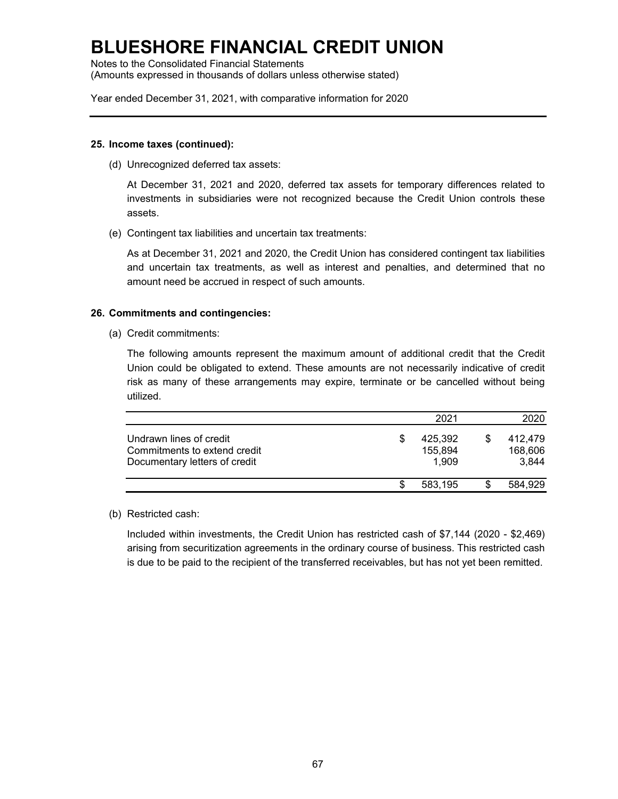Notes to the Consolidated Financial Statements (Amounts expressed in thousands of dollars unless otherwise stated)

Year ended December 31, 2021, with comparative information for 2020

#### **25. Income taxes (continued):**

(d) Unrecognized deferred tax assets:

At December 31, 2021 and 2020, deferred tax assets for temporary differences related to investments in subsidiaries were not recognized because the Credit Union controls these assets.

(e) Contingent tax liabilities and uncertain tax treatments:

As at December 31, 2021 and 2020, the Credit Union has considered contingent tax liabilities and uncertain tax treatments, as well as interest and penalties, and determined that no amount need be accrued in respect of such amounts.

### **26. Commitments and contingencies:**

(a) Credit commitments:

The following amounts represent the maximum amount of additional credit that the Credit Union could be obligated to extend. These amounts are not necessarily indicative of credit risk as many of these arrangements may expire, terminate or be cancelled without being utilized.

|                                                                                          | 2021                              | 2020                        |
|------------------------------------------------------------------------------------------|-----------------------------------|-----------------------------|
| Undrawn lines of credit<br>Commitments to extend credit<br>Documentary letters of credit | \$<br>425,392<br>155,894<br>1.909 | 412.479<br>168,606<br>3,844 |
|                                                                                          | 583,195                           | 584,929                     |

### (b) Restricted cash:

Included within investments, the Credit Union has restricted cash of \$7,144 (2020 - \$2,469) arising from securitization agreements in the ordinary course of business. This restricted cash is due to be paid to the recipient of the transferred receivables, but has not yet been remitted.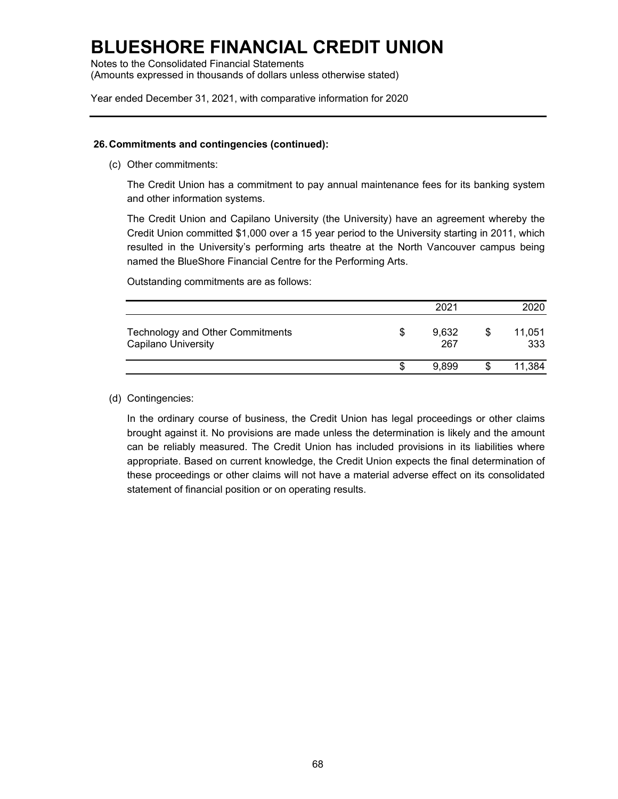# **BLUESHORE FINANCIAL CREDIT UNION**

Notes to the Consolidated Financial Statements (Amounts expressed in thousands of dollars unless otherwise stated)

Year ended December 31, 2021, with comparative information for 2020

### **26.Commitments and contingencies (continued):**

(c) Other commitments:

The Credit Union has a commitment to pay annual maintenance fees for its banking system and other information systems.

The Credit Union and Capilano University (the University) have an agreement whereby the Credit Union committed \$1,000 over a 15 year period to the University starting in 2011, which resulted in the University's performing arts theatre at the North Vancouver campus being named the BlueShore Financial Centre for the Performing Arts.

Outstanding commitments are as follows:

|                                                                |   | 2021         |     | 2020          |
|----------------------------------------------------------------|---|--------------|-----|---------------|
| Technology and Other Commitments<br><b>Capilano University</b> | S | 9,632<br>267 | \$. | 11,051<br>333 |
|                                                                | Œ | 9899         |     | 11,384        |

### (d) Contingencies:

In the ordinary course of business, the Credit Union has legal proceedings or other claims brought against it. No provisions are made unless the determination is likely and the amount can be reliably measured. The Credit Union has included provisions in its liabilities where appropriate. Based on current knowledge, the Credit Union expects the final determination of these proceedings or other claims will not have a material adverse effect on its consolidated statement of financial position or on operating results.